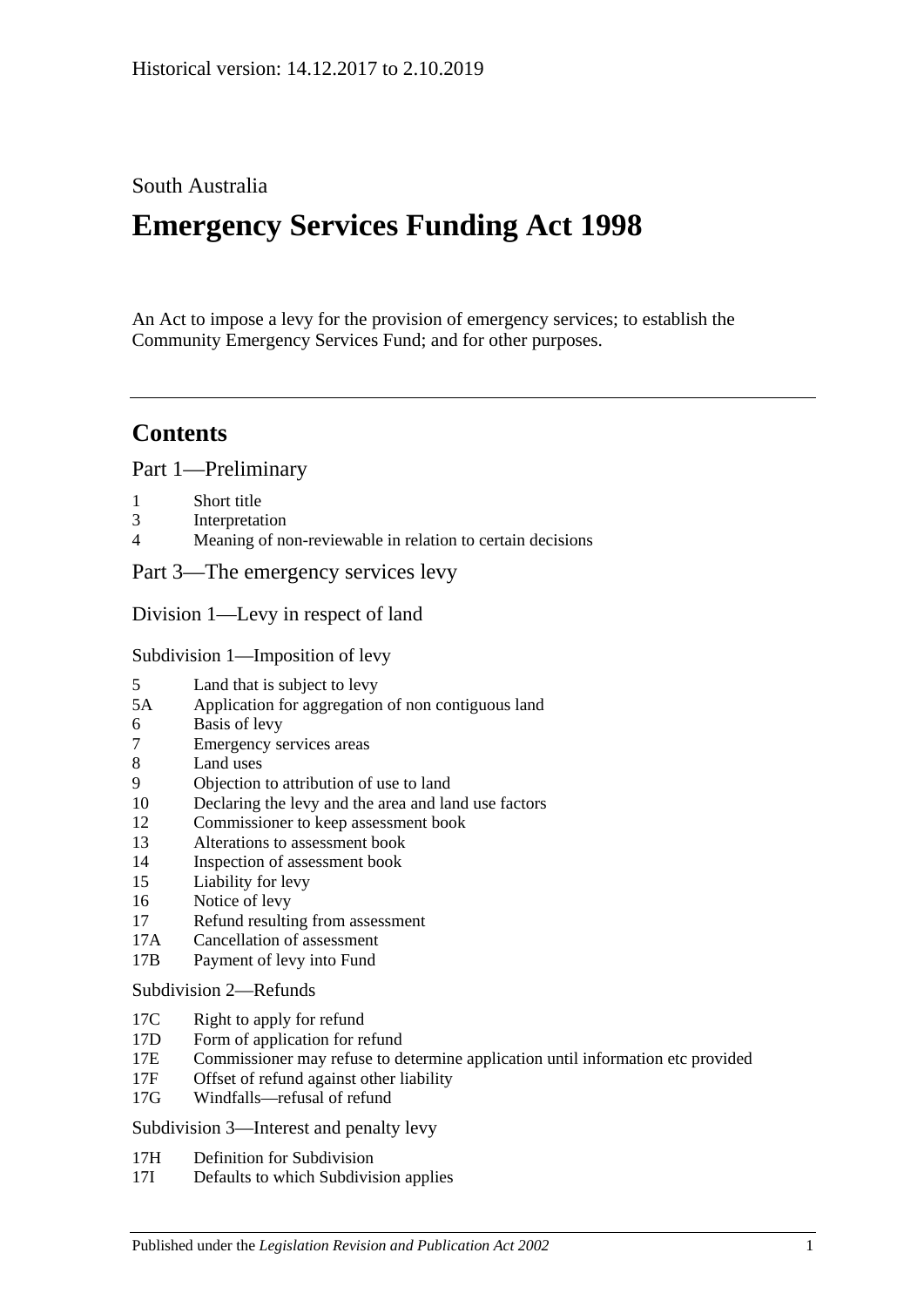## South Australia

# **Emergency Services Funding Act 1998**

An Act to impose a levy for the provision of emergency services; to establish the Community Emergency Services Fund; and for other purposes.

## **Contents**

[Part 1—Preliminary](#page-2-0)

- 1 [Short title](#page-2-1)
- 3 [Interpretation](#page-2-2)
- 4 [Meaning of non-reviewable in relation to certain decisions](#page-4-0)

[Part 3—The emergency services levy](#page-4-1)

[Division 1—Levy in respect of land](#page-4-2)

[Subdivision 1—Imposition of levy](#page-4-3)

- 5 [Land that is subject to levy](#page-4-4)
- 5A [Application for aggregation of non contiguous land](#page-6-0)
- 6 [Basis of levy](#page-6-1)
- 7 [Emergency services areas](#page-7-0)
- 8 [Land uses](#page-7-1)
- 9 [Objection to attribution of use to land](#page-8-0)
- 10 [Declaring the levy and the area and land use factors](#page-9-0)
- 12 [Commissioner to keep assessment book](#page-10-0)
- 13 [Alterations to assessment book](#page-11-0)
- 14 [Inspection of assessment book](#page-11-1)
- 15 [Liability for levy](#page-11-2)
- 16 [Notice of levy](#page-12-0)
- 17 [Refund resulting from assessment](#page-12-1)
- 17A [Cancellation of assessment](#page-13-0)
- 17B [Payment of levy into Fund](#page-13-1)

#### [Subdivision 2—Refunds](#page-13-2)

- 17C [Right to apply for refund](#page-13-3)
- 17D [Form of application for refund](#page-13-4)
- 17E [Commissioner may refuse to determine application until information etc provided](#page-13-5)
- 17F [Offset of refund against other liability](#page-14-0)
- 17G [Windfalls—refusal of refund](#page-14-1)

[Subdivision 3—Interest and penalty levy](#page-14-2)

- 17H [Definition for Subdivision](#page-14-3)
- 17I [Defaults to which Subdivision applies](#page-14-4)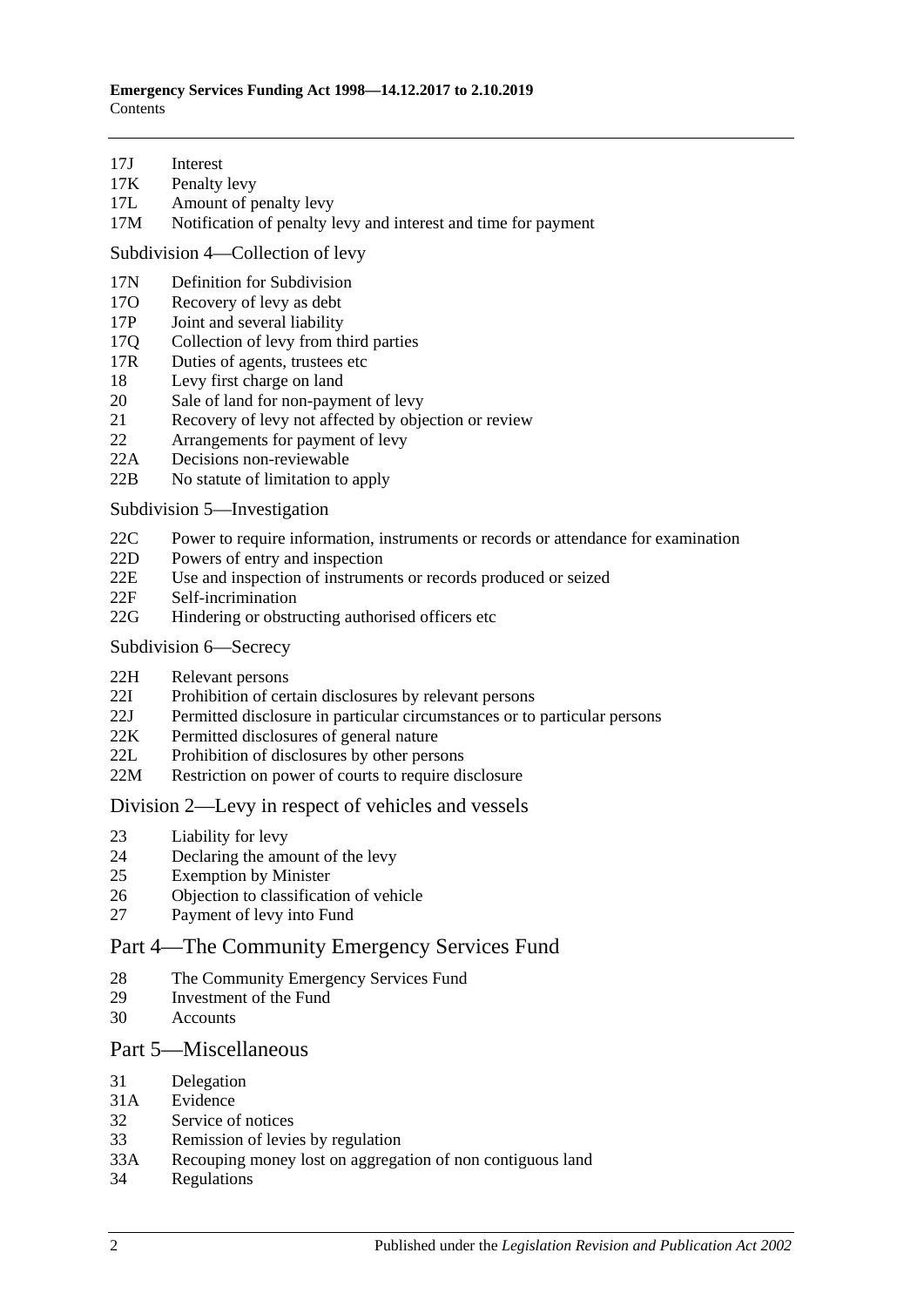- 17J [Interest](#page-14-5)
- 17K [Penalty levy](#page-15-0)
- 17L [Amount of penalty levy](#page-15-1)
- 17M [Notification of penalty levy and interest and time for payment](#page-16-0)

[Subdivision 4—Collection of levy](#page-16-1)

- 17N [Definition for](#page-16-2) Subdivision
- 17O [Recovery of levy as debt](#page-16-3)
- 17P [Joint and several liability](#page-16-4)
- 17Q [Collection of levy from third parties](#page-16-5)
- 17R [Duties of agents, trustees etc](#page-17-0)
- 18 [Levy first charge on land](#page-18-0)
- 20 [Sale of land for non-payment of levy](#page-18-1)
- 21 [Recovery of levy not affected by objection or review](#page-19-0)
- 22 [Arrangements for payment of levy](#page-20-0)
- 22A [Decisions non-reviewable](#page-20-1)
- 22B [No statute of limitation to apply](#page-20-2)

[Subdivision 5—Investigation](#page-20-3)

- 22C [Power to require information, instruments or records or attendance for examination](#page-20-4)
- 22D [Powers of entry and inspection](#page-21-0)
- 22E [Use and inspection of instruments or records produced or seized](#page-22-0)
- 22F [Self-incrimination](#page-22-1)
- 22G [Hindering or obstructing authorised officers etc](#page-22-2)
- [Subdivision 6—Secrecy](#page-23-0)
- 22H [Relevant persons](#page-23-1)
- 22I [Prohibition of certain disclosures by relevant persons](#page-23-2)
- 22J [Permitted disclosure in particular circumstances or to particular persons](#page-23-3)
- 22K [Permitted disclosures of general nature](#page-23-4)
- 22L [Prohibition of disclosures by other persons](#page-23-5)
- 22M [Restriction on power of courts to require disclosure](#page-24-0)

#### [Division 2—Levy in respect of vehicles and vessels](#page-24-1)

- 23 [Liability for levy](#page-24-2)
- 24 [Declaring the amount of the levy](#page-24-3)
- 25 [Exemption by Minister](#page-25-0)
- 26 [Objection to classification of vehicle](#page-25-1)
- 27 [Payment of levy into Fund](#page-26-0)

## [Part 4—The Community Emergency Services Fund](#page-26-1)

- 28 [The Community Emergency Services Fund](#page-26-2)
- 29 [Investment of the Fund](#page-27-0)
- 30 [Accounts](#page-27-1)

#### [Part 5—Miscellaneous](#page-27-2)

- 31 [Delegation](#page-27-3)<br>31A Evidence
- **[Evidence](#page-28-0)**
- 32 [Service of notices](#page-28-1)
- 33 [Remission of levies by regulation](#page-29-0)
- 33A [Recouping money lost on aggregation of non contiguous land](#page-29-1)
- 34 [Regulations](#page-29-2)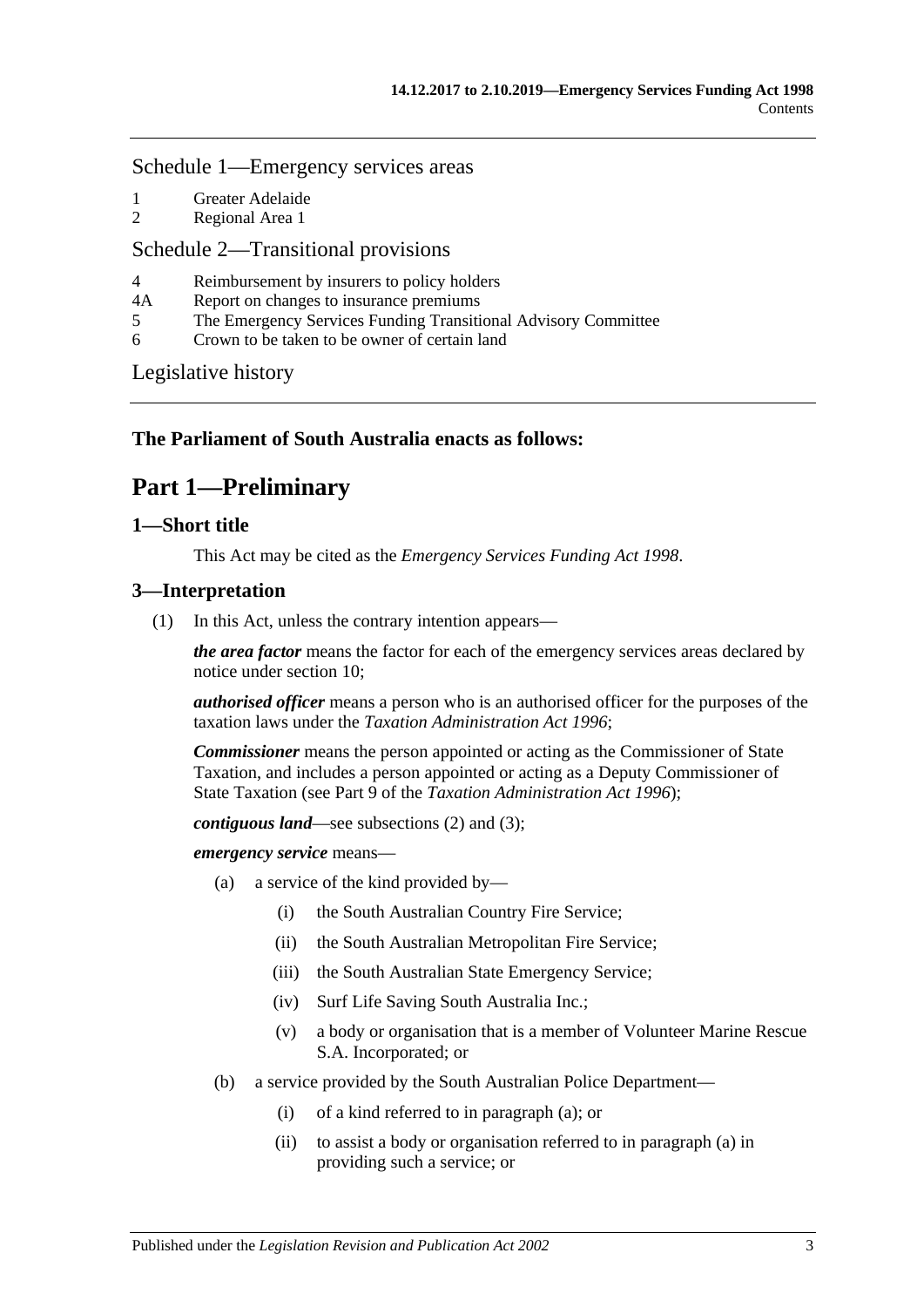#### [Schedule 1—Emergency services areas](#page-29-3)

- 1 [Greater Adelaide](#page-29-4)
- 2 [Regional Area 1](#page-30-0)

#### [Schedule 2—Transitional provisions](#page-31-0)

- 4 [Reimbursement by insurers to policy holders](#page-31-1)
- 4A [Report on changes to insurance premiums](#page-31-2)
- 5 [The Emergency Services Funding Transitional Advisory Committee](#page-31-3)
- 6 [Crown to be taken to be owner of certain land](#page-32-0)

[Legislative history](#page-34-0)

## <span id="page-2-0"></span>**The Parliament of South Australia enacts as follows:**

## **Part 1—Preliminary**

#### <span id="page-2-1"></span>**1—Short title**

This Act may be cited as the *Emergency Services Funding Act 1998*.

#### <span id="page-2-5"></span><span id="page-2-2"></span>**3—Interpretation**

(1) In this Act, unless the contrary intention appears—

*the area factor* means the factor for each of the emergency services areas declared by notice under [section](#page-9-0) 10;

*authorised officer* means a person who is an authorised officer for the purposes of the taxation laws under the *[Taxation Administration Act](http://www.legislation.sa.gov.au/index.aspx?action=legref&type=act&legtitle=Taxation%20Administration%20Act%201996) 1996*;

*Commissioner* means the person appointed or acting as the Commissioner of State Taxation, and includes a person appointed or acting as a Deputy Commissioner of State Taxation (see Part 9 of the *[Taxation Administration Act](http://www.legislation.sa.gov.au/index.aspx?action=legref&type=act&legtitle=Taxation%20Administration%20Act%201996) 1996*);

*contiguous land*—see [subsections](#page-4-5) (2) and [\(3\);](#page-4-6)

<span id="page-2-3"></span>*emergency service* means—

- (a) a service of the kind provided by—
	- (i) the South Australian Country Fire Service;
	- (ii) the South Australian Metropolitan Fire Service;
	- (iii) the South Australian State Emergency Service;
	- (iv) Surf Life Saving South Australia Inc.;
	- (v) a body or organisation that is a member of Volunteer Marine Rescue S.A. Incorporated; or
- <span id="page-2-4"></span>(b) a service provided by the South Australian Police Department—
	- (i) of a kind referred to in [paragraph](#page-2-3) (a); or
	- (ii) to assist a body or organisation referred to in [paragraph](#page-2-3) (a) in providing such a service; or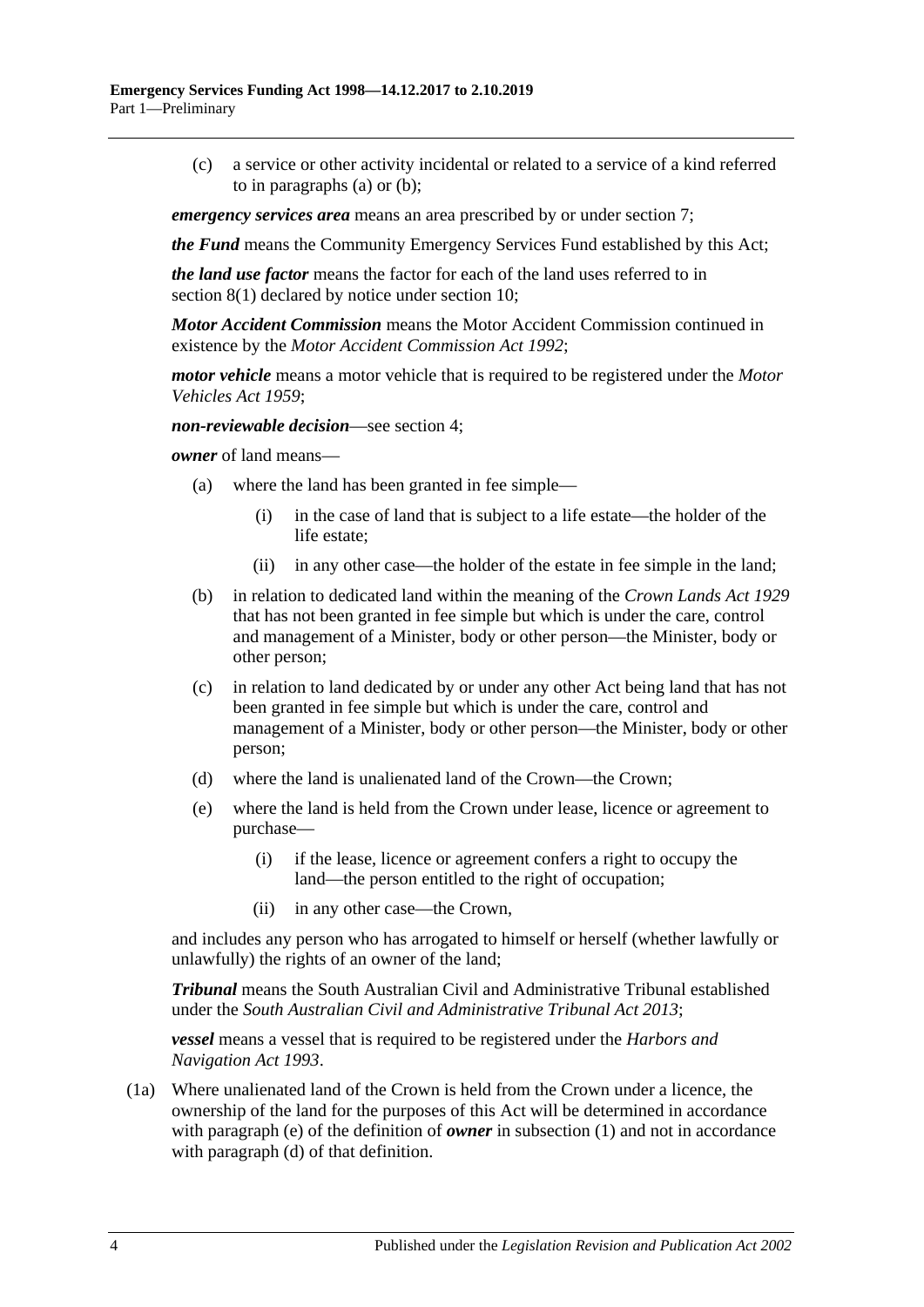(c) a service or other activity incidental or related to a service of a kind referred to in [paragraphs](#page-2-3) (a) or [\(b\);](#page-2-4)

*emergency services area* means an area prescribed by or under [section](#page-7-0) 7;

*the Fund* means the Community Emergency Services Fund established by this Act;

*the land use factor* means the factor for each of the land uses referred to in [section](#page-7-2) 8(1) declared by notice under [section](#page-9-0) 10;

*Motor Accident Commission* means the Motor Accident Commission continued in existence by the *[Motor Accident Commission Act](http://www.legislation.sa.gov.au/index.aspx?action=legref&type=act&legtitle=Motor%20Accident%20Commission%20Act%201992) 1992*;

*motor vehicle* means a motor vehicle that is required to be registered under the *[Motor](http://www.legislation.sa.gov.au/index.aspx?action=legref&type=act&legtitle=Motor%20Vehicles%20Act%201959)  [Vehicles Act](http://www.legislation.sa.gov.au/index.aspx?action=legref&type=act&legtitle=Motor%20Vehicles%20Act%201959) 1959*;

*non-reviewable decision*—see [section](#page-4-0) 4;

*owner* of land means—

- (a) where the land has been granted in fee simple—
	- (i) in the case of land that is subject to a life estate—the holder of the life estate;
	- (ii) in any other case—the holder of the estate in fee simple in the land;
- (b) in relation to dedicated land within the meaning of the *[Crown Lands Act](http://www.legislation.sa.gov.au/index.aspx?action=legref&type=act&legtitle=Crown%20Lands%20Act%201929) 1929* that has not been granted in fee simple but which is under the care, control and management of a Minister, body or other person—the Minister, body or other person;
- (c) in relation to land dedicated by or under any other Act being land that has not been granted in fee simple but which is under the care, control and management of a Minister, body or other person—the Minister, body or other person;
- <span id="page-3-1"></span>(d) where the land is unalienated land of the Crown—the Crown;
- <span id="page-3-0"></span>(e) where the land is held from the Crown under lease, licence or agreement to purchase—
	- (i) if the lease, licence or agreement confers a right to occupy the land—the person entitled to the right of occupation;
	- (ii) in any other case—the Crown,

and includes any person who has arrogated to himself or herself (whether lawfully or unlawfully) the rights of an owner of the land;

*Tribunal* means the South Australian Civil and Administrative Tribunal established under the *[South Australian Civil and Administrative Tribunal Act](http://www.legislation.sa.gov.au/index.aspx?action=legref&type=act&legtitle=South%20Australian%20Civil%20and%20Administrative%20Tribunal%20Act%202013) 2013*;

*vessel* means a vessel that is required to be registered under the *[Harbors and](http://www.legislation.sa.gov.au/index.aspx?action=legref&type=act&legtitle=Harbors%20and%20Navigation%20Act%201993)  [Navigation Act](http://www.legislation.sa.gov.au/index.aspx?action=legref&type=act&legtitle=Harbors%20and%20Navigation%20Act%201993) 1993*.

(1a) Where unalienated land of the Crown is held from the Crown under a licence, the ownership of the land for the purposes of this Act will be determined in accordance with [paragraph](#page-3-0) (e) of the definition of *owner* in [subsection](#page-2-5) (1) and not in accordance with [paragraph](#page-3-1) (d) of that definition.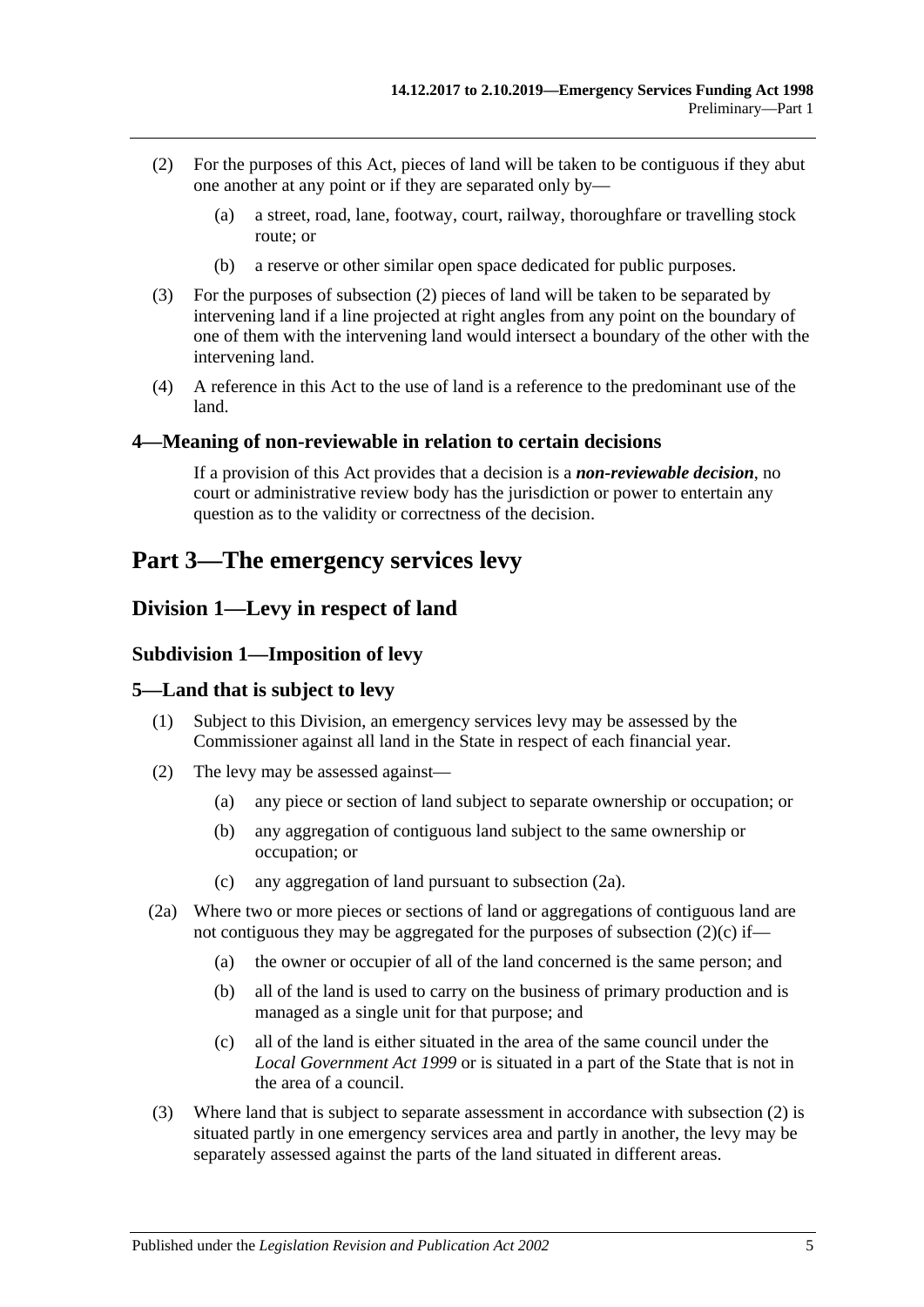- <span id="page-4-5"></span>(2) For the purposes of this Act, pieces of land will be taken to be contiguous if they abut one another at any point or if they are separated only by—
	- (a) a street, road, lane, footway, court, railway, thoroughfare or travelling stock route; or
	- (b) a reserve or other similar open space dedicated for public purposes.
- <span id="page-4-6"></span>(3) For the purposes of [subsection](#page-4-5) (2) pieces of land will be taken to be separated by intervening land if a line projected at right angles from any point on the boundary of one of them with the intervening land would intersect a boundary of the other with the intervening land.
- (4) A reference in this Act to the use of land is a reference to the predominant use of the land.

#### <span id="page-4-0"></span>**4—Meaning of non-reviewable in relation to certain decisions**

If a provision of this Act provides that a decision is a *non-reviewable decision*, no court or administrative review body has the jurisdiction or power to entertain any question as to the validity or correctness of the decision.

## <span id="page-4-1"></span>**Part 3—The emergency services levy**

## <span id="page-4-3"></span><span id="page-4-2"></span>**Division 1—Levy in respect of land**

#### **Subdivision 1—Imposition of levy**

#### <span id="page-4-4"></span>**5—Land that is subject to levy**

- (1) Subject to this Division, an emergency services levy may be assessed by the Commissioner against all land in the State in respect of each financial year.
- <span id="page-4-9"></span>(2) The levy may be assessed against—
	- (a) any piece or section of land subject to separate ownership or occupation; or
	- (b) any aggregation of contiguous land subject to the same ownership or occupation; or
	- (c) any aggregation of land pursuant to [subsection](#page-4-7) (2a).
- <span id="page-4-8"></span><span id="page-4-7"></span>(2a) Where two or more pieces or sections of land or aggregations of contiguous land are not contiguous they may be aggregated for the purposes of [subsection](#page-4-8)  $(2)(c)$  if—
	- (a) the owner or occupier of all of the land concerned is the same person; and
	- (b) all of the land is used to carry on the business of primary production and is managed as a single unit for that purpose; and
	- (c) all of the land is either situated in the area of the same council under the *[Local Government Act](http://www.legislation.sa.gov.au/index.aspx?action=legref&type=act&legtitle=Local%20Government%20Act%201999) 1999* or is situated in a part of the State that is not in the area of a council.
- (3) Where land that is subject to separate assessment in accordance with [subsection](#page-4-9) (2) is situated partly in one emergency services area and partly in another, the levy may be separately assessed against the parts of the land situated in different areas.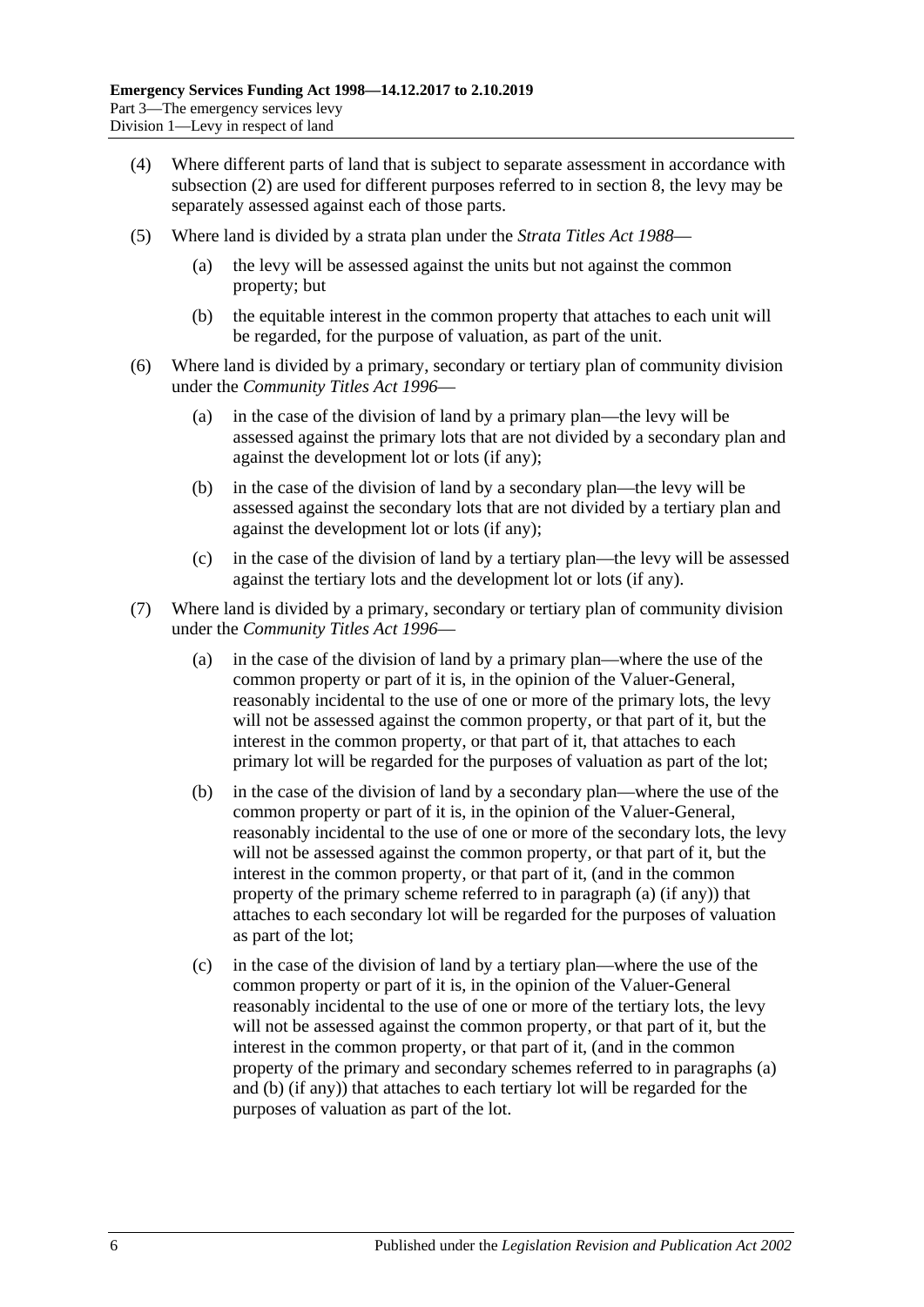- (4) Where different parts of land that is subject to separate assessment in accordance with [subsection](#page-4-9) (2) are used for different purposes referred to in [section](#page-7-1) 8, the levy may be separately assessed against each of those parts.
- (5) Where land is divided by a strata plan under the *[Strata Titles Act](http://www.legislation.sa.gov.au/index.aspx?action=legref&type=act&legtitle=Strata%20Titles%20Act%201988) 1988*
	- the levy will be assessed against the units but not against the common property; but
	- (b) the equitable interest in the common property that attaches to each unit will be regarded, for the purpose of valuation, as part of the unit.
- (6) Where land is divided by a primary, secondary or tertiary plan of community division under the *[Community Titles Act](http://www.legislation.sa.gov.au/index.aspx?action=legref&type=act&legtitle=Community%20Titles%20Act%201996) 1996*—
	- (a) in the case of the division of land by a primary plan—the levy will be assessed against the primary lots that are not divided by a secondary plan and against the development lot or lots (if any);
	- (b) in the case of the division of land by a secondary plan—the levy will be assessed against the secondary lots that are not divided by a tertiary plan and against the development lot or lots (if any);
	- (c) in the case of the division of land by a tertiary plan—the levy will be assessed against the tertiary lots and the development lot or lots (if any).
- <span id="page-5-1"></span><span id="page-5-0"></span>(7) Where land is divided by a primary, secondary or tertiary plan of community division under the *[Community Titles](http://www.legislation.sa.gov.au/index.aspx?action=legref&type=act&legtitle=Community%20Titles%20Act%201996) Act 1996*—
	- (a) in the case of the division of land by a primary plan—where the use of the common property or part of it is, in the opinion of the Valuer-General, reasonably incidental to the use of one or more of the primary lots, the levy will not be assessed against the common property, or that part of it, but the interest in the common property, or that part of it, that attaches to each primary lot will be regarded for the purposes of valuation as part of the lot;
	- (b) in the case of the division of land by a secondary plan—where the use of the common property or part of it is, in the opinion of the Valuer-General, reasonably incidental to the use of one or more of the secondary lots, the levy will not be assessed against the common property, or that part of it, but the interest in the common property, or that part of it, (and in the common property of the primary scheme referred to in [paragraph](#page-5-0) (a) (if any)) that attaches to each secondary lot will be regarded for the purposes of valuation as part of the lot;
	- (c) in the case of the division of land by a tertiary plan—where the use of the common property or part of it is, in the opinion of the Valuer-General reasonably incidental to the use of one or more of the tertiary lots, the levy will not be assessed against the common property, or that part of it, but the interest in the common property, or that part of it, (and in the common property of the primary and secondary schemes referred to in [paragraphs](#page-5-0) (a) and [\(b\)](#page-5-1) (if any)) that attaches to each tertiary lot will be regarded for the purposes of valuation as part of the lot.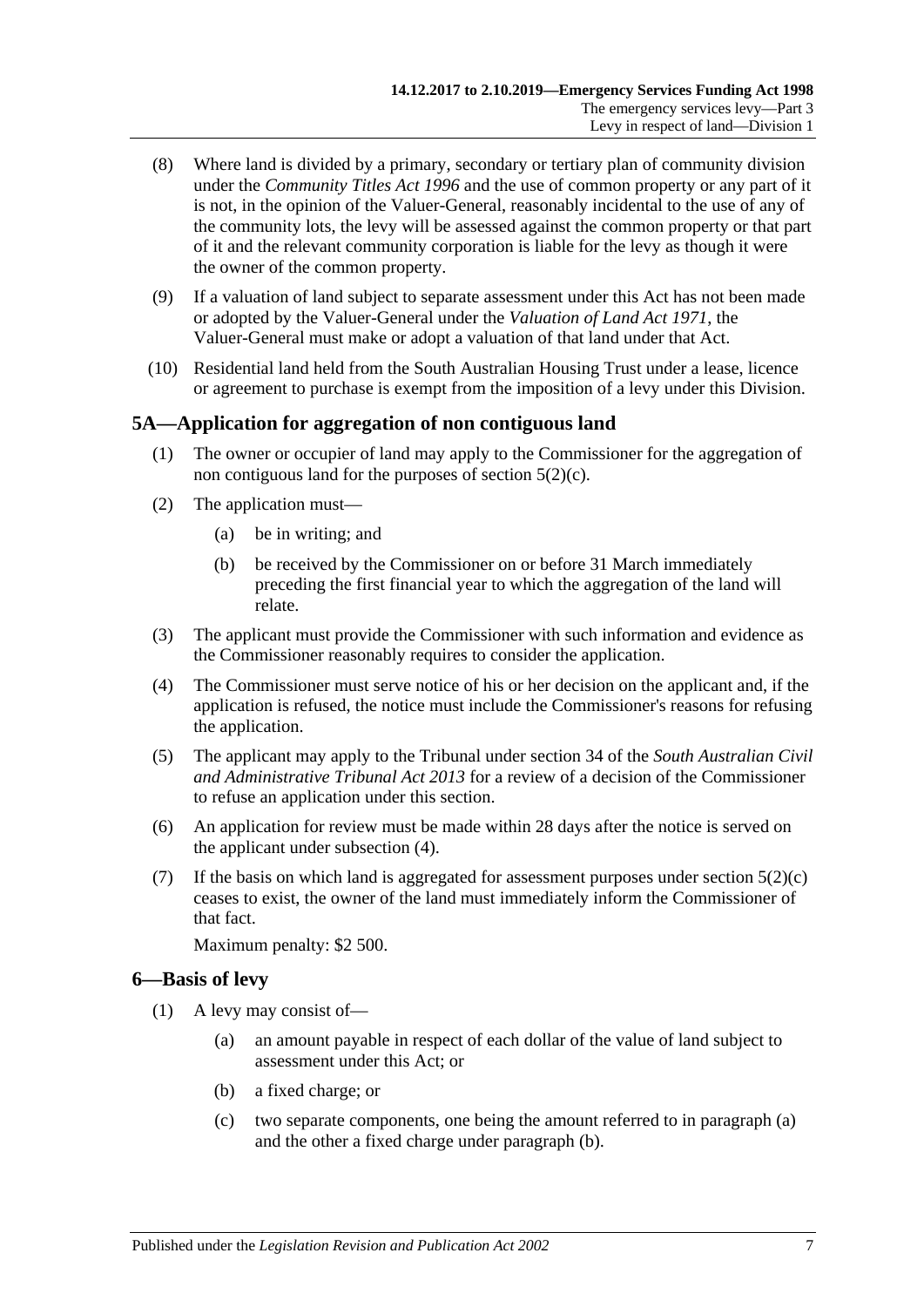- (8) Where land is divided by a primary, secondary or tertiary plan of community division under the *[Community Titles Act](http://www.legislation.sa.gov.au/index.aspx?action=legref&type=act&legtitle=Community%20Titles%20Act%201996) 1996* and the use of common property or any part of it is not, in the opinion of the Valuer-General, reasonably incidental to the use of any of the community lots, the levy will be assessed against the common property or that part of it and the relevant community corporation is liable for the levy as though it were the owner of the common property.
- (9) If a valuation of land subject to separate assessment under this Act has not been made or adopted by the Valuer-General under the *[Valuation of Land Act](http://www.legislation.sa.gov.au/index.aspx?action=legref&type=act&legtitle=Valuation%20of%20Land%20Act%201971) 1971*, the Valuer-General must make or adopt a valuation of that land under that Act.
- (10) Residential land held from the South Australian Housing Trust under a lease, licence or agreement to purchase is exempt from the imposition of a levy under this Division.

## <span id="page-6-0"></span>**5A—Application for aggregation of non contiguous land**

- (1) The owner or occupier of land may apply to the Commissioner for the aggregation of non contiguous land for the purposes of [section](#page-4-8) 5(2)(c).
- (2) The application must—
	- (a) be in writing; and
	- (b) be received by the Commissioner on or before 31 March immediately preceding the first financial year to which the aggregation of the land will relate.
- (3) The applicant must provide the Commissioner with such information and evidence as the Commissioner reasonably requires to consider the application.
- <span id="page-6-2"></span>(4) The Commissioner must serve notice of his or her decision on the applicant and, if the application is refused, the notice must include the Commissioner's reasons for refusing the application.
- (5) The applicant may apply to the Tribunal under section 34 of the *[South Australian Civil](http://www.legislation.sa.gov.au/index.aspx?action=legref&type=act&legtitle=South%20Australian%20Civil%20and%20Administrative%20Tribunal%20Act%202013)  [and Administrative Tribunal Act](http://www.legislation.sa.gov.au/index.aspx?action=legref&type=act&legtitle=South%20Australian%20Civil%20and%20Administrative%20Tribunal%20Act%202013) 2013* for a review of a decision of the Commissioner to refuse an application under this section.
- (6) An application for review must be made within 28 days after the notice is served on the applicant under [subsection](#page-6-2) (4).
- (7) If the basis on which land is aggregated for assessment purposes under [section](#page-4-8)  $5(2)(c)$ ceases to exist, the owner of the land must immediately inform the Commissioner of that fact.

Maximum penalty: \$2 500.

## <span id="page-6-5"></span><span id="page-6-1"></span>**6—Basis of levy**

- <span id="page-6-4"></span><span id="page-6-3"></span>(1) A levy may consist of—
	- (a) an amount payable in respect of each dollar of the value of land subject to assessment under this Act; or
	- (b) a fixed charge; or
	- (c) two separate components, one being the amount referred to in [paragraph](#page-6-3) (a) and the other a fixed charge under [paragraph](#page-6-4) (b).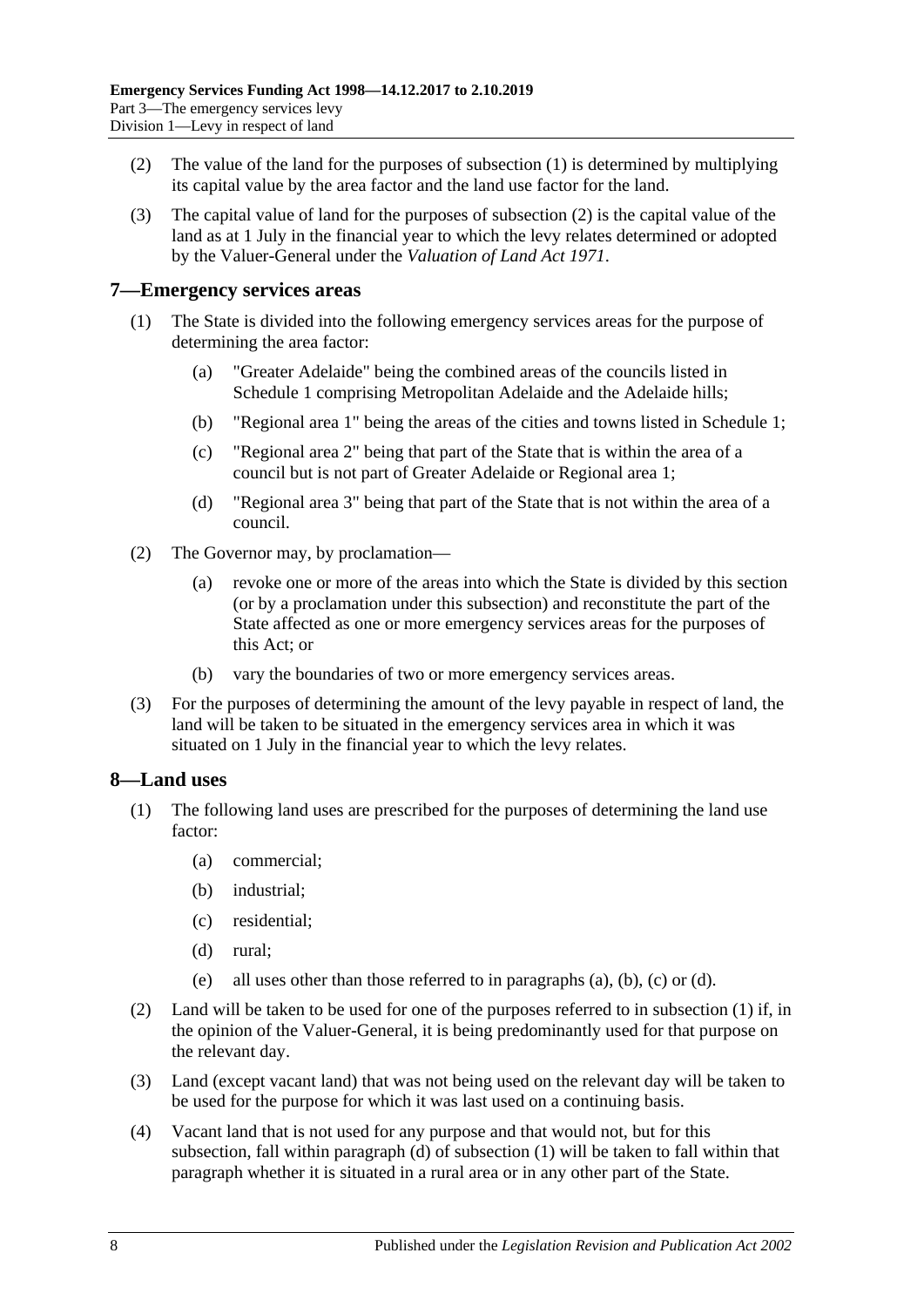- <span id="page-7-3"></span>(2) The value of the land for the purposes of [subsection](#page-6-5) (1) is determined by multiplying its capital value by the area factor and the land use factor for the land.
- (3) The capital value of land for the purposes of [subsection](#page-7-3) (2) is the capital value of the land as at 1 July in the financial year to which the levy relates determined or adopted by the Valuer-General under the *[Valuation of Land Act](http://www.legislation.sa.gov.au/index.aspx?action=legref&type=act&legtitle=Valuation%20of%20Land%20Act%201971) 1971*.

## <span id="page-7-0"></span>**7—Emergency services areas**

- (1) The State is divided into the following emergency services areas for the purpose of determining the area factor:
	- (a) "Greater Adelaide" being the combined areas of the councils listed in [Schedule 1](#page-29-3) comprising Metropolitan Adelaide and the Adelaide hills;
	- (b) "Regional area 1" being the areas of the cities and towns listed in [Schedule 1;](#page-29-3)
	- (c) "Regional area 2" being that part of the State that is within the area of a council but is not part of Greater Adelaide or Regional area 1;
	- (d) "Regional area 3" being that part of the State that is not within the area of a council.
- (2) The Governor may, by proclamation—
	- (a) revoke one or more of the areas into which the State is divided by this section (or by a proclamation under this subsection) and reconstitute the part of the State affected as one or more emergency services areas for the purposes of this Act; or
	- (b) vary the boundaries of two or more emergency services areas.
- (3) For the purposes of determining the amount of the levy payable in respect of land, the land will be taken to be situated in the emergency services area in which it was situated on 1 July in the financial year to which the levy relates.

## <span id="page-7-2"></span><span id="page-7-1"></span>**8—Land uses**

- <span id="page-7-6"></span><span id="page-7-5"></span><span id="page-7-4"></span>(1) The following land uses are prescribed for the purposes of determining the land use factor:
	- (a) commercial;
	- (b) industrial;
	- (c) residential;
	- (d) rural;
	- (e) all uses other than those referred to in [paragraphs](#page-7-4) (a), [\(b\),](#page-7-5) [\(c\)](#page-7-6) or [\(d\).](#page-7-7)
- <span id="page-7-7"></span>(2) Land will be taken to be used for one of the purposes referred to in [subsection](#page-7-2) (1) if, in the opinion of the Valuer-General, it is being predominantly used for that purpose on the relevant day.
- (3) Land (except vacant land) that was not being used on the relevant day will be taken to be used for the purpose for which it was last used on a continuing basis.
- (4) Vacant land that is not used for any purpose and that would not, but for this subsection, fall within [paragraph](#page-7-7) (d) of [subsection](#page-7-2) (1) will be taken to fall within that paragraph whether it is situated in a rural area or in any other part of the State.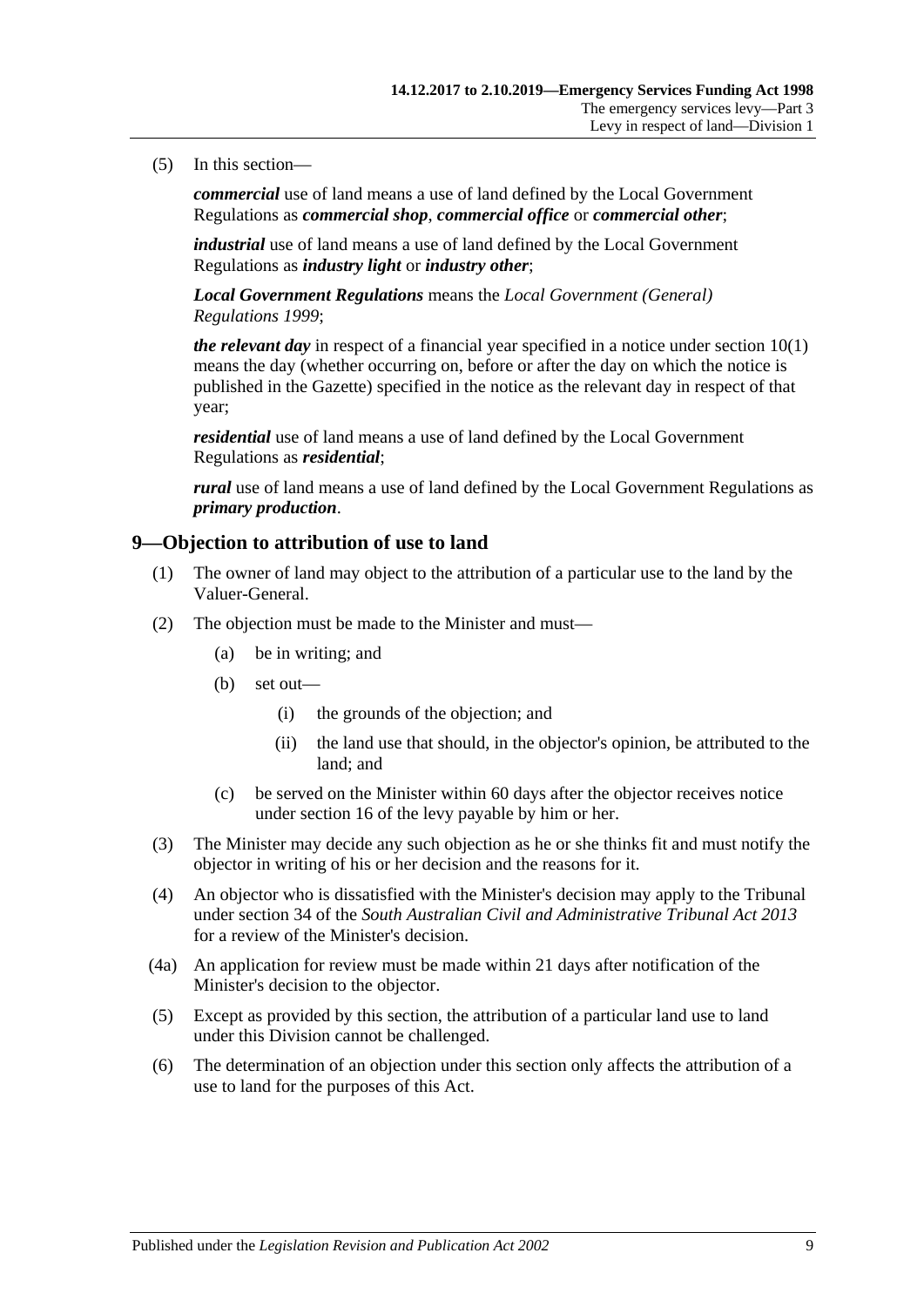#### (5) In this section—

*commercial* use of land means a use of land defined by the Local Government Regulations as *commercial shop*, *commercial office* or *commercial other*;

*industrial* use of land means a use of land defined by the Local Government Regulations as *industry light* or *industry other*;

*Local Government Regulations* means the *[Local Government \(General\)](http://www.legislation.sa.gov.au/index.aspx?action=legref&type=act&legtitle=Local%20Government%20(General)%20Regulations%201999)  [Regulations](http://www.legislation.sa.gov.au/index.aspx?action=legref&type=act&legtitle=Local%20Government%20(General)%20Regulations%201999) 1999*;

*the relevant day* in respect of a financial year specified in a notice under [section](#page-9-1) 10(1) means the day (whether occurring on, before or after the day on which the notice is published in the Gazette) specified in the notice as the relevant day in respect of that year;

*residential* use of land means a use of land defined by the Local Government Regulations as *residential*;

*rural* use of land means a use of land defined by the Local Government Regulations as *primary production*.

## <span id="page-8-0"></span>**9—Objection to attribution of use to land**

- (1) The owner of land may object to the attribution of a particular use to the land by the Valuer-General.
- (2) The objection must be made to the Minister and must—
	- (a) be in writing; and
	- (b) set out—
		- (i) the grounds of the objection; and
		- (ii) the land use that should, in the objector's opinion, be attributed to the land; and
	- (c) be served on the Minister within 60 days after the objector receives notice under [section](#page-12-0) 16 of the levy payable by him or her.
- (3) The Minister may decide any such objection as he or she thinks fit and must notify the objector in writing of his or her decision and the reasons for it.
- (4) An objector who is dissatisfied with the Minister's decision may apply to the Tribunal under section 34 of the *[South Australian Civil and Administrative Tribunal Act](http://www.legislation.sa.gov.au/index.aspx?action=legref&type=act&legtitle=South%20Australian%20Civil%20and%20Administrative%20Tribunal%20Act%202013) 2013* for a review of the Minister's decision.
- (4a) An application for review must be made within 21 days after notification of the Minister's decision to the objector.
- (5) Except as provided by this section, the attribution of a particular land use to land under this Division cannot be challenged.
- (6) The determination of an objection under this section only affects the attribution of a use to land for the purposes of this Act.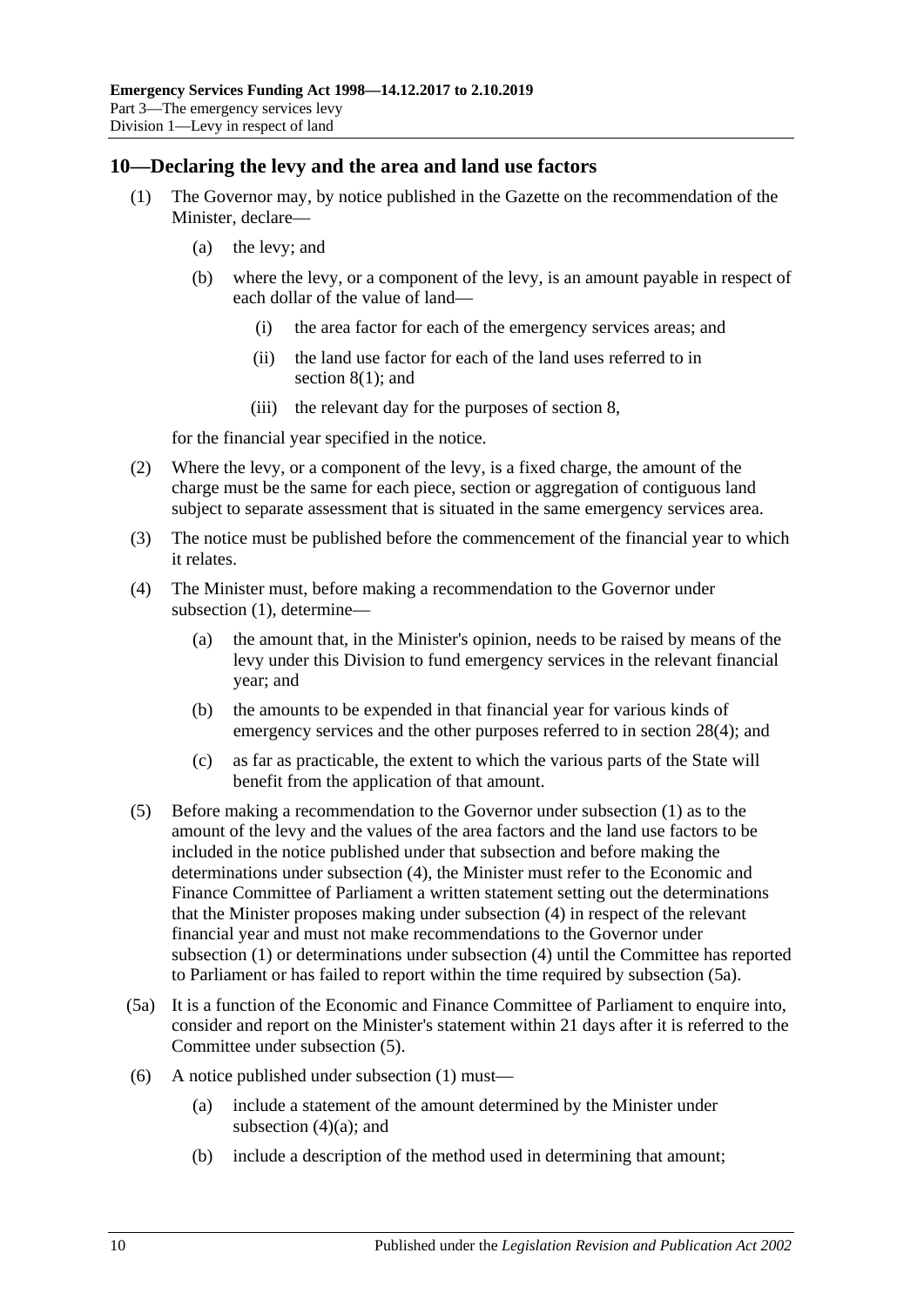## <span id="page-9-1"></span><span id="page-9-0"></span>**10—Declaring the levy and the area and land use factors**

- (1) The Governor may, by notice published in the Gazette on the recommendation of the Minister, declare—
	- (a) the levy; and
	- (b) where the levy, or a component of the levy, is an amount payable in respect of each dollar of the value of land—
		- (i) the area factor for each of the emergency services areas; and
		- (ii) the land use factor for each of the land uses referred to in [section](#page-7-2) 8(1); and
		- (iii) the relevant day for the purposes of [section](#page-7-1) 8,

for the financial year specified in the notice.

- (2) Where the levy, or a component of the levy, is a fixed charge, the amount of the charge must be the same for each piece, section or aggregation of contiguous land subject to separate assessment that is situated in the same emergency services area.
- (3) The notice must be published before the commencement of the financial year to which it relates.
- <span id="page-9-5"></span><span id="page-9-2"></span>(4) The Minister must, before making a recommendation to the Governor under [subsection](#page-9-1) (1), determine—
	- (a) the amount that, in the Minister's opinion, needs to be raised by means of the levy under this Division to fund emergency services in the relevant financial year; and
	- (b) the amounts to be expended in that financial year for various kinds of emergency services and the other purposes referred to in [section](#page-27-4) 28(4); and
	- (c) as far as practicable, the extent to which the various parts of the State will benefit from the application of that amount.
- <span id="page-9-4"></span>(5) Before making a recommendation to the Governor under [subsection](#page-9-1) (1) as to the amount of the levy and the values of the area factors and the land use factors to be included in the notice published under that subsection and before making the determinations under [subsection](#page-9-2) (4), the Minister must refer to the Economic and Finance Committee of Parliament a written statement setting out the determinations that the Minister proposes making under [subsection](#page-9-2) (4) in respect of the relevant financial year and must not make recommendations to the Governor under [subsection](#page-9-1) (1) or determinations under [subsection](#page-9-2) (4) until the Committee has reported to Parliament or has failed to report within the time required by [subsection](#page-9-3) (5a).
- <span id="page-9-3"></span>(5a) It is a function of the Economic and Finance Committee of Parliament to enquire into, consider and report on the Minister's statement within 21 days after it is referred to the Committee under [subsection](#page-9-4) (5).
- (6) A notice published under [subsection](#page-9-1) (1) must—
	- (a) include a statement of the amount determined by the Minister under [subsection](#page-9-5)  $(4)(a)$ ; and
	- (b) include a description of the method used in determining that amount;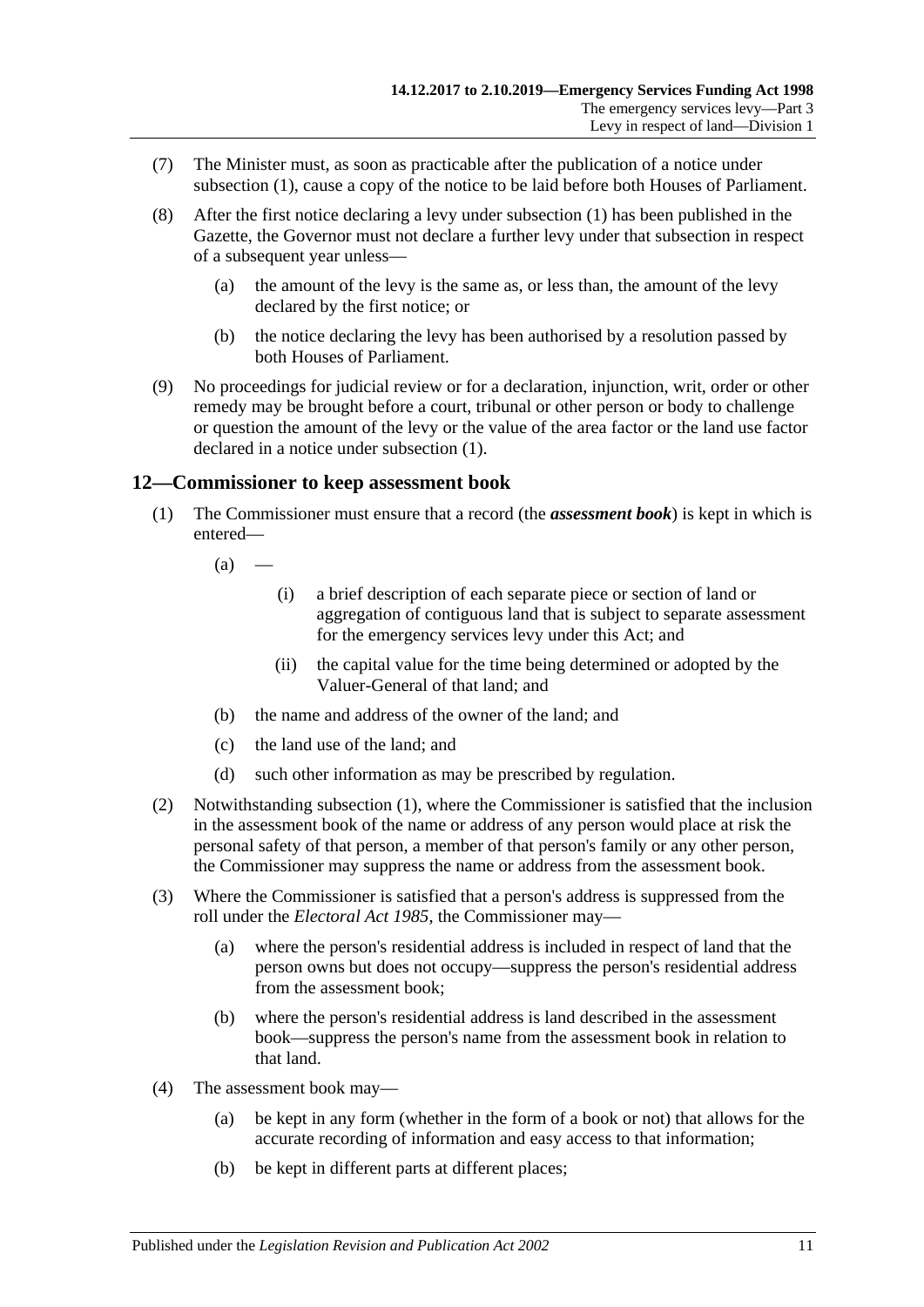- (7) The Minister must, as soon as practicable after the publication of a notice under [subsection](#page-9-1) (1), cause a copy of the notice to be laid before both Houses of Parliament.
- (8) After the first notice declaring a levy under [subsection](#page-9-1) (1) has been published in the Gazette, the Governor must not declare a further levy under that subsection in respect of a subsequent year unless—
	- (a) the amount of the levy is the same as, or less than, the amount of the levy declared by the first notice; or
	- (b) the notice declaring the levy has been authorised by a resolution passed by both Houses of Parliament.
- (9) No proceedings for judicial review or for a declaration, injunction, writ, order or other remedy may be brought before a court, tribunal or other person or body to challenge or question the amount of the levy or the value of the area factor or the land use factor declared in a notice under [subsection](#page-9-1) (1).

## <span id="page-10-1"></span><span id="page-10-0"></span>**12—Commissioner to keep assessment book**

(1) The Commissioner must ensure that a record (the *assessment book*) is kept in which is entered—

 $(a)$  —

- (i) a brief description of each separate piece or section of land or aggregation of contiguous land that is subject to separate assessment for the emergency services levy under this Act; and
- (ii) the capital value for the time being determined or adopted by the Valuer-General of that land; and
- (b) the name and address of the owner of the land; and
- (c) the land use of the land; and
- (d) such other information as may be prescribed by regulation.
- (2) Notwithstanding [subsection](#page-10-1) (1), where the Commissioner is satisfied that the inclusion in the assessment book of the name or address of any person would place at risk the personal safety of that person, a member of that person's family or any other person, the Commissioner may suppress the name or address from the assessment book.
- (3) Where the Commissioner is satisfied that a person's address is suppressed from the roll under the *[Electoral Act](http://www.legislation.sa.gov.au/index.aspx?action=legref&type=act&legtitle=Electoral%20Act%201985) 1985*, the Commissioner may—
	- (a) where the person's residential address is included in respect of land that the person owns but does not occupy—suppress the person's residential address from the assessment book;
	- (b) where the person's residential address is land described in the assessment book—suppress the person's name from the assessment book in relation to that land.
- (4) The assessment book may—
	- (a) be kept in any form (whether in the form of a book or not) that allows for the accurate recording of information and easy access to that information;
	- (b) be kept in different parts at different places;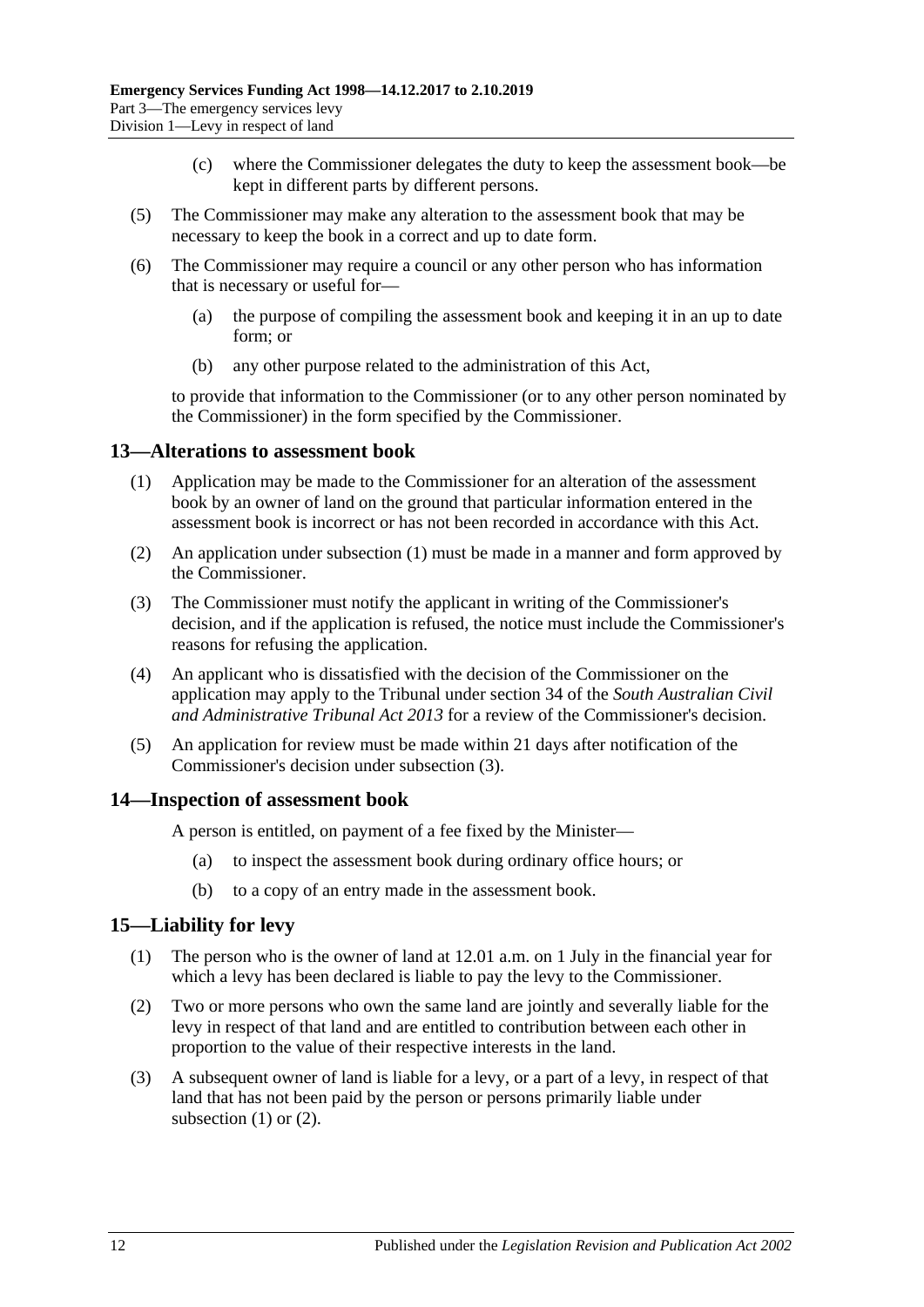- (c) where the Commissioner delegates the duty to keep the assessment book—be kept in different parts by different persons.
- (5) The Commissioner may make any alteration to the assessment book that may be necessary to keep the book in a correct and up to date form.
- (6) The Commissioner may require a council or any other person who has information that is necessary or useful for—
	- (a) the purpose of compiling the assessment book and keeping it in an up to date form; or
	- (b) any other purpose related to the administration of this Act,

to provide that information to the Commissioner (or to any other person nominated by the Commissioner) in the form specified by the Commissioner.

#### <span id="page-11-3"></span><span id="page-11-0"></span>**13—Alterations to assessment book**

- (1) Application may be made to the Commissioner for an alteration of the assessment book by an owner of land on the ground that particular information entered in the assessment book is incorrect or has not been recorded in accordance with this Act.
- (2) An application under [subsection](#page-11-3) (1) must be made in a manner and form approved by the Commissioner.
- <span id="page-11-4"></span>(3) The Commissioner must notify the applicant in writing of the Commissioner's decision, and if the application is refused, the notice must include the Commissioner's reasons for refusing the application.
- (4) An applicant who is dissatisfied with the decision of the Commissioner on the application may apply to the Tribunal under section 34 of the *[South Australian Civil](http://www.legislation.sa.gov.au/index.aspx?action=legref&type=act&legtitle=South%20Australian%20Civil%20and%20Administrative%20Tribunal%20Act%202013)  [and Administrative Tribunal Act](http://www.legislation.sa.gov.au/index.aspx?action=legref&type=act&legtitle=South%20Australian%20Civil%20and%20Administrative%20Tribunal%20Act%202013) 2013* for a review of the Commissioner's decision.
- (5) An application for review must be made within 21 days after notification of the Commissioner's decision under [subsection](#page-11-4) (3).

#### <span id="page-11-1"></span>**14—Inspection of assessment book**

A person is entitled, on payment of a fee fixed by the Minister—

- (a) to inspect the assessment book during ordinary office hours; or
- (b) to a copy of an entry made in the assessment book.

#### <span id="page-11-5"></span><span id="page-11-2"></span>**15—Liability for levy**

- (1) The person who is the owner of land at 12.01 a.m. on 1 July in the financial year for which a levy has been declared is liable to pay the levy to the Commissioner.
- <span id="page-11-6"></span>(2) Two or more persons who own the same land are jointly and severally liable for the levy in respect of that land and are entitled to contribution between each other in proportion to the value of their respective interests in the land.
- (3) A subsequent owner of land is liable for a levy, or a part of a levy, in respect of that land that has not been paid by the person or persons primarily liable under [subsection](#page-11-5)  $(1)$  or  $(2)$ .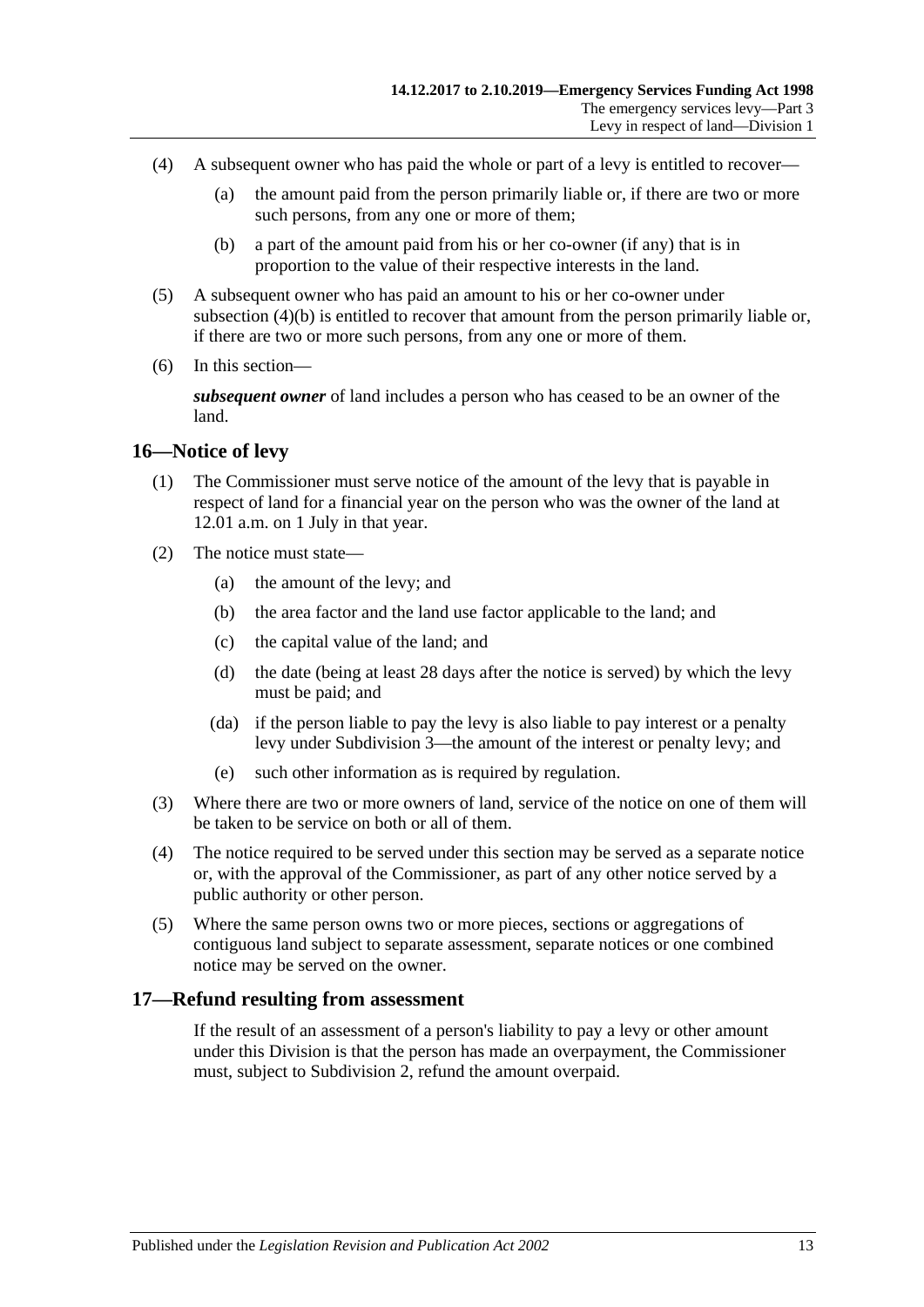- (4) A subsequent owner who has paid the whole or part of a levy is entitled to recover—
	- (a) the amount paid from the person primarily liable or, if there are two or more such persons, from any one or more of them;
	- (b) a part of the amount paid from his or her co-owner (if any) that is in proportion to the value of their respective interests in the land.
- <span id="page-12-2"></span>(5) A subsequent owner who has paid an amount to his or her co-owner under [subsection](#page-12-2) (4)(b) is entitled to recover that amount from the person primarily liable or, if there are two or more such persons, from any one or more of them.
- (6) In this section—

*subsequent owner* of land includes a person who has ceased to be an owner of the land.

#### <span id="page-12-0"></span>**16—Notice of levy**

- (1) The Commissioner must serve notice of the amount of the levy that is payable in respect of land for a financial year on the person who was the owner of the land at 12.01 a.m. on 1 July in that year.
- (2) The notice must state—
	- (a) the amount of the levy; and
	- (b) the area factor and the land use factor applicable to the land; and
	- (c) the capital value of the land; and
	- (d) the date (being at least 28 days after the notice is served) by which the levy must be paid; and
	- (da) if the person liable to pay the levy is also liable to pay interest or a penalty levy under [Subdivision 3—](#page-14-2)the amount of the interest or penalty levy; and
	- (e) such other information as is required by regulation.
- (3) Where there are two or more owners of land, service of the notice on one of them will be taken to be service on both or all of them.
- (4) The notice required to be served under this section may be served as a separate notice or, with the approval of the Commissioner, as part of any other notice served by a public authority or other person.
- (5) Where the same person owns two or more pieces, sections or aggregations of contiguous land subject to separate assessment, separate notices or one combined notice may be served on the owner.

## <span id="page-12-1"></span>**17—Refund resulting from assessment**

If the result of an assessment of a person's liability to pay a levy or other amount under this Division is that the person has made an overpayment, the Commissioner must, subject to [Subdivision 2,](#page-13-2) refund the amount overpaid.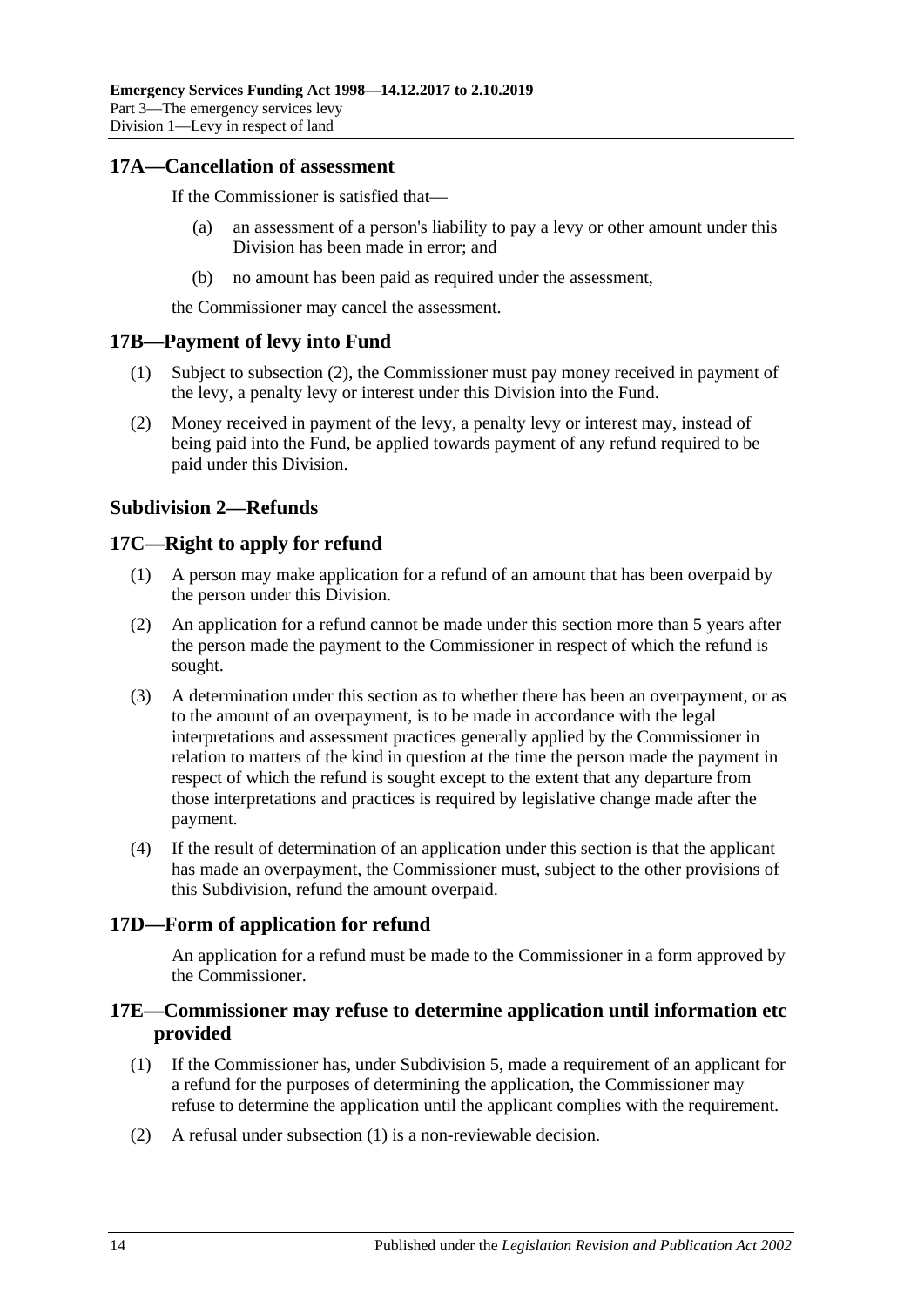## <span id="page-13-0"></span>**17A—Cancellation of assessment**

If the Commissioner is satisfied that—

- (a) an assessment of a person's liability to pay a levy or other amount under this Division has been made in error; and
- (b) no amount has been paid as required under the assessment,

the Commissioner may cancel the assessment.

#### <span id="page-13-1"></span>**17B—Payment of levy into Fund**

- (1) Subject to [subsection](#page-13-6) (2), the Commissioner must pay money received in payment of the levy, a penalty levy or interest under this Division into the Fund.
- <span id="page-13-6"></span>(2) Money received in payment of the levy, a penalty levy or interest may, instead of being paid into the Fund, be applied towards payment of any refund required to be paid under this Division.

## <span id="page-13-2"></span>**Subdivision 2—Refunds**

## <span id="page-13-3"></span>**17C—Right to apply for refund**

- (1) A person may make application for a refund of an amount that has been overpaid by the person under this Division.
- (2) An application for a refund cannot be made under this section more than 5 years after the person made the payment to the Commissioner in respect of which the refund is sought.
- (3) A determination under this section as to whether there has been an overpayment, or as to the amount of an overpayment, is to be made in accordance with the legal interpretations and assessment practices generally applied by the Commissioner in relation to matters of the kind in question at the time the person made the payment in respect of which the refund is sought except to the extent that any departure from those interpretations and practices is required by legislative change made after the payment.
- (4) If the result of determination of an application under this section is that the applicant has made an overpayment, the Commissioner must, subject to the other provisions of this Subdivision, refund the amount overpaid.

## <span id="page-13-4"></span>**17D—Form of application for refund**

An application for a refund must be made to the Commissioner in a form approved by the Commissioner.

## <span id="page-13-5"></span>**17E—Commissioner may refuse to determine application until information etc provided**

- <span id="page-13-7"></span>(1) If the Commissioner has, under [Subdivision 5,](#page-20-3) made a requirement of an applicant for a refund for the purposes of determining the application, the Commissioner may refuse to determine the application until the applicant complies with the requirement.
- (2) A refusal under [subsection](#page-13-7) (1) is a non-reviewable decision.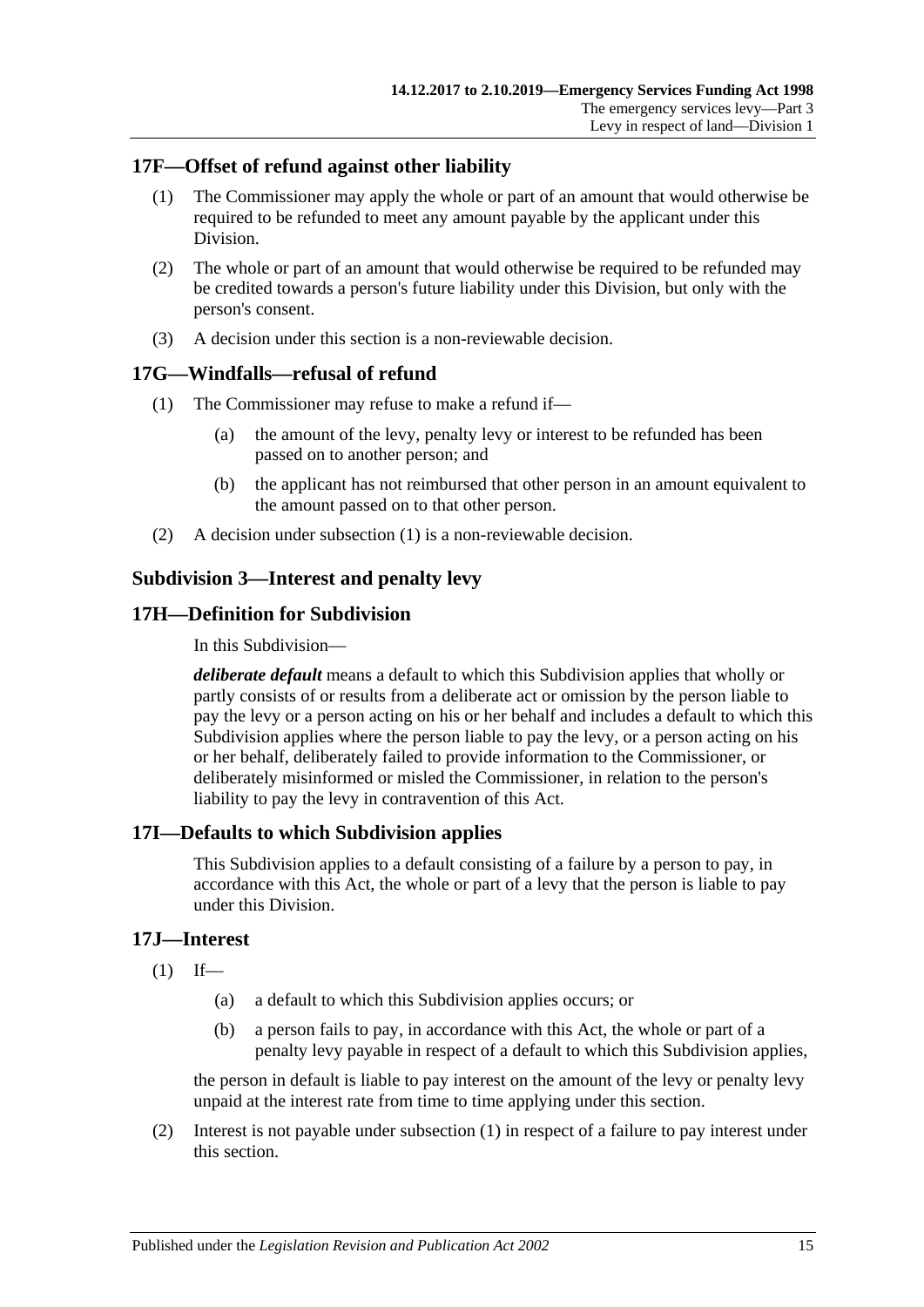## <span id="page-14-0"></span>**17F—Offset of refund against other liability**

- (1) The Commissioner may apply the whole or part of an amount that would otherwise be required to be refunded to meet any amount payable by the applicant under this Division.
- (2) The whole or part of an amount that would otherwise be required to be refunded may be credited towards a person's future liability under this Division, but only with the person's consent.
- (3) A decision under this section is a non-reviewable decision.

## <span id="page-14-6"></span><span id="page-14-1"></span>**17G—Windfalls—refusal of refund**

- (1) The Commissioner may refuse to make a refund if—
	- (a) the amount of the levy, penalty levy or interest to be refunded has been passed on to another person; and
	- (b) the applicant has not reimbursed that other person in an amount equivalent to the amount passed on to that other person.
- (2) A decision under [subsection](#page-14-6) (1) is a non-reviewable decision.

## <span id="page-14-2"></span>**Subdivision 3—Interest and penalty levy**

## <span id="page-14-3"></span>**17H—Definition for Subdivision**

In this Subdivision—

*deliberate default* means a default to which this Subdivision applies that wholly or partly consists of or results from a deliberate act or omission by the person liable to pay the levy or a person acting on his or her behalf and includes a default to which this Subdivision applies where the person liable to pay the levy, or a person acting on his or her behalf, deliberately failed to provide information to the Commissioner, or deliberately misinformed or misled the Commissioner, in relation to the person's liability to pay the levy in contravention of this Act.

## <span id="page-14-4"></span>**17I—Defaults to which Subdivision applies**

This Subdivision applies to a default consisting of a failure by a person to pay, in accordance with this Act, the whole or part of a levy that the person is liable to pay under this Division.

## <span id="page-14-7"></span><span id="page-14-5"></span>**17J—Interest**

- $(1)$  If—
	- (a) a default to which this Subdivision applies occurs; or
	- (b) a person fails to pay, in accordance with this Act, the whole or part of a penalty levy payable in respect of a default to which this Subdivision applies,

the person in default is liable to pay interest on the amount of the levy or penalty levy unpaid at the interest rate from time to time applying under this section.

(2) Interest is not payable under [subsection](#page-14-7) (1) in respect of a failure to pay interest under this section.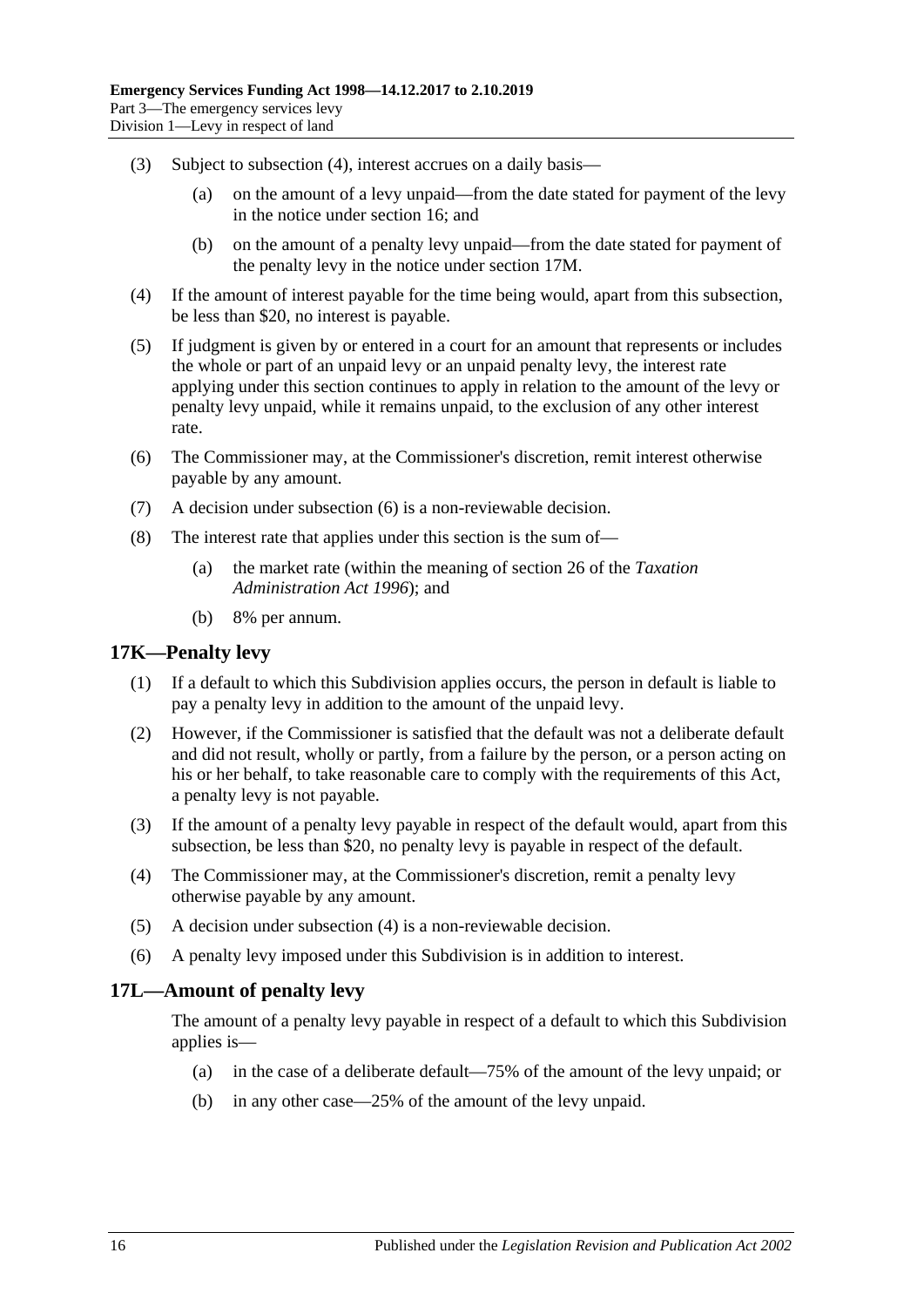- (3) Subject to [subsection](#page-15-2) (4), interest accrues on a daily basis—
	- (a) on the amount of a levy unpaid—from the date stated for payment of the levy in the notice under [section](#page-12-0) 16; and
	- (b) on the amount of a penalty levy unpaid—from the date stated for payment of the penalty levy in the notice under [section](#page-16-0) 17M.
- <span id="page-15-2"></span>(4) If the amount of interest payable for the time being would, apart from this subsection, be less than \$20, no interest is payable.
- (5) If judgment is given by or entered in a court for an amount that represents or includes the whole or part of an unpaid levy or an unpaid penalty levy, the interest rate applying under this section continues to apply in relation to the amount of the levy or penalty levy unpaid, while it remains unpaid, to the exclusion of any other interest rate.
- <span id="page-15-3"></span>(6) The Commissioner may, at the Commissioner's discretion, remit interest otherwise payable by any amount.
- (7) A decision under [subsection](#page-15-3) (6) is a non-reviewable decision.
- (8) The interest rate that applies under this section is the sum of—
	- (a) the market rate (within the meaning of section 26 of the *[Taxation](http://www.legislation.sa.gov.au/index.aspx?action=legref&type=act&legtitle=Taxation%20Administration%20Act%201996)  [Administration Act](http://www.legislation.sa.gov.au/index.aspx?action=legref&type=act&legtitle=Taxation%20Administration%20Act%201996) 1996*); and
	- (b) 8% per annum.

#### <span id="page-15-0"></span>**17K—Penalty levy**

- (1) If a default to which this Subdivision applies occurs, the person in default is liable to pay a penalty levy in addition to the amount of the unpaid levy.
- (2) However, if the Commissioner is satisfied that the default was not a deliberate default and did not result, wholly or partly, from a failure by the person, or a person acting on his or her behalf, to take reasonable care to comply with the requirements of this Act, a penalty levy is not payable.
- (3) If the amount of a penalty levy payable in respect of the default would, apart from this subsection, be less than \$20, no penalty levy is payable in respect of the default.
- <span id="page-15-4"></span>(4) The Commissioner may, at the Commissioner's discretion, remit a penalty levy otherwise payable by any amount.
- (5) A decision under [subsection](#page-15-4) (4) is a non-reviewable decision.
- (6) A penalty levy imposed under this Subdivision is in addition to interest.

#### <span id="page-15-1"></span>**17L—Amount of penalty levy**

The amount of a penalty levy payable in respect of a default to which this Subdivision applies is—

- (a) in the case of a deliberate default—75% of the amount of the levy unpaid; or
- (b) in any other case—25% of the amount of the levy unpaid.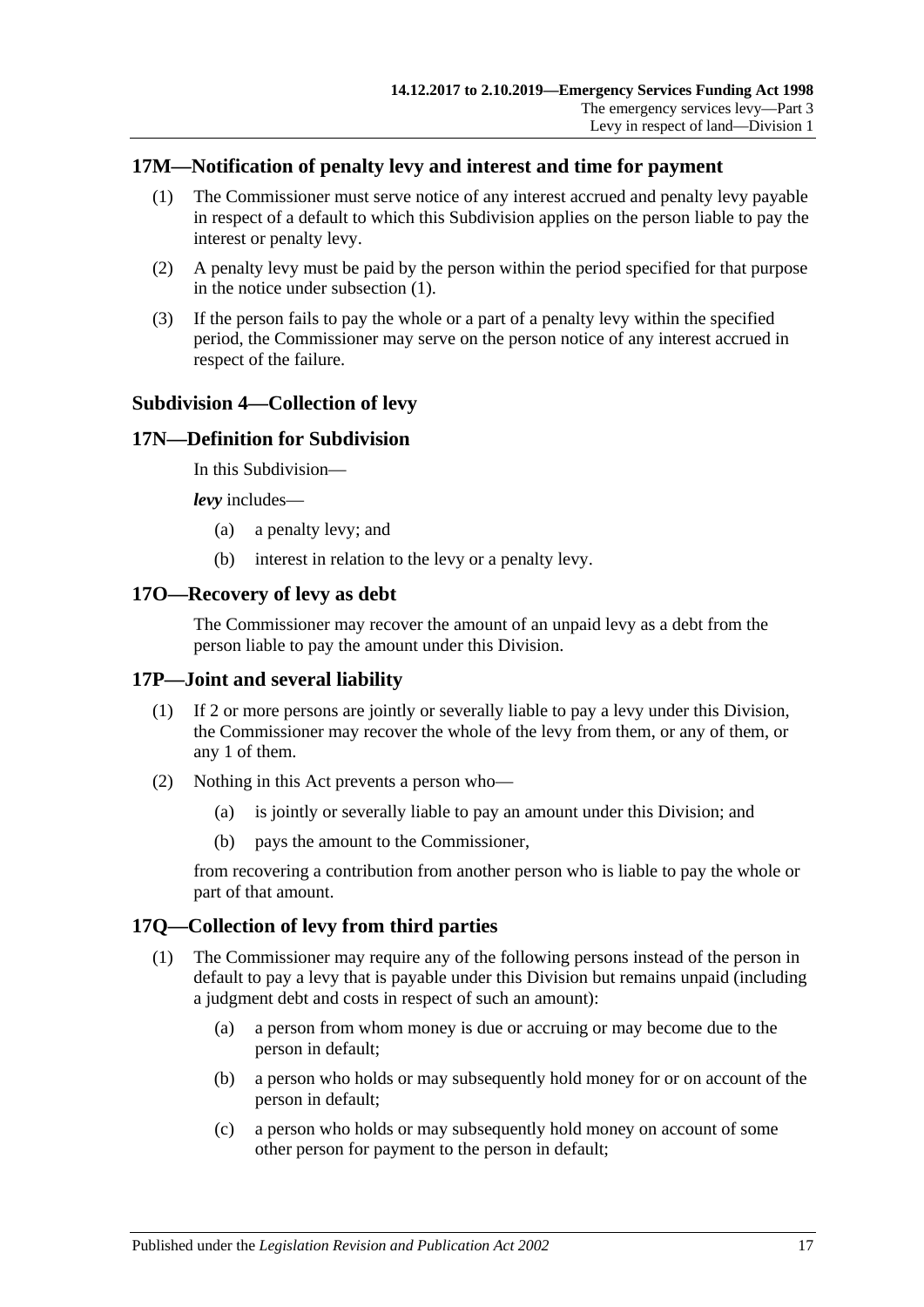## <span id="page-16-6"></span><span id="page-16-0"></span>**17M—Notification of penalty levy and interest and time for payment**

- (1) The Commissioner must serve notice of any interest accrued and penalty levy payable in respect of a default to which this Subdivision applies on the person liable to pay the interest or penalty levy.
- (2) A penalty levy must be paid by the person within the period specified for that purpose in the notice under [subsection](#page-16-6) (1).
- (3) If the person fails to pay the whole or a part of a penalty levy within the specified period, the Commissioner may serve on the person notice of any interest accrued in respect of the failure.

#### <span id="page-16-1"></span>**Subdivision 4—Collection of levy**

#### <span id="page-16-2"></span>**17N—Definition for Subdivision**

In this Subdivision—

*levy* includes—

- (a) a penalty levy; and
- (b) interest in relation to the levy or a penalty levy.

#### <span id="page-16-3"></span>**17O—Recovery of levy as debt**

The Commissioner may recover the amount of an unpaid levy as a debt from the person liable to pay the amount under this Division.

#### <span id="page-16-4"></span>**17P—Joint and several liability**

- (1) If 2 or more persons are jointly or severally liable to pay a levy under this Division, the Commissioner may recover the whole of the levy from them, or any of them, or any 1 of them.
- (2) Nothing in this Act prevents a person who—
	- (a) is jointly or severally liable to pay an amount under this Division; and
	- (b) pays the amount to the Commissioner,

from recovering a contribution from another person who is liable to pay the whole or part of that amount.

## <span id="page-16-7"></span><span id="page-16-5"></span>**17Q—Collection of levy from third parties**

- (1) The Commissioner may require any of the following persons instead of the person in default to pay a levy that is payable under this Division but remains unpaid (including a judgment debt and costs in respect of such an amount):
	- (a) a person from whom money is due or accruing or may become due to the person in default;
	- (b) a person who holds or may subsequently hold money for or on account of the person in default;
	- (c) a person who holds or may subsequently hold money on account of some other person for payment to the person in default;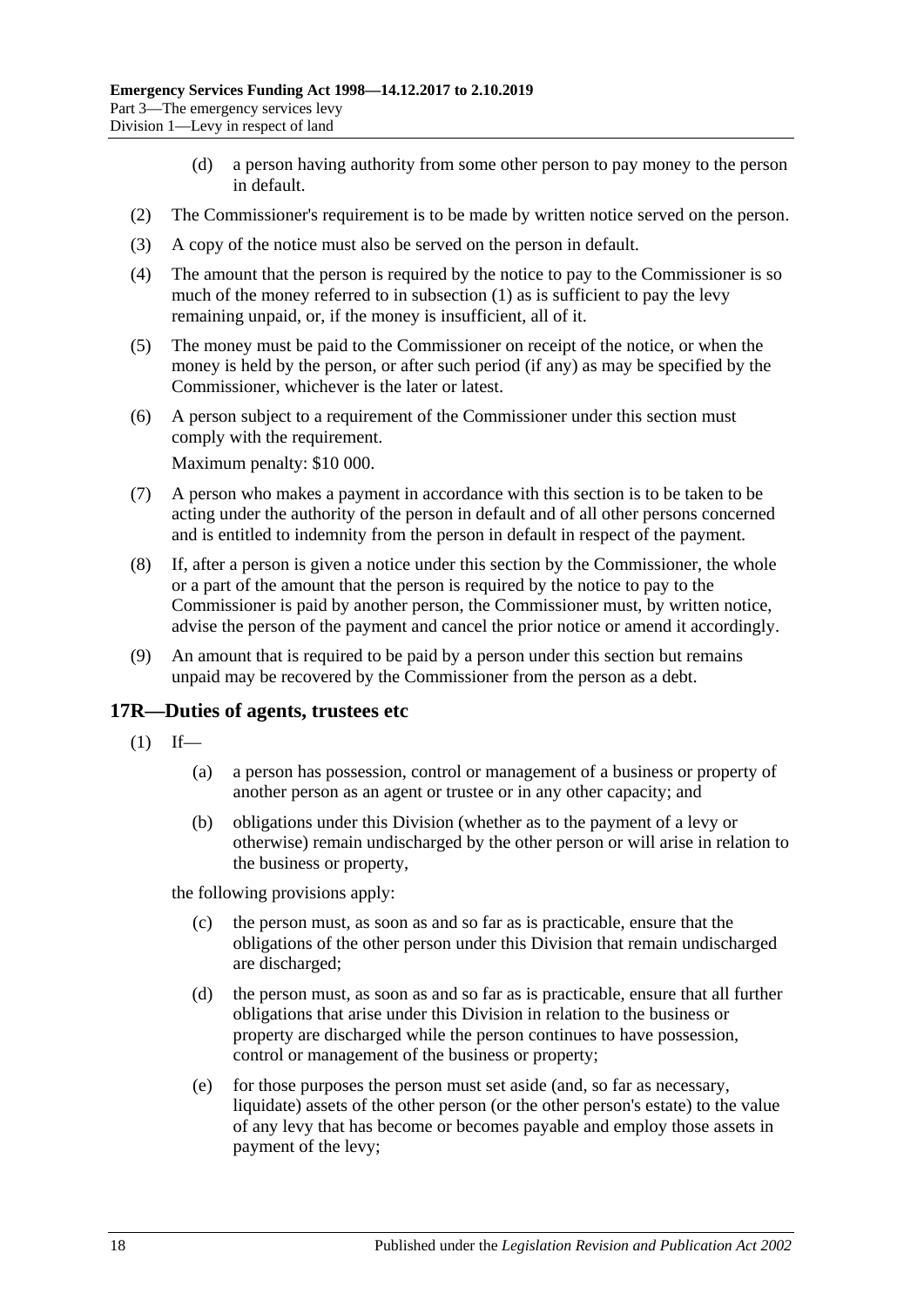- (d) a person having authority from some other person to pay money to the person in default.
- (2) The Commissioner's requirement is to be made by written notice served on the person.
- (3) A copy of the notice must also be served on the person in default.
- (4) The amount that the person is required by the notice to pay to the Commissioner is so much of the money referred to in [subsection](#page-16-7) (1) as is sufficient to pay the levy remaining unpaid, or, if the money is insufficient, all of it.
- (5) The money must be paid to the Commissioner on receipt of the notice, or when the money is held by the person, or after such period (if any) as may be specified by the Commissioner, whichever is the later or latest.
- (6) A person subject to a requirement of the Commissioner under this section must comply with the requirement.

Maximum penalty: \$10 000.

- (7) A person who makes a payment in accordance with this section is to be taken to be acting under the authority of the person in default and of all other persons concerned and is entitled to indemnity from the person in default in respect of the payment.
- (8) If, after a person is given a notice under this section by the Commissioner, the whole or a part of the amount that the person is required by the notice to pay to the Commissioner is paid by another person, the Commissioner must, by written notice, advise the person of the payment and cancel the prior notice or amend it accordingly.
- (9) An amount that is required to be paid by a person under this section but remains unpaid may be recovered by the Commissioner from the person as a debt.

#### <span id="page-17-1"></span><span id="page-17-0"></span>**17R—Duties of agents, trustees etc**

- $(1)$  If—
	- (a) a person has possession, control or management of a business or property of another person as an agent or trustee or in any other capacity; and
	- (b) obligations under this Division (whether as to the payment of a levy or otherwise) remain undischarged by the other person or will arise in relation to the business or property,

the following provisions apply:

- (c) the person must, as soon as and so far as is practicable, ensure that the obligations of the other person under this Division that remain undischarged are discharged;
- (d) the person must, as soon as and so far as is practicable, ensure that all further obligations that arise under this Division in relation to the business or property are discharged while the person continues to have possession, control or management of the business or property;
- (e) for those purposes the person must set aside (and, so far as necessary, liquidate) assets of the other person (or the other person's estate) to the value of any levy that has become or becomes payable and employ those assets in payment of the levy;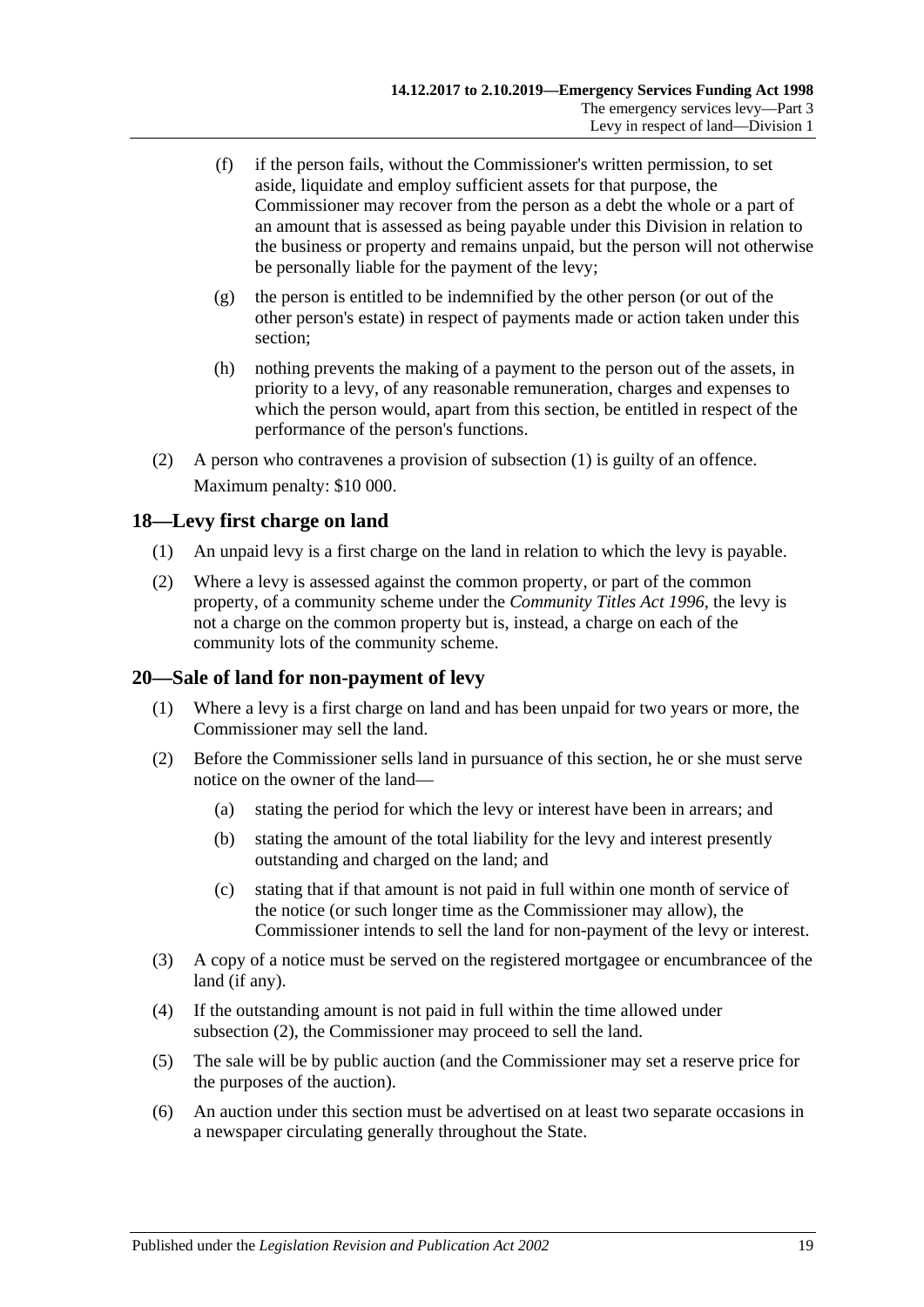- (f) if the person fails, without the Commissioner's written permission, to set aside, liquidate and employ sufficient assets for that purpose, the Commissioner may recover from the person as a debt the whole or a part of an amount that is assessed as being payable under this Division in relation to the business or property and remains unpaid, but the person will not otherwise be personally liable for the payment of the levy;
- (g) the person is entitled to be indemnified by the other person (or out of the other person's estate) in respect of payments made or action taken under this section;
- (h) nothing prevents the making of a payment to the person out of the assets, in priority to a levy, of any reasonable remuneration, charges and expenses to which the person would, apart from this section, be entitled in respect of the performance of the person's functions.
- (2) A person who contravenes a provision of [subsection](#page-17-1) (1) is guilty of an offence. Maximum penalty: \$10 000.

## <span id="page-18-0"></span>**18—Levy first charge on land**

- (1) An unpaid levy is a first charge on the land in relation to which the levy is payable.
- (2) Where a levy is assessed against the common property, or part of the common property, of a community scheme under the *[Community Titles Act](http://www.legislation.sa.gov.au/index.aspx?action=legref&type=act&legtitle=Community%20Titles%20Act%201996) 1996*, the levy is not a charge on the common property but is, instead, a charge on each of the community lots of the community scheme.

## <span id="page-18-1"></span>**20—Sale of land for non-payment of levy**

- (1) Where a levy is a first charge on land and has been unpaid for two years or more, the Commissioner may sell the land.
- <span id="page-18-2"></span>(2) Before the Commissioner sells land in pursuance of this section, he or she must serve notice on the owner of the land—
	- (a) stating the period for which the levy or interest have been in arrears; and
	- (b) stating the amount of the total liability for the levy and interest presently outstanding and charged on the land; and
	- (c) stating that if that amount is not paid in full within one month of service of the notice (or such longer time as the Commissioner may allow), the Commissioner intends to sell the land for non-payment of the levy or interest.
- (3) A copy of a notice must be served on the registered mortgagee or encumbrancee of the land (if any).
- (4) If the outstanding amount is not paid in full within the time allowed under [subsection](#page-18-2) (2), the Commissioner may proceed to sell the land.
- (5) The sale will be by public auction (and the Commissioner may set a reserve price for the purposes of the auction).
- (6) An auction under this section must be advertised on at least two separate occasions in a newspaper circulating generally throughout the State.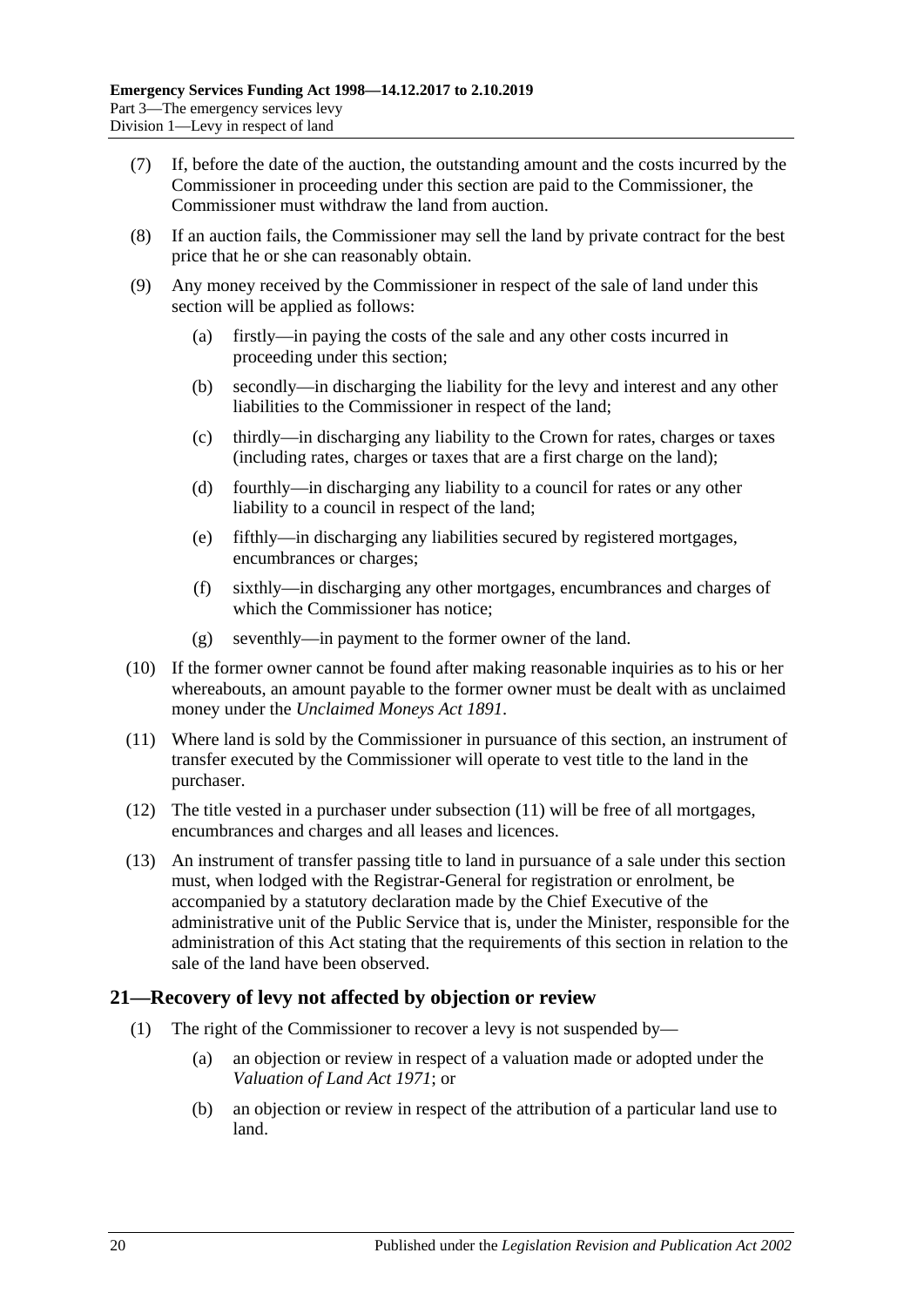- (7) If, before the date of the auction, the outstanding amount and the costs incurred by the Commissioner in proceeding under this section are paid to the Commissioner, the Commissioner must withdraw the land from auction.
- (8) If an auction fails, the Commissioner may sell the land by private contract for the best price that he or she can reasonably obtain.
- (9) Any money received by the Commissioner in respect of the sale of land under this section will be applied as follows:
	- (a) firstly—in paying the costs of the sale and any other costs incurred in proceeding under this section;
	- (b) secondly—in discharging the liability for the levy and interest and any other liabilities to the Commissioner in respect of the land;
	- (c) thirdly—in discharging any liability to the Crown for rates, charges or taxes (including rates, charges or taxes that are a first charge on the land);
	- (d) fourthly—in discharging any liability to a council for rates or any other liability to a council in respect of the land;
	- (e) fifthly—in discharging any liabilities secured by registered mortgages, encumbrances or charges;
	- (f) sixthly—in discharging any other mortgages, encumbrances and charges of which the Commissioner has notice;
	- (g) seventhly—in payment to the former owner of the land.
- (10) If the former owner cannot be found after making reasonable inquiries as to his or her whereabouts, an amount payable to the former owner must be dealt with as unclaimed money under the *[Unclaimed Moneys Act](http://www.legislation.sa.gov.au/index.aspx?action=legref&type=act&legtitle=Unclaimed%20Moneys%20Act%201891) 1891*.
- <span id="page-19-1"></span>(11) Where land is sold by the Commissioner in pursuance of this section, an instrument of transfer executed by the Commissioner will operate to vest title to the land in the purchaser.
- (12) The title vested in a purchaser under [subsection](#page-19-1) (11) will be free of all mortgages, encumbrances and charges and all leases and licences.
- (13) An instrument of transfer passing title to land in pursuance of a sale under this section must, when lodged with the Registrar-General for registration or enrolment, be accompanied by a statutory declaration made by the Chief Executive of the administrative unit of the Public Service that is, under the Minister, responsible for the administration of this Act stating that the requirements of this section in relation to the sale of the land have been observed.

## <span id="page-19-0"></span>**21—Recovery of levy not affected by objection or review**

- (1) The right of the Commissioner to recover a levy is not suspended by—
	- (a) an objection or review in respect of a valuation made or adopted under the *[Valuation of Land Act](http://www.legislation.sa.gov.au/index.aspx?action=legref&type=act&legtitle=Valuation%20of%20Land%20Act%201971) 1971*; or
	- (b) an objection or review in respect of the attribution of a particular land use to land.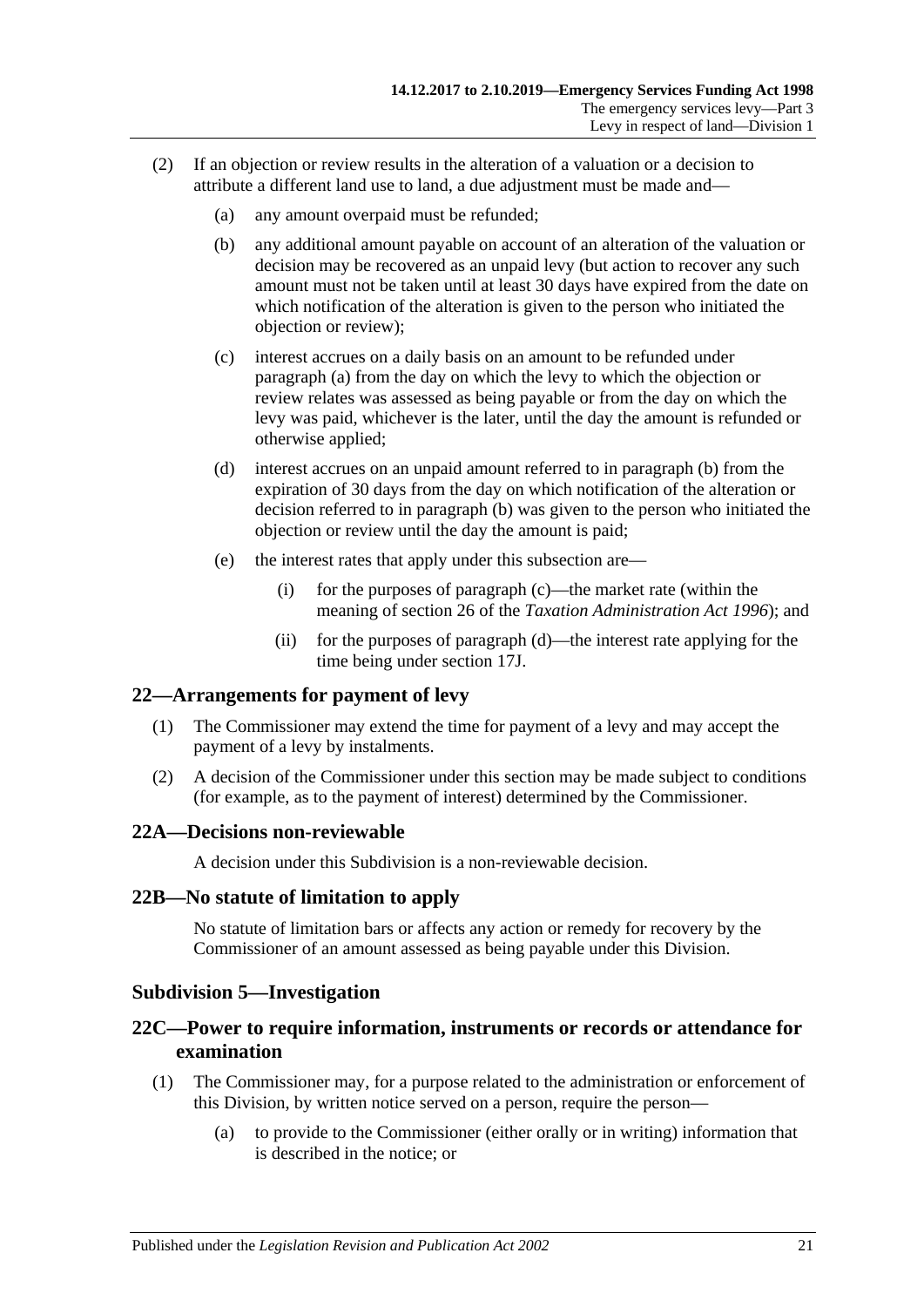- <span id="page-20-7"></span><span id="page-20-6"></span><span id="page-20-5"></span>(2) If an objection or review results in the alteration of a valuation or a decision to attribute a different land use to land, a due adjustment must be made and—
	- (a) any amount overpaid must be refunded;
	- (b) any additional amount payable on account of an alteration of the valuation or decision may be recovered as an unpaid levy (but action to recover any such amount must not be taken until at least 30 days have expired from the date on which notification of the alteration is given to the person who initiated the objection or review);
	- (c) interest accrues on a daily basis on an amount to be refunded under [paragraph](#page-20-5) (a) from the day on which the levy to which the objection or review relates was assessed as being payable or from the day on which the levy was paid, whichever is the later, until the day the amount is refunded or otherwise applied;
	- (d) interest accrues on an unpaid amount referred to in [paragraph](#page-20-6) (b) from the expiration of 30 days from the day on which notification of the alteration or decision referred to in [paragraph](#page-20-6) (b) was given to the person who initiated the objection or review until the day the amount is paid;
	- (e) the interest rates that apply under this subsection are—
		- (i) for the purposes of [paragraph](#page-20-7) (c)—the market rate (within the meaning of section 26 of the *[Taxation Administration Act](http://www.legislation.sa.gov.au/index.aspx?action=legref&type=act&legtitle=Taxation%20Administration%20Act%201996) 1996*); and
		- (ii) for the purposes of [paragraph](#page-20-8) (d)—the interest rate applying for the time being under [section](#page-14-5) 17J.

## <span id="page-20-8"></span><span id="page-20-0"></span>**22—Arrangements for payment of levy**

- (1) The Commissioner may extend the time for payment of a levy and may accept the payment of a levy by instalments.
- (2) A decision of the Commissioner under this section may be made subject to conditions (for example, as to the payment of interest) determined by the Commissioner.

## <span id="page-20-1"></span>**22A—Decisions non-reviewable**

A decision under this Subdivision is a non-reviewable decision.

#### <span id="page-20-2"></span>**22B—No statute of limitation to apply**

No statute of limitation bars or affects any action or remedy for recovery by the Commissioner of an amount assessed as being payable under this Division.

## <span id="page-20-3"></span>**Subdivision 5—Investigation**

## <span id="page-20-4"></span>**22C—Power to require information, instruments or records or attendance for examination**

- (1) The Commissioner may, for a purpose related to the administration or enforcement of this Division, by written notice served on a person, require the person—
	- (a) to provide to the Commissioner (either orally or in writing) information that is described in the notice; or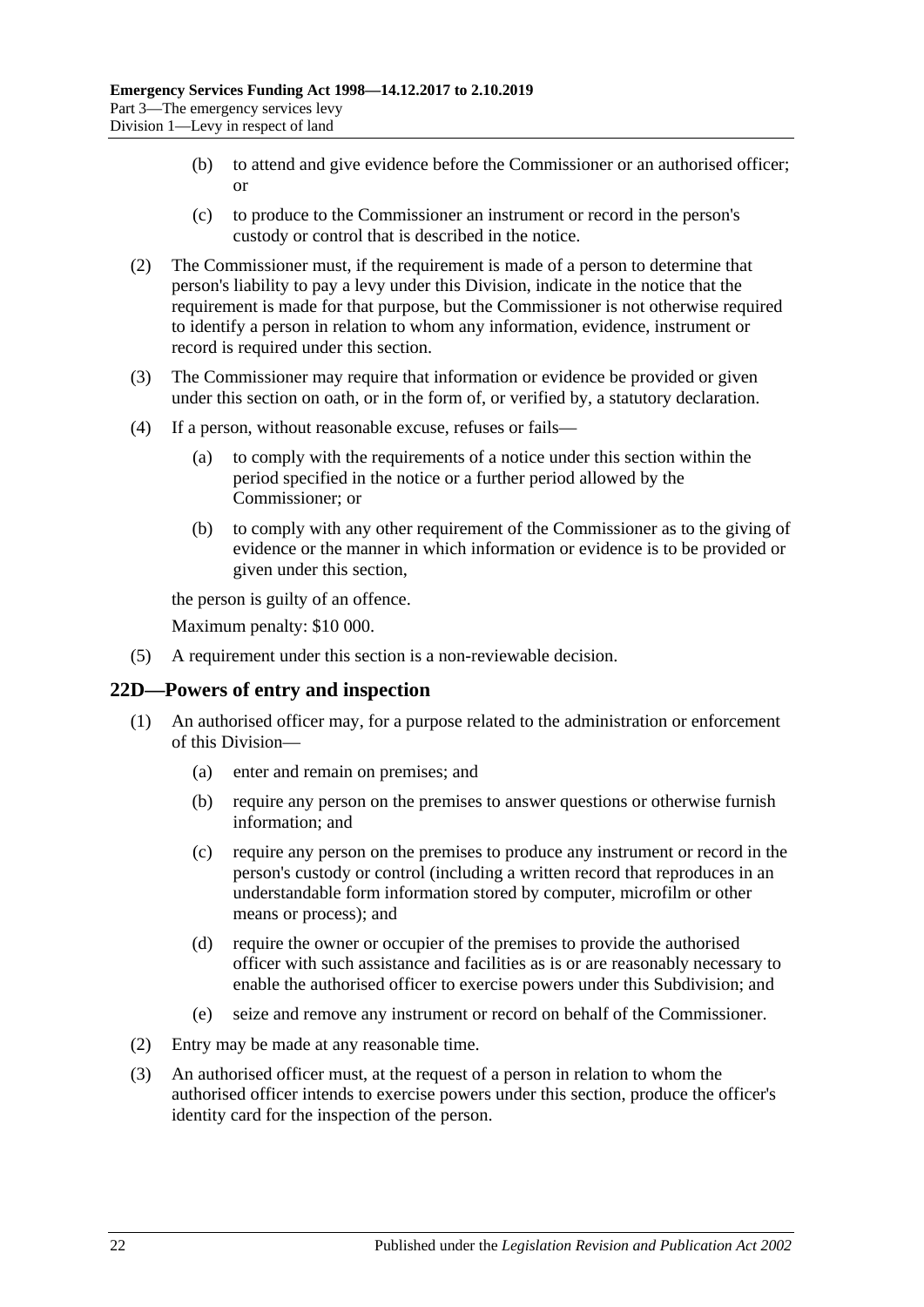- (b) to attend and give evidence before the Commissioner or an authorised officer; or
- (c) to produce to the Commissioner an instrument or record in the person's custody or control that is described in the notice.
- (2) The Commissioner must, if the requirement is made of a person to determine that person's liability to pay a levy under this Division, indicate in the notice that the requirement is made for that purpose, but the Commissioner is not otherwise required to identify a person in relation to whom any information, evidence, instrument or record is required under this section.
- (3) The Commissioner may require that information or evidence be provided or given under this section on oath, or in the form of, or verified by, a statutory declaration.
- (4) If a person, without reasonable excuse, refuses or fails—
	- (a) to comply with the requirements of a notice under this section within the period specified in the notice or a further period allowed by the Commissioner; or
	- (b) to comply with any other requirement of the Commissioner as to the giving of evidence or the manner in which information or evidence is to be provided or given under this section,

the person is guilty of an offence.

Maximum penalty: \$10 000.

(5) A requirement under this section is a non-reviewable decision.

## <span id="page-21-0"></span>**22D—Powers of entry and inspection**

- (1) An authorised officer may, for a purpose related to the administration or enforcement of this Division—
	- (a) enter and remain on premises; and
	- (b) require any person on the premises to answer questions or otherwise furnish information; and
	- (c) require any person on the premises to produce any instrument or record in the person's custody or control (including a written record that reproduces in an understandable form information stored by computer, microfilm or other means or process); and
	- (d) require the owner or occupier of the premises to provide the authorised officer with such assistance and facilities as is or are reasonably necessary to enable the authorised officer to exercise powers under this Subdivision; and
	- (e) seize and remove any instrument or record on behalf of the Commissioner.
- (2) Entry may be made at any reasonable time.
- (3) An authorised officer must, at the request of a person in relation to whom the authorised officer intends to exercise powers under this section, produce the officer's identity card for the inspection of the person.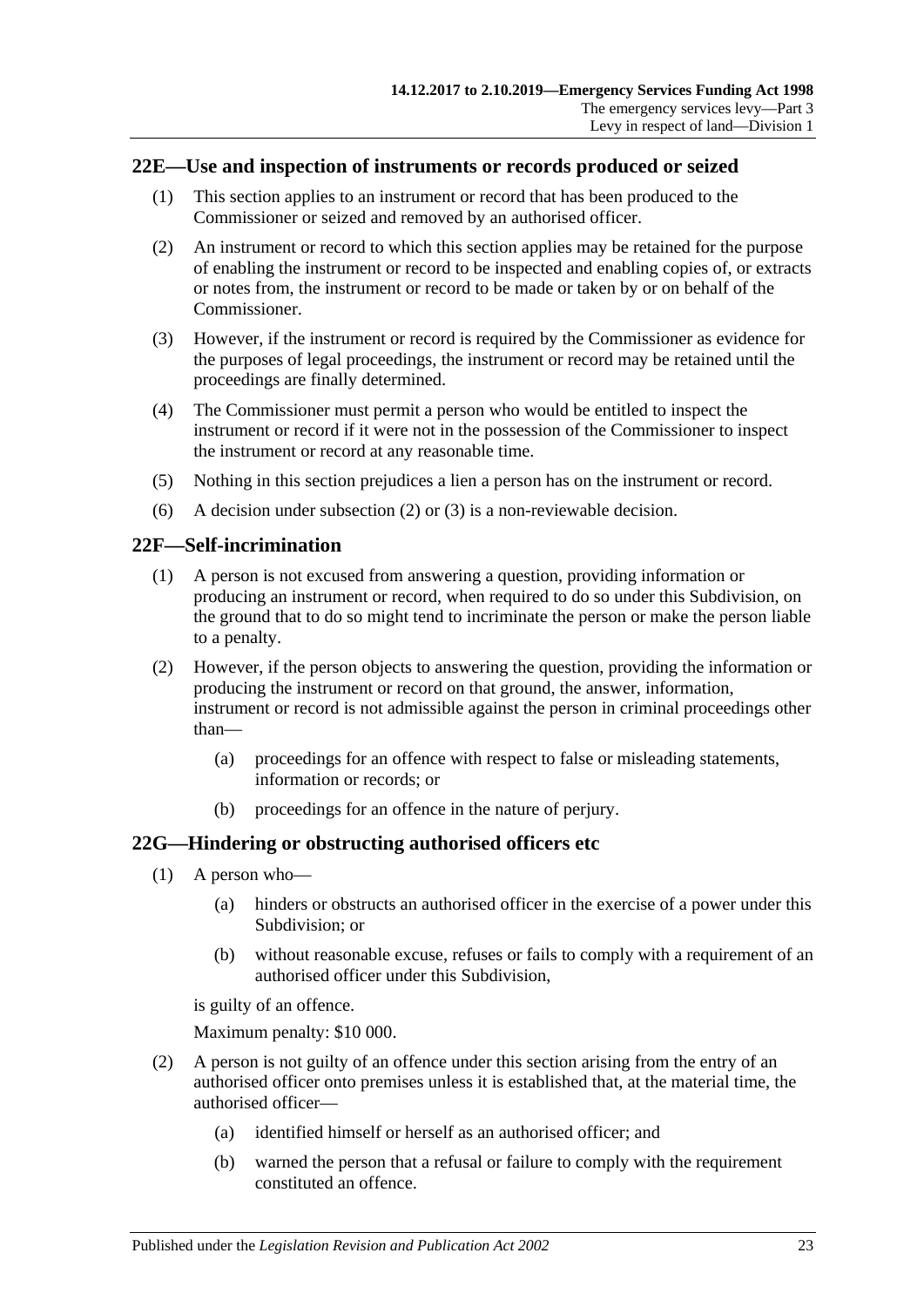## <span id="page-22-0"></span>**22E—Use and inspection of instruments or records produced or seized**

- (1) This section applies to an instrument or record that has been produced to the Commissioner or seized and removed by an authorised officer.
- <span id="page-22-3"></span>(2) An instrument or record to which this section applies may be retained for the purpose of enabling the instrument or record to be inspected and enabling copies of, or extracts or notes from, the instrument or record to be made or taken by or on behalf of the Commissioner.
- <span id="page-22-4"></span>(3) However, if the instrument or record is required by the Commissioner as evidence for the purposes of legal proceedings, the instrument or record may be retained until the proceedings are finally determined.
- (4) The Commissioner must permit a person who would be entitled to inspect the instrument or record if it were not in the possession of the Commissioner to inspect the instrument or record at any reasonable time.
- (5) Nothing in this section prejudices a lien a person has on the instrument or record.
- (6) A decision under [subsection](#page-22-3) (2) or [\(3\)](#page-22-4) is a non-reviewable decision.

#### <span id="page-22-1"></span>**22F—Self-incrimination**

- (1) A person is not excused from answering a question, providing information or producing an instrument or record, when required to do so under this Subdivision, on the ground that to do so might tend to incriminate the person or make the person liable to a penalty.
- (2) However, if the person objects to answering the question, providing the information or producing the instrument or record on that ground, the answer, information, instrument or record is not admissible against the person in criminal proceedings other than—
	- (a) proceedings for an offence with respect to false or misleading statements, information or records; or
	- (b) proceedings for an offence in the nature of perjury.

#### <span id="page-22-2"></span>**22G—Hindering or obstructing authorised officers etc**

- (1) A person who—
	- (a) hinders or obstructs an authorised officer in the exercise of a power under this Subdivision; or
	- (b) without reasonable excuse, refuses or fails to comply with a requirement of an authorised officer under this Subdivision,

is guilty of an offence.

Maximum penalty: \$10 000.

- (2) A person is not guilty of an offence under this section arising from the entry of an authorised officer onto premises unless it is established that, at the material time, the authorised officer—
	- (a) identified himself or herself as an authorised officer; and
	- (b) warned the person that a refusal or failure to comply with the requirement constituted an offence.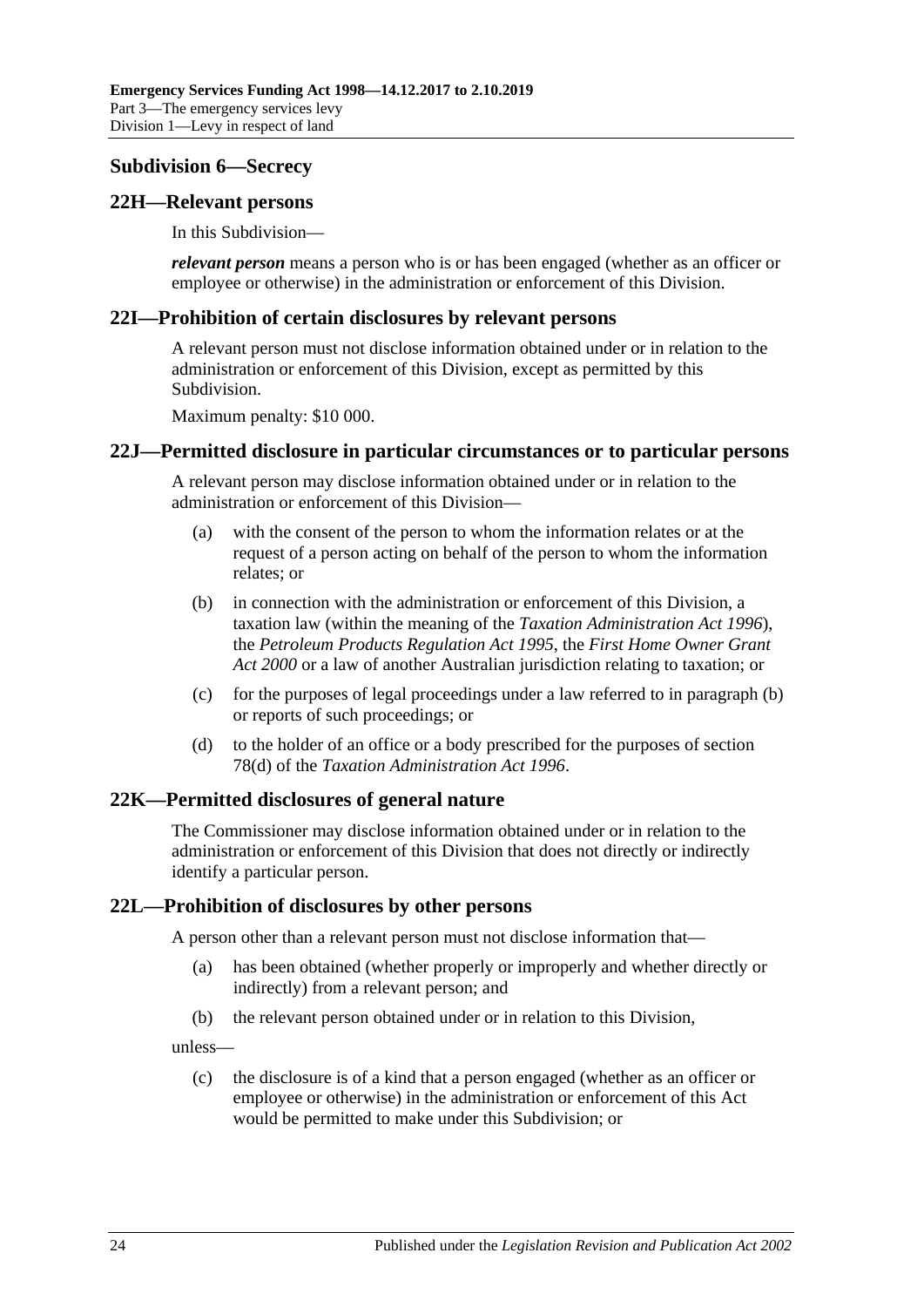#### <span id="page-23-0"></span>**Subdivision 6—Secrecy**

#### <span id="page-23-1"></span>**22H—Relevant persons**

In this Subdivision—

*relevant person* means a person who is or has been engaged (whether as an officer or employee or otherwise) in the administration or enforcement of this Division.

#### <span id="page-23-2"></span>**22I—Prohibition of certain disclosures by relevant persons**

A relevant person must not disclose information obtained under or in relation to the administration or enforcement of this Division, except as permitted by this Subdivision.

Maximum penalty: \$10 000.

#### <span id="page-23-3"></span>**22J—Permitted disclosure in particular circumstances or to particular persons**

A relevant person may disclose information obtained under or in relation to the administration or enforcement of this Division—

- (a) with the consent of the person to whom the information relates or at the request of a person acting on behalf of the person to whom the information relates; or
- <span id="page-23-6"></span>(b) in connection with the administration or enforcement of this Division, a taxation law (within the meaning of the *[Taxation Administration Act](http://www.legislation.sa.gov.au/index.aspx?action=legref&type=act&legtitle=Taxation%20Administration%20Act%201996) 1996*), the *[Petroleum Products Regulation Act](http://www.legislation.sa.gov.au/index.aspx?action=legref&type=act&legtitle=Petroleum%20Products%20Regulation%20Act%201995) 1995*, the *[First Home Owner Grant](http://www.legislation.sa.gov.au/index.aspx?action=legref&type=act&legtitle=First%20Home%20Owner%20Grant%20Act%202000)  Act [2000](http://www.legislation.sa.gov.au/index.aspx?action=legref&type=act&legtitle=First%20Home%20Owner%20Grant%20Act%202000)* or a law of another Australian jurisdiction relating to taxation; or
- (c) for the purposes of legal proceedings under a law referred to in [paragraph](#page-23-6) (b) or reports of such proceedings; or
- (d) to the holder of an office or a body prescribed for the purposes of section 78(d) of the *[Taxation Administration Act](http://www.legislation.sa.gov.au/index.aspx?action=legref&type=act&legtitle=Taxation%20Administration%20Act%201996) 1996*.

#### <span id="page-23-4"></span>**22K—Permitted disclosures of general nature**

The Commissioner may disclose information obtained under or in relation to the administration or enforcement of this Division that does not directly or indirectly identify a particular person.

#### <span id="page-23-5"></span>**22L—Prohibition of disclosures by other persons**

A person other than a relevant person must not disclose information that—

- (a) has been obtained (whether properly or improperly and whether directly or indirectly) from a relevant person; and
- (b) the relevant person obtained under or in relation to this Division,

unless—

(c) the disclosure is of a kind that a person engaged (whether as an officer or employee or otherwise) in the administration or enforcement of this Act would be permitted to make under this Subdivision; or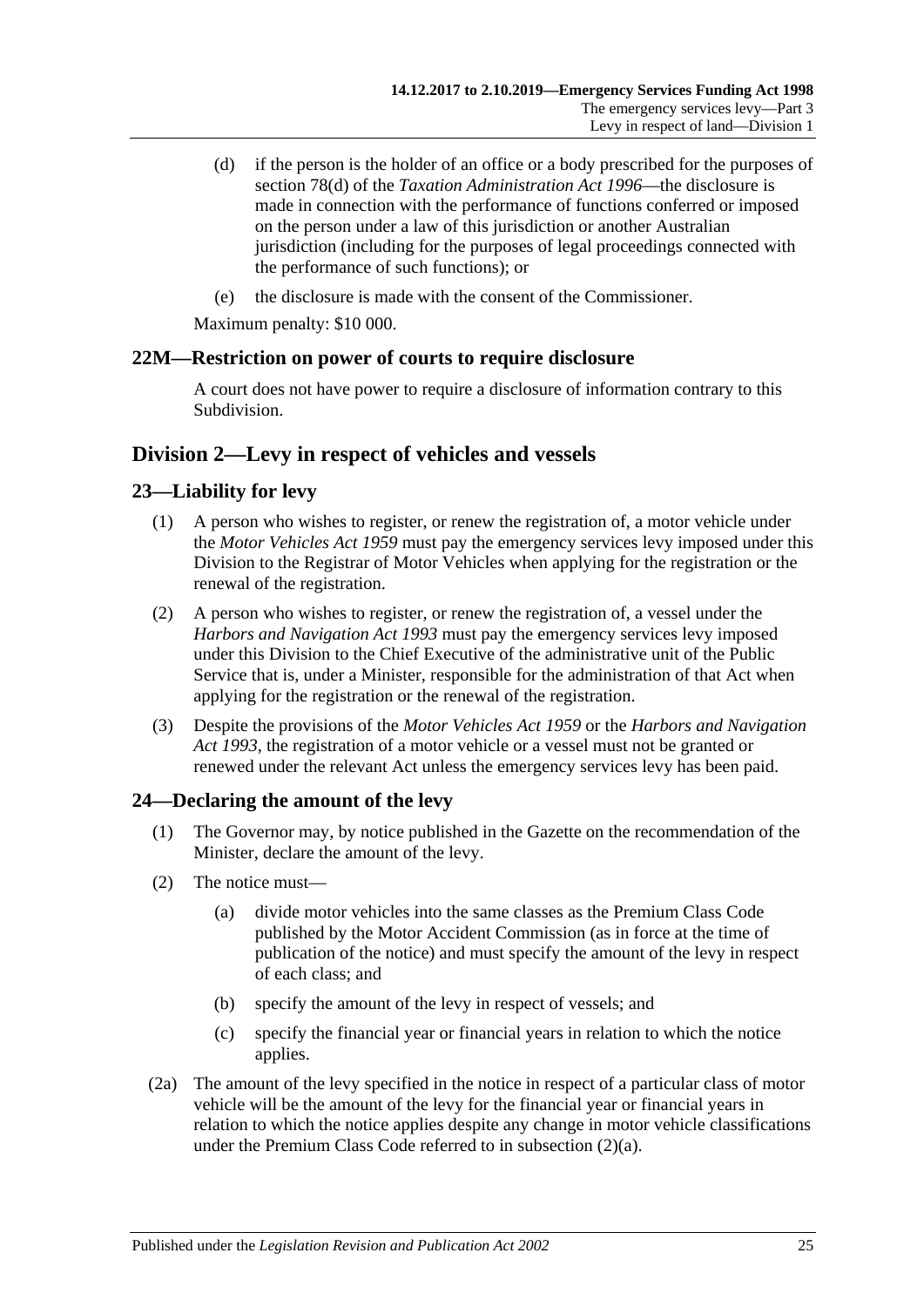- (d) if the person is the holder of an office or a body prescribed for the purposes of section 78(d) of the *[Taxation Administration Act](http://www.legislation.sa.gov.au/index.aspx?action=legref&type=act&legtitle=Taxation%20Administration%20Act%201996) 1996*—the disclosure is made in connection with the performance of functions conferred or imposed on the person under a law of this jurisdiction or another Australian jurisdiction (including for the purposes of legal proceedings connected with the performance of such functions); or
- (e) the disclosure is made with the consent of the Commissioner.

Maximum penalty: \$10 000.

## <span id="page-24-0"></span>**22M—Restriction on power of courts to require disclosure**

A court does not have power to require a disclosure of information contrary to this Subdivision.

## <span id="page-24-1"></span>**Division 2—Levy in respect of vehicles and vessels**

## <span id="page-24-2"></span>**23—Liability for levy**

- (1) A person who wishes to register, or renew the registration of, a motor vehicle under the *[Motor Vehicles Act](http://www.legislation.sa.gov.au/index.aspx?action=legref&type=act&legtitle=Motor%20Vehicles%20Act%201959) 1959* must pay the emergency services levy imposed under this Division to the Registrar of Motor Vehicles when applying for the registration or the renewal of the registration.
- (2) A person who wishes to register, or renew the registration of, a vessel under the *[Harbors and Navigation Act](http://www.legislation.sa.gov.au/index.aspx?action=legref&type=act&legtitle=Harbors%20and%20Navigation%20Act%201993) 1993* must pay the emergency services levy imposed under this Division to the Chief Executive of the administrative unit of the Public Service that is, under a Minister, responsible for the administration of that Act when applying for the registration or the renewal of the registration.
- (3) Despite the provisions of the *[Motor Vehicles Act](http://www.legislation.sa.gov.au/index.aspx?action=legref&type=act&legtitle=Motor%20Vehicles%20Act%201959) 1959* or the *[Harbors and Navigation](http://www.legislation.sa.gov.au/index.aspx?action=legref&type=act&legtitle=Harbors%20and%20Navigation%20Act%201993)  Act [1993](http://www.legislation.sa.gov.au/index.aspx?action=legref&type=act&legtitle=Harbors%20and%20Navigation%20Act%201993)*, the registration of a motor vehicle or a vessel must not be granted or renewed under the relevant Act unless the emergency services levy has been paid.

## <span id="page-24-5"></span><span id="page-24-3"></span>**24—Declaring the amount of the levy**

- (1) The Governor may, by notice published in the Gazette on the recommendation of the Minister, declare the amount of the levy.
- <span id="page-24-4"></span>(2) The notice must—
	- (a) divide motor vehicles into the same classes as the Premium Class Code published by the Motor Accident Commission (as in force at the time of publication of the notice) and must specify the amount of the levy in respect of each class; and
	- (b) specify the amount of the levy in respect of vessels; and
	- (c) specify the financial year or financial years in relation to which the notice applies.
- (2a) The amount of the levy specified in the notice in respect of a particular class of motor vehicle will be the amount of the levy for the financial year or financial years in relation to which the notice applies despite any change in motor vehicle classifications under the Premium Class Code referred to in [subsection](#page-24-4) (2)(a).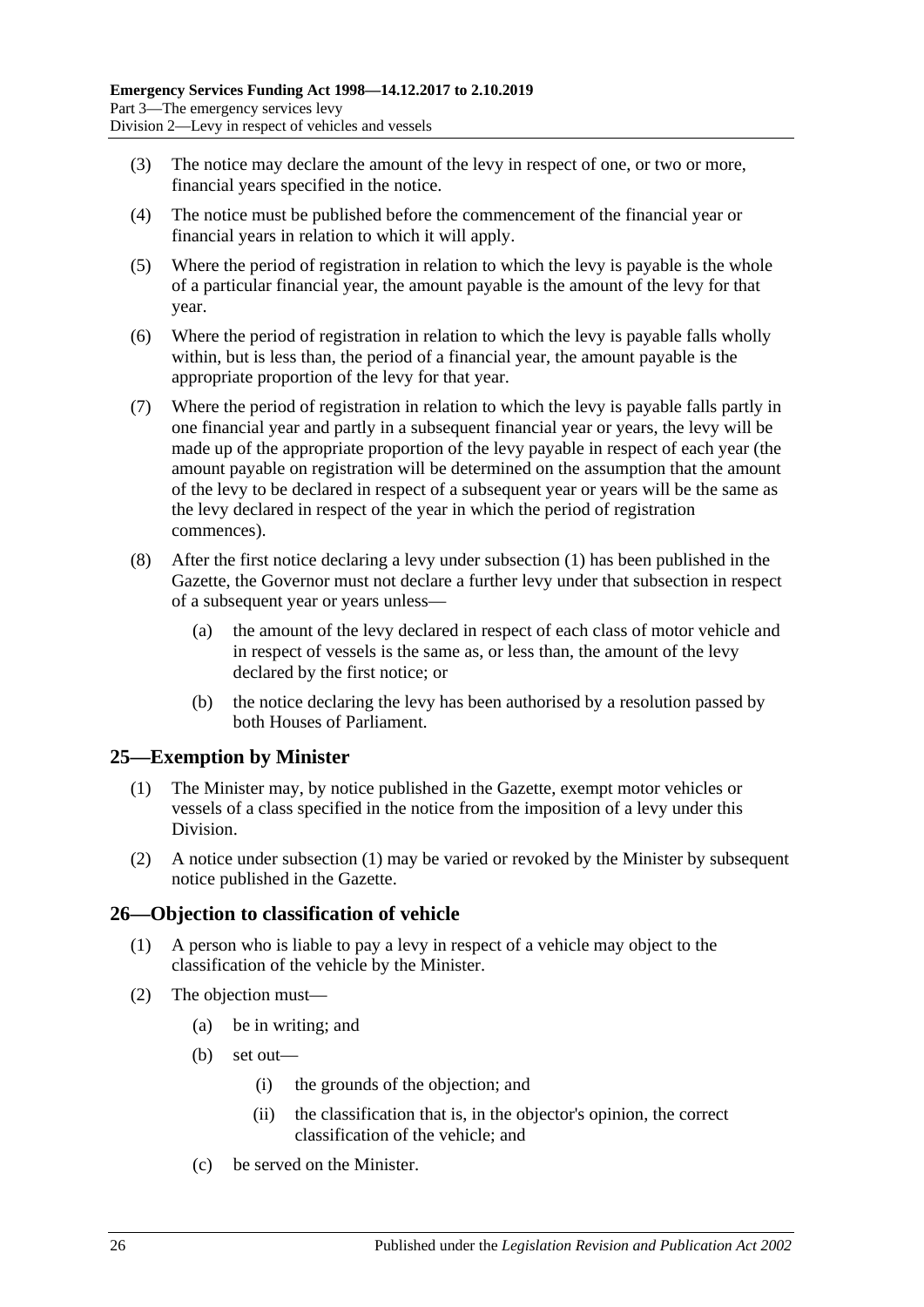- (3) The notice may declare the amount of the levy in respect of one, or two or more, financial years specified in the notice.
- (4) The notice must be published before the commencement of the financial year or financial years in relation to which it will apply.
- (5) Where the period of registration in relation to which the levy is payable is the whole of a particular financial year, the amount payable is the amount of the levy for that year.
- (6) Where the period of registration in relation to which the levy is payable falls wholly within, but is less than, the period of a financial year, the amount payable is the appropriate proportion of the levy for that year.
- (7) Where the period of registration in relation to which the levy is payable falls partly in one financial year and partly in a subsequent financial year or years, the levy will be made up of the appropriate proportion of the levy payable in respect of each year (the amount payable on registration will be determined on the assumption that the amount of the levy to be declared in respect of a subsequent year or years will be the same as the levy declared in respect of the year in which the period of registration commences).
- (8) After the first notice declaring a levy under [subsection](#page-24-5) (1) has been published in the Gazette, the Governor must not declare a further levy under that subsection in respect of a subsequent year or years unless—
	- (a) the amount of the levy declared in respect of each class of motor vehicle and in respect of vessels is the same as, or less than, the amount of the levy declared by the first notice; or
	- (b) the notice declaring the levy has been authorised by a resolution passed by both Houses of Parliament.

## <span id="page-25-2"></span><span id="page-25-0"></span>**25—Exemption by Minister**

- (1) The Minister may, by notice published in the Gazette, exempt motor vehicles or vessels of a class specified in the notice from the imposition of a levy under this Division.
- (2) A notice under [subsection](#page-25-2) (1) may be varied or revoked by the Minister by subsequent notice published in the Gazette.

## <span id="page-25-1"></span>**26—Objection to classification of vehicle**

- (1) A person who is liable to pay a levy in respect of a vehicle may object to the classification of the vehicle by the Minister.
- (2) The objection must—
	- (a) be in writing; and
	- (b) set out—
		- (i) the grounds of the objection; and
		- (ii) the classification that is, in the objector's opinion, the correct classification of the vehicle; and
	- (c) be served on the Minister.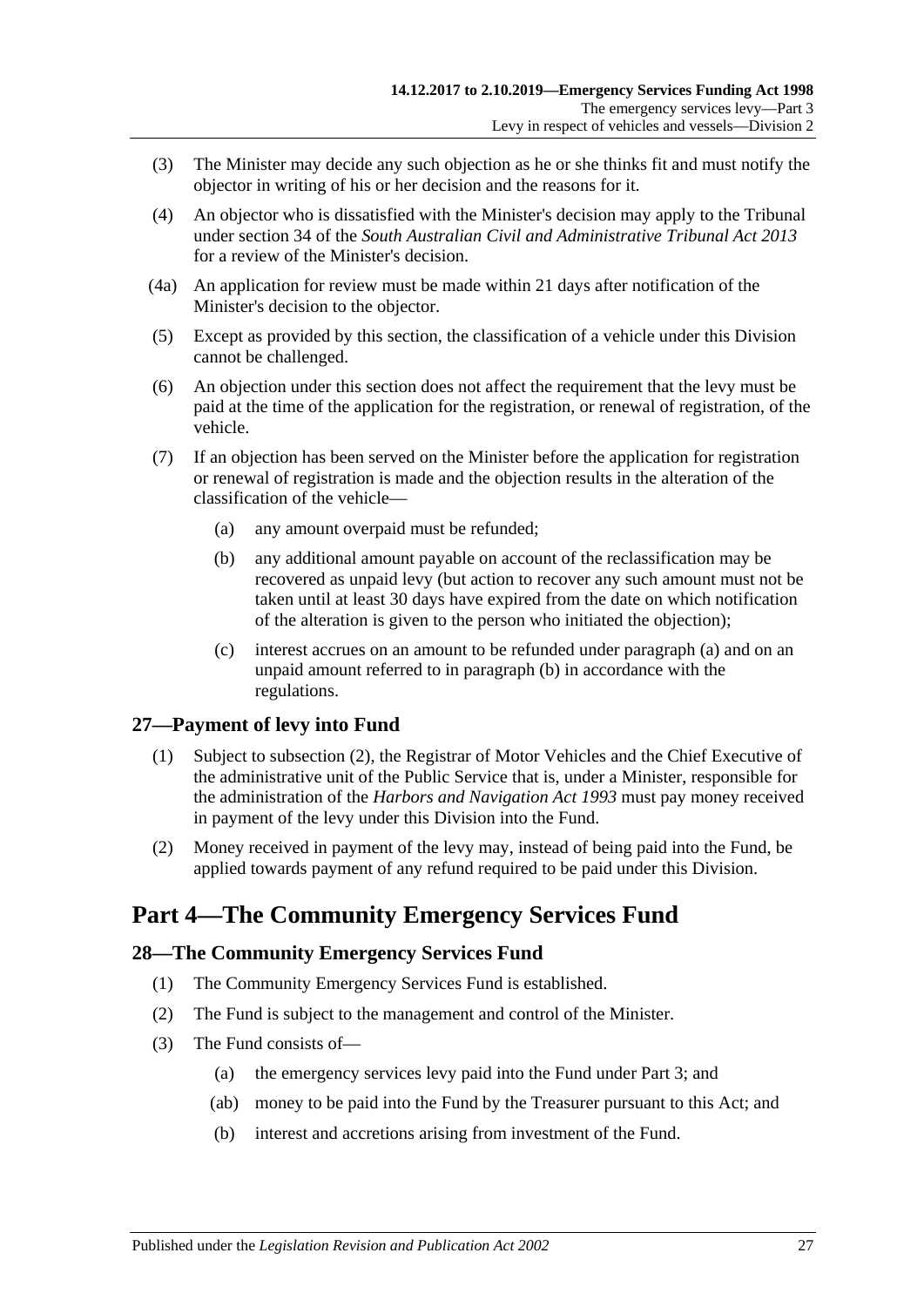- (3) The Minister may decide any such objection as he or she thinks fit and must notify the objector in writing of his or her decision and the reasons for it.
- (4) An objector who is dissatisfied with the Minister's decision may apply to the Tribunal under section 34 of the *[South Australian Civil and Administrative Tribunal Act](http://www.legislation.sa.gov.au/index.aspx?action=legref&type=act&legtitle=South%20Australian%20Civil%20and%20Administrative%20Tribunal%20Act%202013) 2013* for a review of the Minister's decision.
- (4a) An application for review must be made within 21 days after notification of the Minister's decision to the objector.
- (5) Except as provided by this section, the classification of a vehicle under this Division cannot be challenged.
- (6) An objection under this section does not affect the requirement that the levy must be paid at the time of the application for the registration, or renewal of registration, of the vehicle.
- <span id="page-26-4"></span><span id="page-26-3"></span>(7) If an objection has been served on the Minister before the application for registration or renewal of registration is made and the objection results in the alteration of the classification of the vehicle—
	- (a) any amount overpaid must be refunded;
	- (b) any additional amount payable on account of the reclassification may be recovered as unpaid levy (but action to recover any such amount must not be taken until at least 30 days have expired from the date on which notification of the alteration is given to the person who initiated the objection);
	- (c) interest accrues on an amount to be refunded under [paragraph](#page-26-3) (a) and on an unpaid amount referred to in [paragraph](#page-26-4) (b) in accordance with the regulations.

## <span id="page-26-0"></span>**27—Payment of levy into Fund**

- (1) Subject to [subsection](#page-26-5) (2), the Registrar of Motor Vehicles and the Chief Executive of the administrative unit of the Public Service that is, under a Minister, responsible for the administration of the *[Harbors and Navigation Act](http://www.legislation.sa.gov.au/index.aspx?action=legref&type=act&legtitle=Harbors%20and%20Navigation%20Act%201993) 1993* must pay money received in payment of the levy under this Division into the Fund.
- <span id="page-26-5"></span>(2) Money received in payment of the levy may, instead of being paid into the Fund, be applied towards payment of any refund required to be paid under this Division.

## <span id="page-26-1"></span>**Part 4—The Community Emergency Services Fund**

## <span id="page-26-2"></span>**28—The Community Emergency Services Fund**

- (1) The Community Emergency Services Fund is established.
- (2) The Fund is subject to the management and control of the Minister.
- (3) The Fund consists of—
	- (a) the emergency services levy paid into the Fund under [Part 3;](#page-4-1) and
	- (ab) money to be paid into the Fund by the Treasurer pursuant to this Act; and
	- (b) interest and accretions arising from investment of the Fund.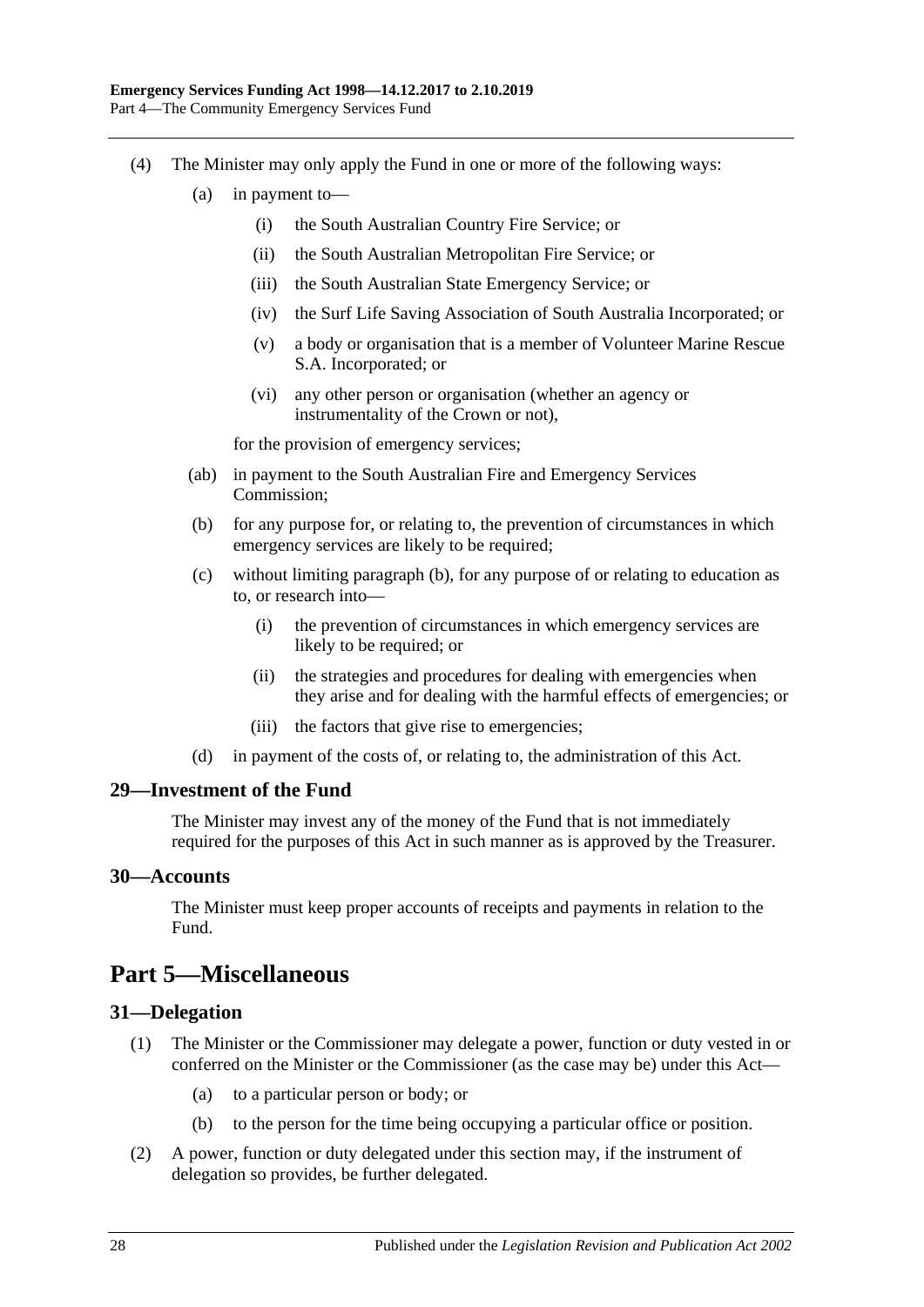- <span id="page-27-4"></span>(4) The Minister may only apply the Fund in one or more of the following ways:
	- (a) in payment to—
		- (i) the South Australian Country Fire Service; or
		- (ii) the South Australian Metropolitan Fire Service; or
		- (iii) the South Australian State Emergency Service; or
		- (iv) the Surf Life Saving Association of South Australia Incorporated; or
		- (v) a body or organisation that is a member of Volunteer Marine Rescue S.A. Incorporated; or
		- (vi) any other person or organisation (whether an agency or instrumentality of the Crown or not),

for the provision of emergency services;

- (ab) in payment to the South Australian Fire and Emergency Services Commission;
- <span id="page-27-5"></span>(b) for any purpose for, or relating to, the prevention of circumstances in which emergency services are likely to be required;
- (c) without limiting [paragraph](#page-27-5) (b), for any purpose of or relating to education as to, or research into—
	- (i) the prevention of circumstances in which emergency services are likely to be required; or
	- (ii) the strategies and procedures for dealing with emergencies when they arise and for dealing with the harmful effects of emergencies; or
	- (iii) the factors that give rise to emergencies;
- (d) in payment of the costs of, or relating to, the administration of this Act.

#### <span id="page-27-0"></span>**29—Investment of the Fund**

The Minister may invest any of the money of the Fund that is not immediately required for the purposes of this Act in such manner as is approved by the Treasurer.

#### <span id="page-27-1"></span>**30—Accounts**

The Minister must keep proper accounts of receipts and payments in relation to the Fund.

## <span id="page-27-2"></span>**Part 5—Miscellaneous**

#### <span id="page-27-3"></span>**31—Delegation**

- (1) The Minister or the Commissioner may delegate a power, function or duty vested in or conferred on the Minister or the Commissioner (as the case may be) under this Act—
	- (a) to a particular person or body; or
	- (b) to the person for the time being occupying a particular office or position.
- (2) A power, function or duty delegated under this section may, if the instrument of delegation so provides, be further delegated.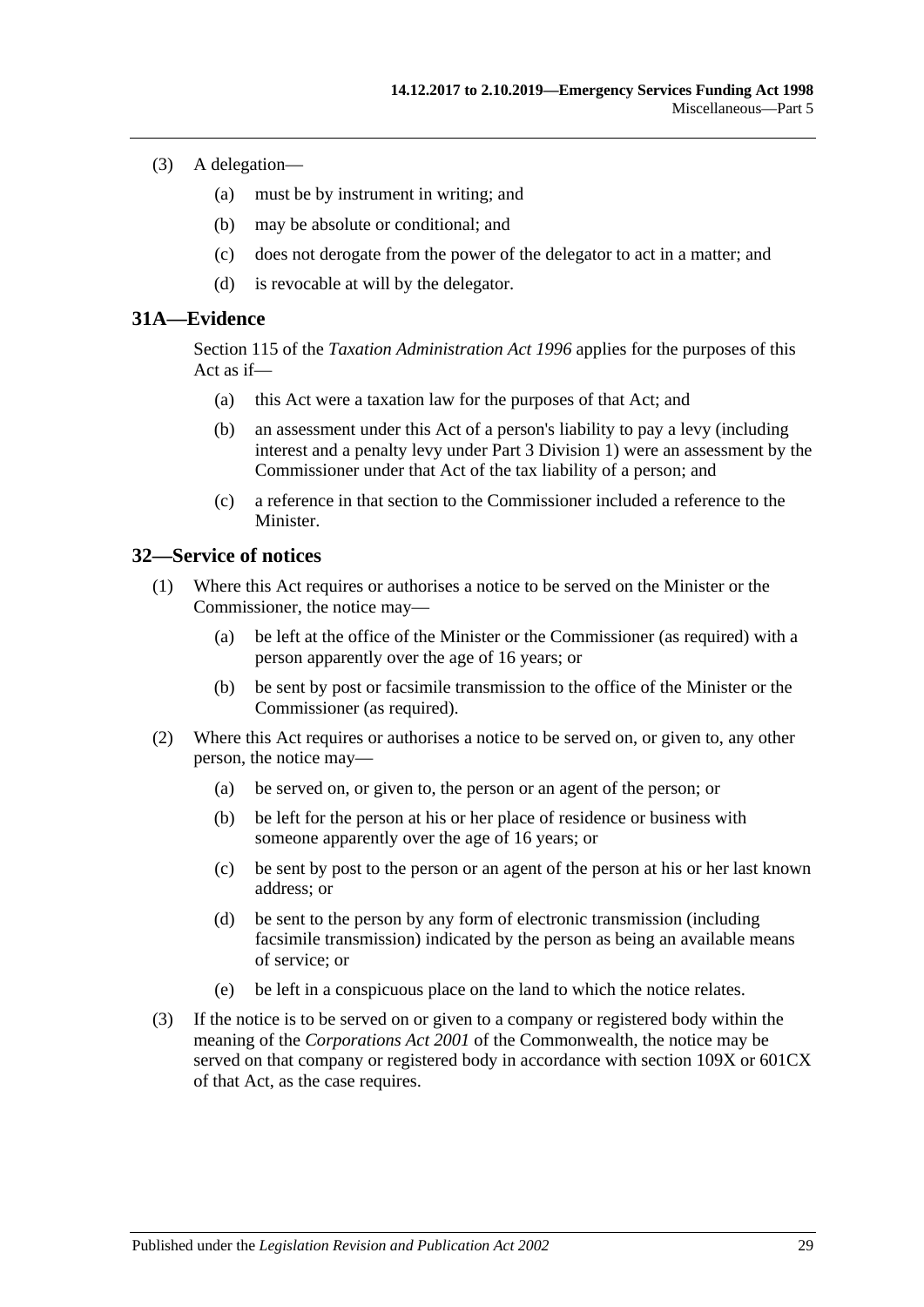- (3) A delegation—
	- (a) must be by instrument in writing; and
	- (b) may be absolute or conditional; and
	- (c) does not derogate from the power of the delegator to act in a matter; and
	- (d) is revocable at will by the delegator.

## <span id="page-28-0"></span>**31A—Evidence**

Section 115 of the *[Taxation Administration Act](http://www.legislation.sa.gov.au/index.aspx?action=legref&type=act&legtitle=Taxation%20Administration%20Act%201996) 1996* applies for the purposes of this Act as if—

- (a) this Act were a taxation law for the purposes of that Act; and
- (b) an assessment under this Act of a person's liability to pay a levy (including interest and a penalty levy under [Part 3 Division 1\)](#page-4-2) were an assessment by the Commissioner under that Act of the tax liability of a person; and
- (c) a reference in that section to the Commissioner included a reference to the Minister.

#### <span id="page-28-1"></span>**32—Service of notices**

- (1) Where this Act requires or authorises a notice to be served on the Minister or the Commissioner, the notice may—
	- (a) be left at the office of the Minister or the Commissioner (as required) with a person apparently over the age of 16 years; or
	- (b) be sent by post or facsimile transmission to the office of the Minister or the Commissioner (as required).
- (2) Where this Act requires or authorises a notice to be served on, or given to, any other person, the notice may—
	- (a) be served on, or given to, the person or an agent of the person; or
	- (b) be left for the person at his or her place of residence or business with someone apparently over the age of 16 years; or
	- (c) be sent by post to the person or an agent of the person at his or her last known address; or
	- (d) be sent to the person by any form of electronic transmission (including facsimile transmission) indicated by the person as being an available means of service; or
	- (e) be left in a conspicuous place on the land to which the notice relates.
- (3) If the notice is to be served on or given to a company or registered body within the meaning of the *Corporations Act 2001* of the Commonwealth, the notice may be served on that company or registered body in accordance with section 109X or 601CX of that Act, as the case requires.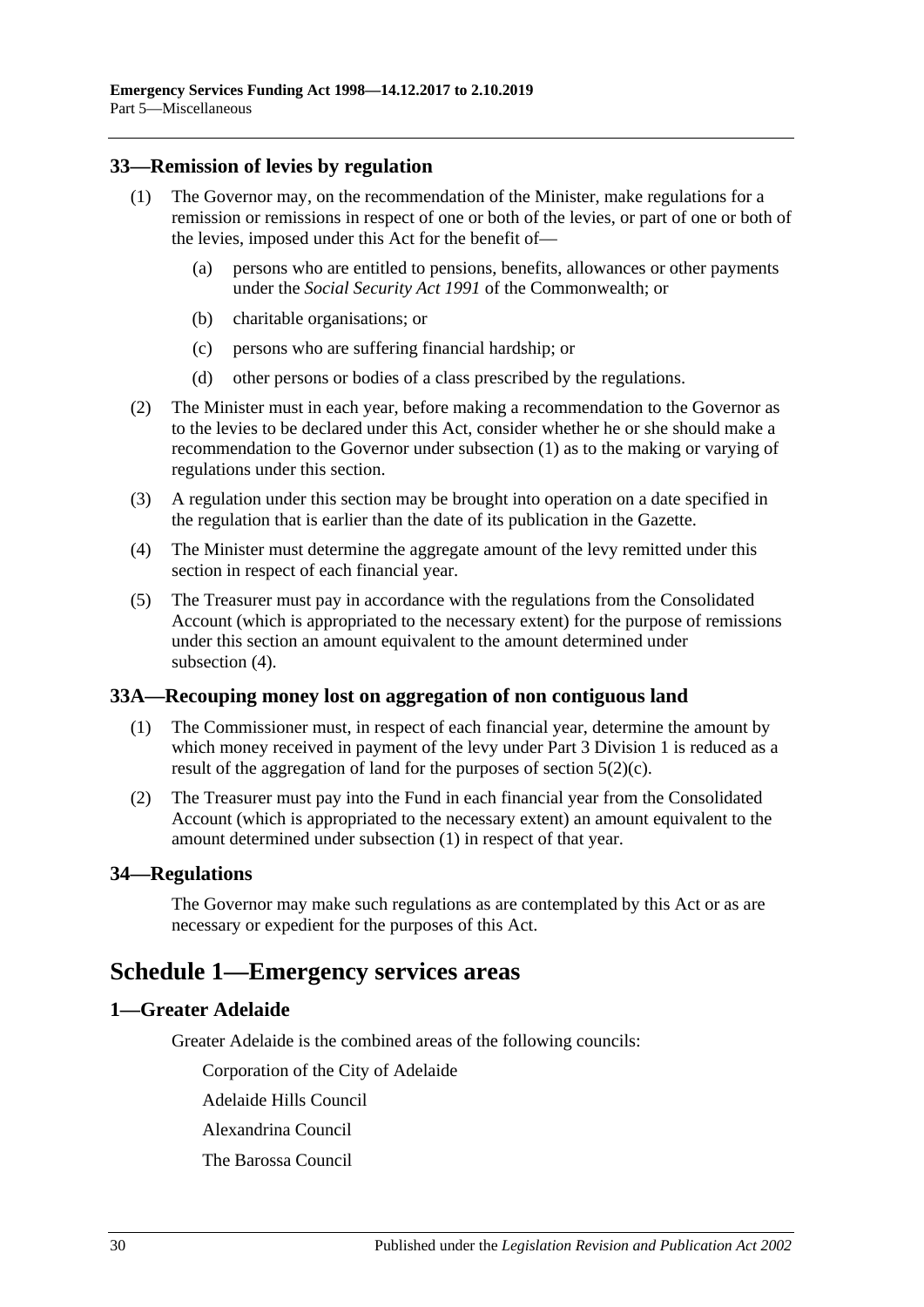## <span id="page-29-5"></span><span id="page-29-0"></span>**33—Remission of levies by regulation**

- (1) The Governor may, on the recommendation of the Minister, make regulations for a remission or remissions in respect of one or both of the levies, or part of one or both of the levies, imposed under this Act for the benefit of—
	- (a) persons who are entitled to pensions, benefits, allowances or other payments under the *Social Security Act 1991* of the Commonwealth; or
	- (b) charitable organisations; or
	- (c) persons who are suffering financial hardship; or
	- (d) other persons or bodies of a class prescribed by the regulations.
- (2) The Minister must in each year, before making a recommendation to the Governor as to the levies to be declared under this Act, consider whether he or she should make a recommendation to the Governor under [subsection](#page-29-5) (1) as to the making or varying of regulations under this section.
- (3) A regulation under this section may be brought into operation on a date specified in the regulation that is earlier than the date of its publication in the Gazette.
- <span id="page-29-6"></span>(4) The Minister must determine the aggregate amount of the levy remitted under this section in respect of each financial year.
- (5) The Treasurer must pay in accordance with the regulations from the Consolidated Account (which is appropriated to the necessary extent) for the purpose of remissions under this section an amount equivalent to the amount determined under [subsection](#page-29-6) (4).

#### <span id="page-29-7"></span><span id="page-29-1"></span>**33A—Recouping money lost on aggregation of non contiguous land**

- (1) The Commissioner must, in respect of each financial year, determine the amount by which money received in payment of the levy under [Part 3 Division 1](#page-4-2) is reduced as a result of the aggregation of land for the purposes of [section](#page-4-8)  $5(2)(c)$ .
- (2) The Treasurer must pay into the Fund in each financial year from the Consolidated Account (which is appropriated to the necessary extent) an amount equivalent to the amount determined under [subsection](#page-29-7) (1) in respect of that year.

#### <span id="page-29-2"></span>**34—Regulations**

The Governor may make such regulations as are contemplated by this Act or as are necessary or expedient for the purposes of this Act.

## <span id="page-29-3"></span>**Schedule 1—Emergency services areas**

#### <span id="page-29-4"></span>**1—Greater Adelaide**

Greater Adelaide is the combined areas of the following councils:

Corporation of the City of Adelaide

Adelaide Hills Council

Alexandrina Council

The Barossa Council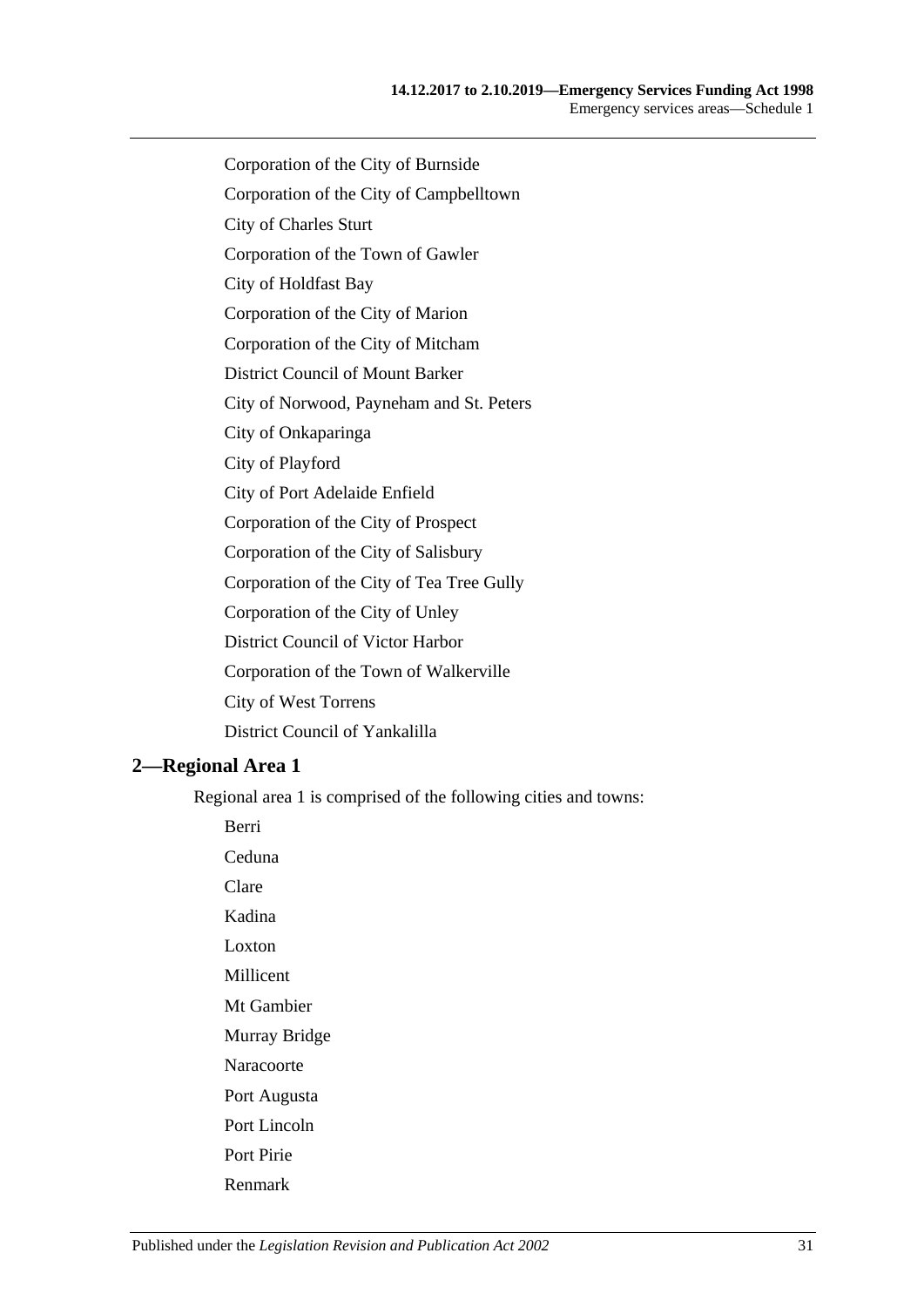- Corporation of the City of Burnside
- Corporation of the City of Campbelltown
- City of Charles Sturt
- Corporation of the Town of Gawler
- City of Holdfast Bay
- Corporation of the City of Marion
- Corporation of the City of Mitcham
- District Council of Mount Barker
- City of Norwood, Payneham and St. Peters
- City of Onkaparinga
- City of Playford
- City of Port Adelaide Enfield
- Corporation of the City of Prospect
- Corporation of the City of Salisbury
- Corporation of the City of Tea Tree Gully
- Corporation of the City of Unley
- District Council of Victor Harbor
- Corporation of the Town of Walkerville
- City of West Torrens
- District Council of Yankalilla

#### <span id="page-30-0"></span>**2—Regional Area 1**

Berri

Regional area 1 is comprised of the following cities and towns:

Ceduna Clare Kadina Loxton Millicent Mt Gambier Murray Bridge Naracoorte Port Augusta Port Lincoln Port Pirie

Renmark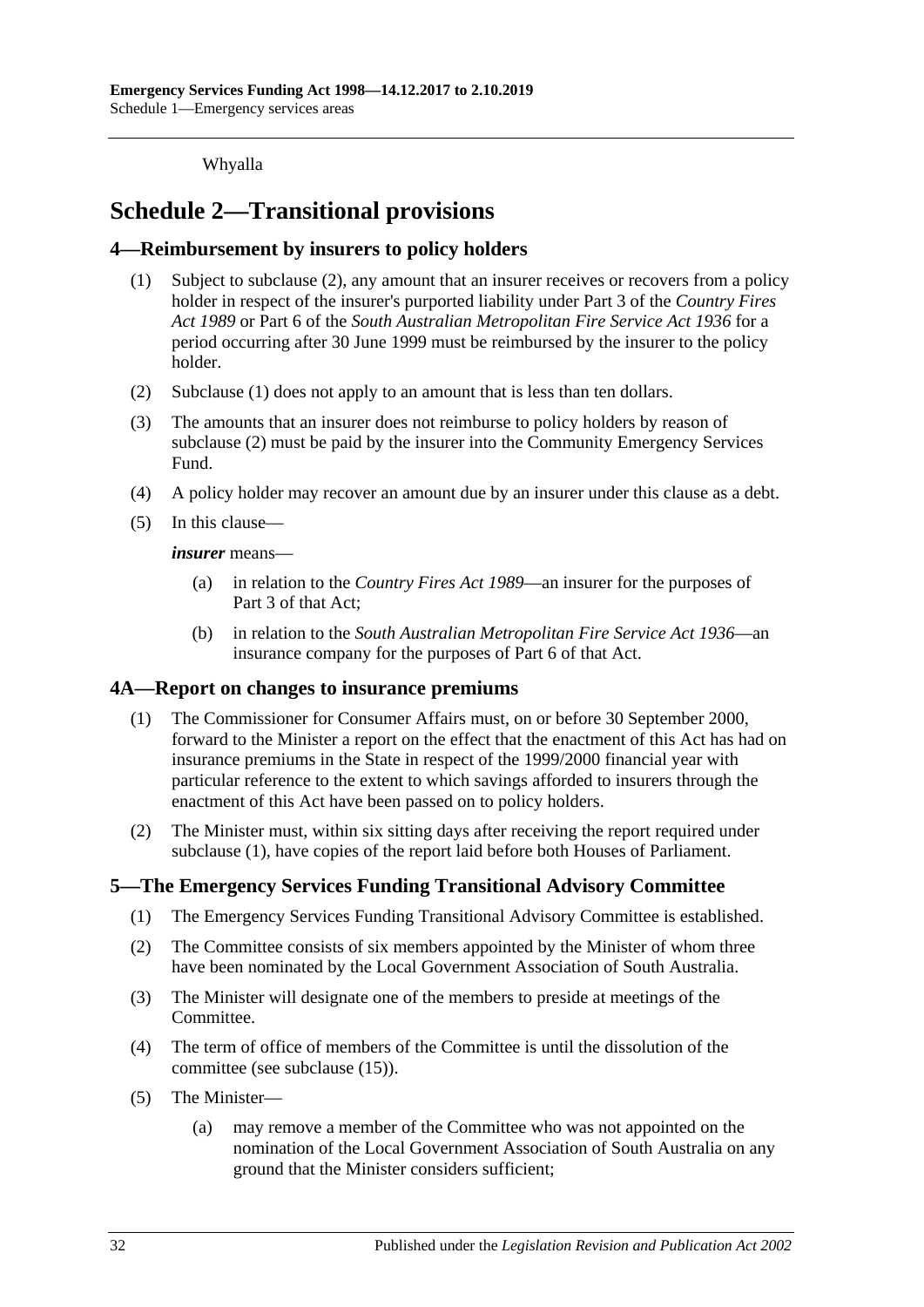Whyalla

## <span id="page-31-0"></span>**Schedule 2—Transitional provisions**

## <span id="page-31-5"></span><span id="page-31-1"></span>**4—Reimbursement by insurers to policy holders**

- (1) Subject to [subclause](#page-31-4) (2), any amount that an insurer receives or recovers from a policy holder in respect of the insurer's purported liability under Part 3 of the *[Country Fires](http://www.legislation.sa.gov.au/index.aspx?action=legref&type=act&legtitle=Country%20Fires%20Act%201989)  Act [1989](http://www.legislation.sa.gov.au/index.aspx?action=legref&type=act&legtitle=Country%20Fires%20Act%201989)* or Part 6 of the *[South Australian Metropolitan Fire Service Act](http://www.legislation.sa.gov.au/index.aspx?action=legref&type=act&legtitle=South%20Australian%20Metropolitan%20Fire%20Service%20Act%201936) 1936* for a period occurring after 30 June 1999 must be reimbursed by the insurer to the policy holder.
- <span id="page-31-4"></span>(2) [Subclause](#page-31-5) (1) does not apply to an amount that is less than ten dollars.
- (3) The amounts that an insurer does not reimburse to policy holders by reason of [subclause](#page-31-4) (2) must be paid by the insurer into the Community Emergency Services Fund.
- (4) A policy holder may recover an amount due by an insurer under this clause as a debt.
- (5) In this clause—

*insurer* means—

- (a) in relation to the *[Country Fires Act](http://www.legislation.sa.gov.au/index.aspx?action=legref&type=act&legtitle=Country%20Fires%20Act%201989) 1989*—an insurer for the purposes of Part 3 of that Act;
- (b) in relation to the *[South Australian Metropolitan Fire Service Act](http://www.legislation.sa.gov.au/index.aspx?action=legref&type=act&legtitle=South%20Australian%20Metropolitan%20Fire%20Service%20Act%201936) 1936*—an insurance company for the purposes of Part 6 of that Act.

#### <span id="page-31-6"></span><span id="page-31-2"></span>**4A—Report on changes to insurance premiums**

- (1) The Commissioner for Consumer Affairs must, on or before 30 September 2000, forward to the Minister a report on the effect that the enactment of this Act has had on insurance premiums in the State in respect of the 1999/2000 financial year with particular reference to the extent to which savings afforded to insurers through the enactment of this Act have been passed on to policy holders.
- (2) The Minister must, within six sitting days after receiving the report required under [subclause](#page-31-6) (1), have copies of the report laid before both Houses of Parliament.

## <span id="page-31-3"></span>**5—The Emergency Services Funding Transitional Advisory Committee**

- (1) The Emergency Services Funding Transitional Advisory Committee is established.
- (2) The Committee consists of six members appointed by the Minister of whom three have been nominated by the Local Government Association of South Australia.
- (3) The Minister will designate one of the members to preside at meetings of the Committee.
- (4) The term of office of members of the Committee is until the dissolution of the committee (see [subclause](#page-32-1) (15)).
- <span id="page-31-7"></span>(5) The Minister—
	- (a) may remove a member of the Committee who was not appointed on the nomination of the Local Government Association of South Australia on any ground that the Minister considers sufficient;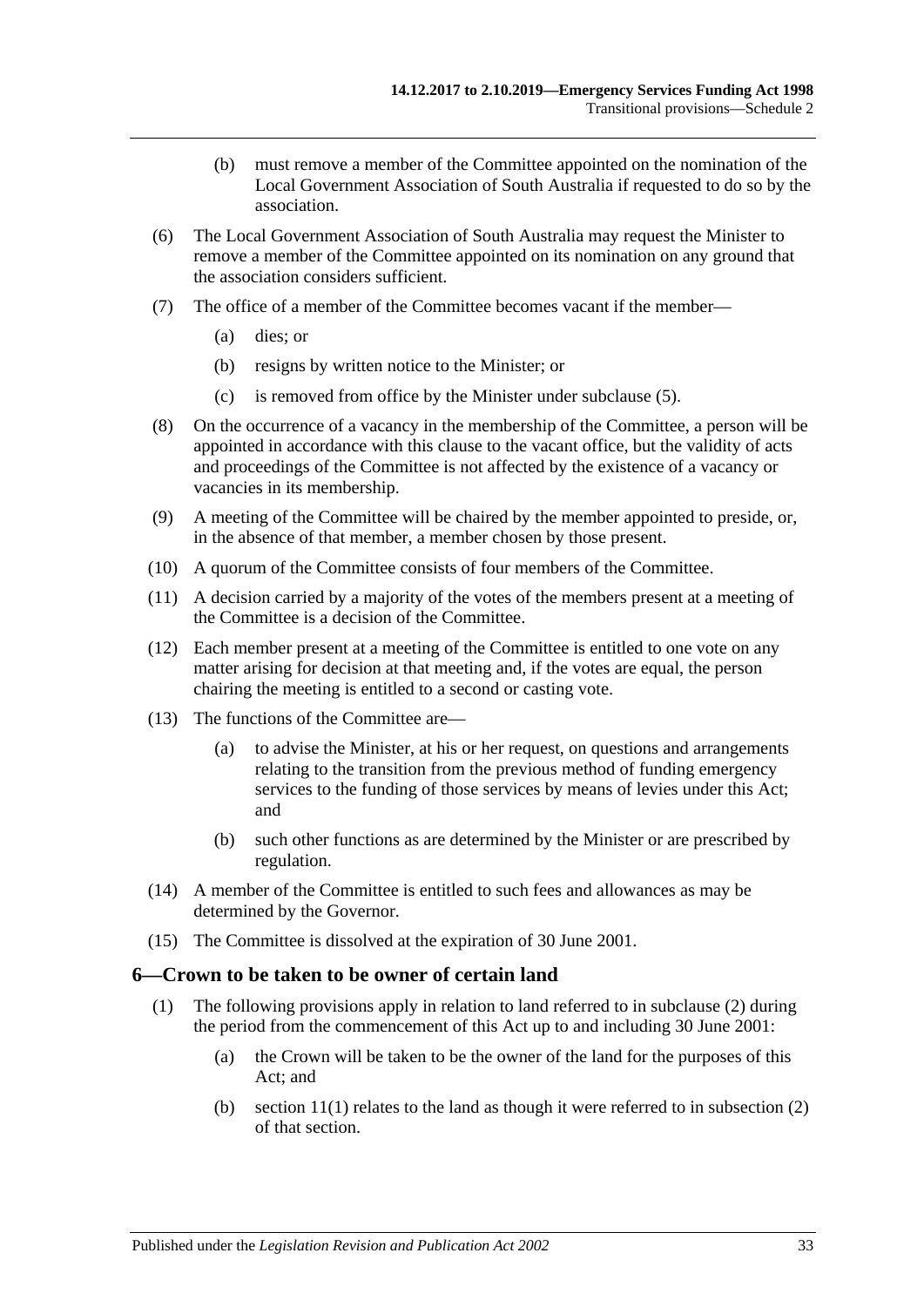- (b) must remove a member of the Committee appointed on the nomination of the Local Government Association of South Australia if requested to do so by the association.
- (6) The Local Government Association of South Australia may request the Minister to remove a member of the Committee appointed on its nomination on any ground that the association considers sufficient.
- (7) The office of a member of the Committee becomes vacant if the member—
	- (a) dies; or
	- (b) resigns by written notice to the Minister; or
	- (c) is removed from office by the Minister under [subclause](#page-31-7) (5).
- (8) On the occurrence of a vacancy in the membership of the Committee, a person will be appointed in accordance with this clause to the vacant office, but the validity of acts and proceedings of the Committee is not affected by the existence of a vacancy or vacancies in its membership.
- (9) A meeting of the Committee will be chaired by the member appointed to preside, or, in the absence of that member, a member chosen by those present.
- (10) A quorum of the Committee consists of four members of the Committee.
- (11) A decision carried by a majority of the votes of the members present at a meeting of the Committee is a decision of the Committee.
- (12) Each member present at a meeting of the Committee is entitled to one vote on any matter arising for decision at that meeting and, if the votes are equal, the person chairing the meeting is entitled to a second or casting vote.
- (13) The functions of the Committee are—
	- (a) to advise the Minister, at his or her request, on questions and arrangements relating to the transition from the previous method of funding emergency services to the funding of those services by means of levies under this Act; and
	- (b) such other functions as are determined by the Minister or are prescribed by regulation.
- (14) A member of the Committee is entitled to such fees and allowances as may be determined by the Governor.
- <span id="page-32-1"></span>(15) The Committee is dissolved at the expiration of 30 June 2001.

#### <span id="page-32-2"></span><span id="page-32-0"></span>**6—Crown to be taken to be owner of certain land**

- (1) The following provisions apply in relation to land referred to in [subclause](#page-33-0) (2) during the period from the commencement of this Act up to and including 30 June 2001:
	- (a) the Crown will be taken to be the owner of the land for the purposes of this Act; and
	- (b) section  $11(1)$  relates to the land as though it were referred to in subsection  $(2)$ of that section.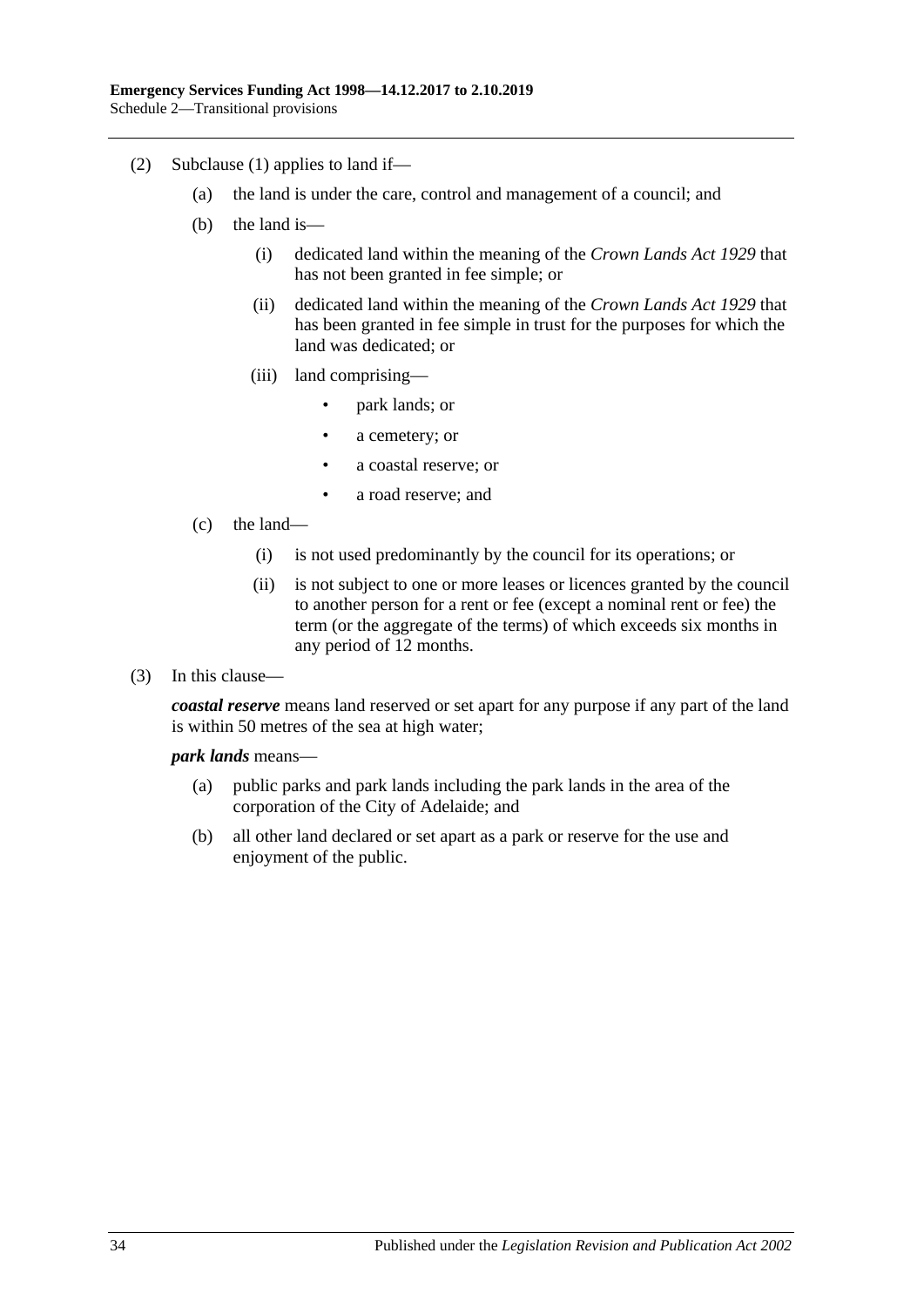- <span id="page-33-0"></span>(2) [Subclause](#page-32-2) (1) applies to land if—
	- (a) the land is under the care, control and management of a council; and
	- (b) the land is—
		- (i) dedicated land within the meaning of the *[Crown Lands Act](http://www.legislation.sa.gov.au/index.aspx?action=legref&type=act&legtitle=Crown%20Lands%20Act%201929) 1929* that has not been granted in fee simple; or
		- (ii) dedicated land within the meaning of the *[Crown Lands Act](http://www.legislation.sa.gov.au/index.aspx?action=legref&type=act&legtitle=Crown%20Lands%20Act%201929) 1929* that has been granted in fee simple in trust for the purposes for which the land was dedicated; or
		- (iii) land comprising—
			- park lands; or
			- a cemetery; or
			- a coastal reserve; or
			- a road reserve; and
	- (c) the land—
		- (i) is not used predominantly by the council for its operations; or
		- (ii) is not subject to one or more leases or licences granted by the council to another person for a rent or fee (except a nominal rent or fee) the term (or the aggregate of the terms) of which exceeds six months in any period of 12 months.
- (3) In this clause—

*coastal reserve* means land reserved or set apart for any purpose if any part of the land is within 50 metres of the sea at high water;

#### *park lands* means—

- (a) public parks and park lands including the park lands in the area of the corporation of the City of Adelaide; and
- (b) all other land declared or set apart as a park or reserve for the use and enjoyment of the public.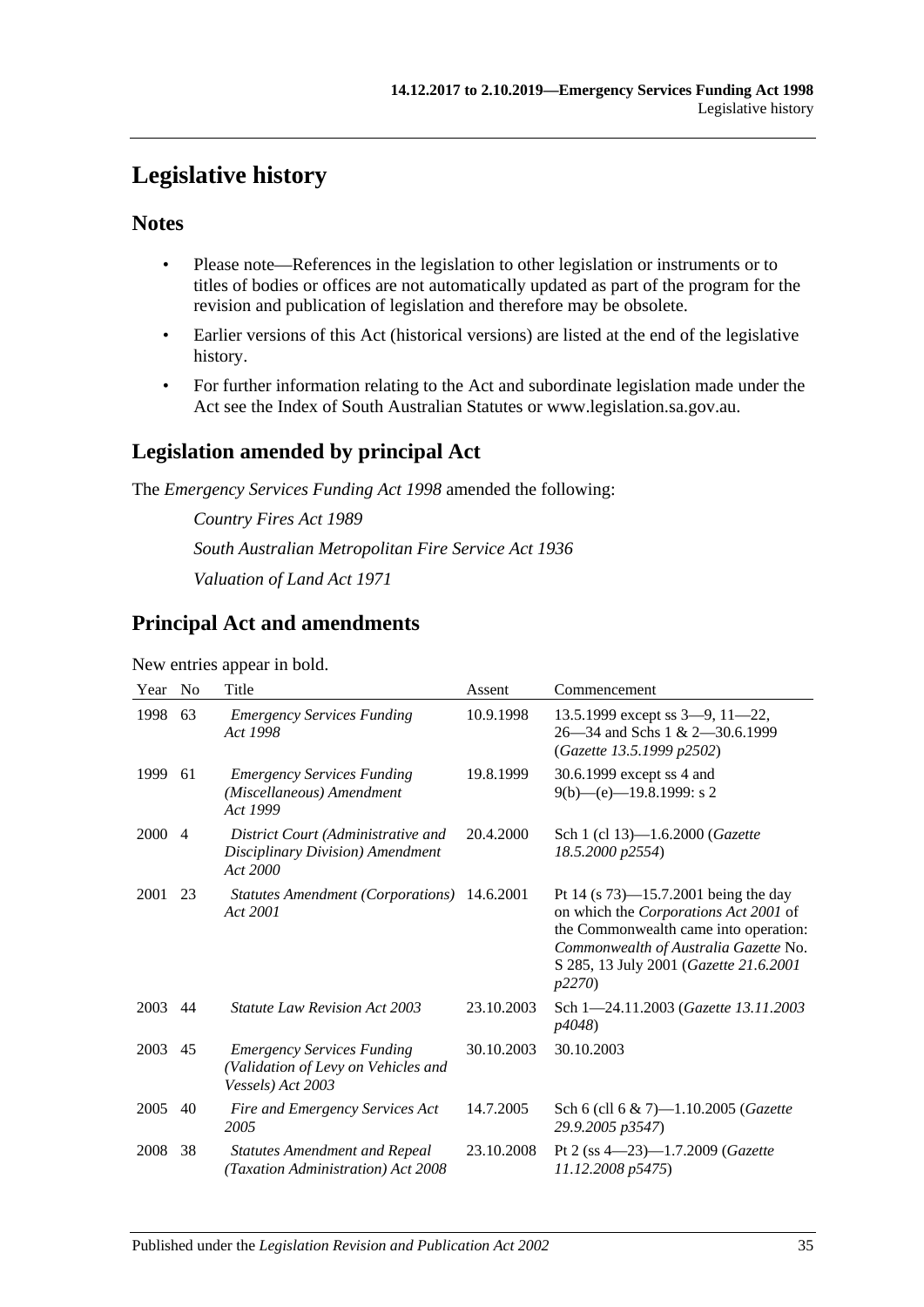## <span id="page-34-0"></span>**Legislative history**

## **Notes**

- Please note—References in the legislation to other legislation or instruments or to titles of bodies or offices are not automatically updated as part of the program for the revision and publication of legislation and therefore may be obsolete.
- Earlier versions of this Act (historical versions) are listed at the end of the legislative history.
- For further information relating to the Act and subordinate legislation made under the Act see the Index of South Australian Statutes or www.legislation.sa.gov.au.

## **Legislation amended by principal Act**

The *Emergency Services Funding Act 1998* amended the following:

*Country Fires Act 1989 South Australian Metropolitan Fire Service Act 1936 Valuation of Land Act 1971*

## **Principal Act and amendments**

#### New entries appear in bold.

| Year | N <sub>0</sub> | Title                                                                                         | Assent     | Commencement                                                                                                                                                                                                           |
|------|----------------|-----------------------------------------------------------------------------------------------|------------|------------------------------------------------------------------------------------------------------------------------------------------------------------------------------------------------------------------------|
| 1998 | 63             | <b>Emergency Services Funding</b><br>Act 1998                                                 | 10.9.1998  | 13.5.1999 except ss $3-9$ , $11-22$ ,<br>26—34 and Schs 1 & 2—30.6.1999<br>(Gazette 13.5.1999 p2502)                                                                                                                   |
| 1999 | 61             | <b>Emergency Services Funding</b><br>(Miscellaneous) Amendment<br>Act 1999                    | 19.8.1999  | 30.6.1999 except ss 4 and<br>$9(b)$ —(e)—19.8.1999: s 2                                                                                                                                                                |
| 2000 | $\overline{4}$ | District Court (Administrative and<br>Disciplinary Division) Amendment<br>Act 2000            | 20.4.2000  | Sch 1 (cl 13)-1.6.2000 (Gazette<br>18.5.2000 p2554)                                                                                                                                                                    |
| 2001 | 23             | Statutes Amendment (Corporations) 14.6.2001<br>Act 2001                                       |            | Pt 14 (s $73$ )—15.7.2001 being the day<br>on which the Corporations Act 2001 of<br>the Commonwealth came into operation:<br>Commonwealth of Australia Gazette No.<br>S 285, 13 July 2001 (Gazette 21.6.2001<br>p2270) |
| 2003 | 44             | <b>Statute Law Revision Act 2003</b>                                                          | 23.10.2003 | Sch 1-24.11.2003 (Gazette 13.11.2003<br>p4048)                                                                                                                                                                         |
| 2003 | 45             | <b>Emergency Services Funding</b><br>(Validation of Levy on Vehicles and<br>Vessels) Act 2003 | 30.10.2003 | 30.10.2003                                                                                                                                                                                                             |
| 2005 | 40             | Fire and Emergency Services Act<br>2005                                                       | 14.7.2005  | Sch 6 (cll 6 & 7)-1.10.2005 ( <i>Gazette</i><br>29.9.2005 p3547)                                                                                                                                                       |
| 2008 | 38             | <b>Statutes Amendment and Repeal</b><br>(Taxation Administration) Act 2008                    | 23.10.2008 | Pt 2 (ss 4-23)-1.7.2009 (Gazette<br>11.12.2008 p5475)                                                                                                                                                                  |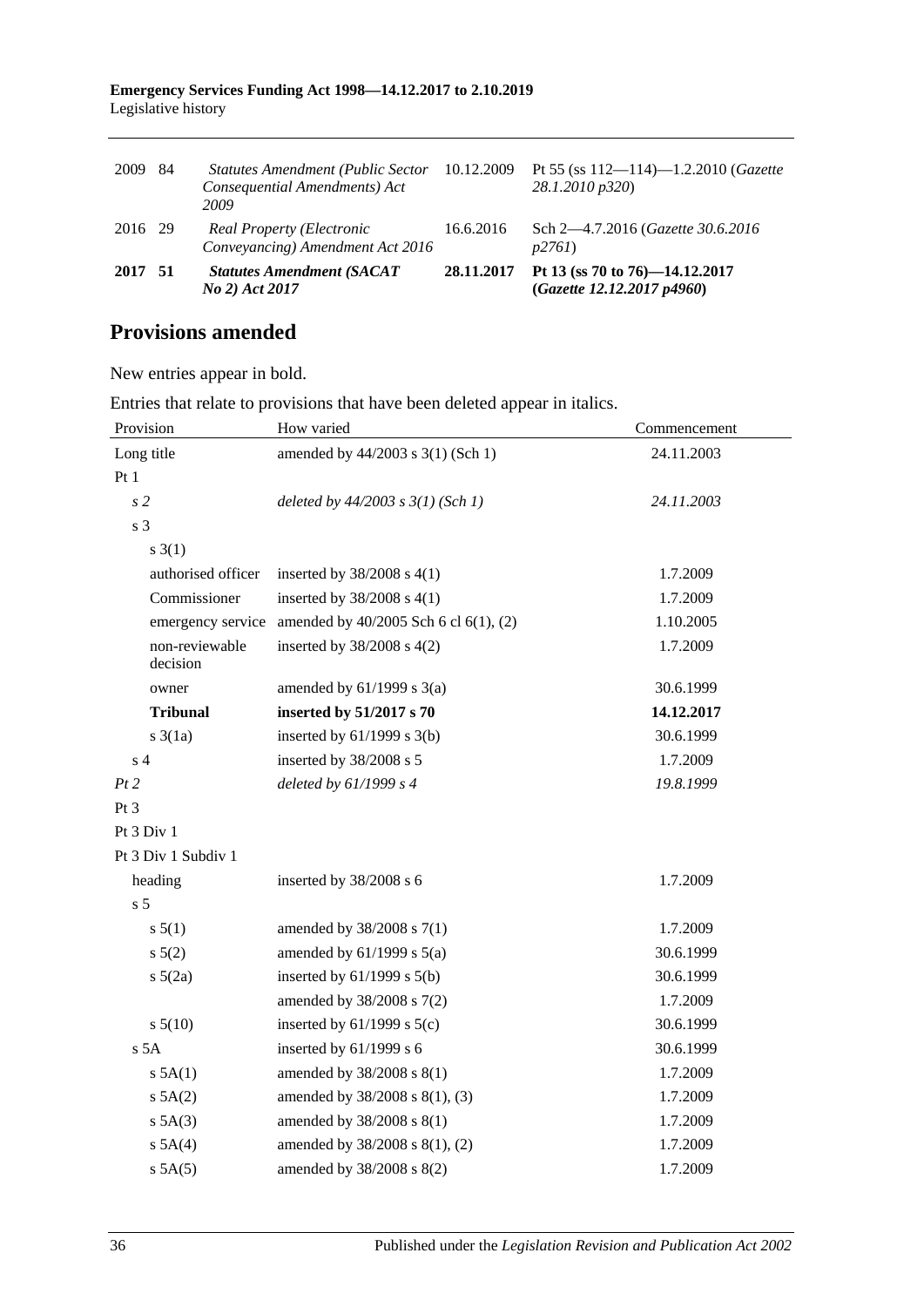#### **Emergency Services Funding Act 1998—14.12.2017 to 2.10.2019** Legislative history

| 2017 51 |    | <b>Statutes Amendment (SACAT</b><br>No 2) Act 2017                                | 28.11.2017 | Pt 13 (ss 70 to 76)-14.12.2017<br>(Gazette 12.12.2017 p4960)         |
|---------|----|-----------------------------------------------------------------------------------|------------|----------------------------------------------------------------------|
| 2016 29 |    | Real Property (Electronic<br>Conveyancing) Amendment Act 2016                     | 16.6.2016  | Sch 2—4.7.2016 (Gazette 30.6.2016)<br>p2761                          |
| 2009    | 84 | <b>Statutes Amendment (Public Sector</b><br>Consequential Amendments) Act<br>2009 | 10.12.2009 | Pt 55 (ss $112 - 114$ )-1.2.2010 ( <i>Gazette</i><br>28.1.2010 p320) |

## **Provisions amended**

New entries appear in bold.

Entries that relate to provisions that have been deleted appear in italics.

| Provision                  | How varied                            | Commencement |
|----------------------------|---------------------------------------|--------------|
| Long title                 | amended by 44/2003 s 3(1) (Sch 1)     | 24.11.2003   |
| Pt1                        |                                       |              |
| s <sub>2</sub>             | deleted by $44/2003$ s $3(1)$ (Sch 1) | 24.11.2003   |
| s <sub>3</sub>             |                                       |              |
| $s \; 3(1)$                |                                       |              |
| authorised officer         | inserted by $38/2008$ s 4(1)          | 1.7.2009     |
| Commissioner               | inserted by $38/2008$ s 4(1)          | 1.7.2009     |
| emergency service          | amended by 40/2005 Sch 6 cl 6(1), (2) | 1.10.2005    |
| non-reviewable<br>decision | inserted by $38/2008$ s $4(2)$        | 1.7.2009     |
| owner                      | amended by $61/1999$ s $3(a)$         | 30.6.1999    |
| <b>Tribunal</b>            | inserted by 51/2017 s 70              | 14.12.2017   |
| $s \frac{3}{1a}$           | inserted by $61/1999$ s $3(b)$        | 30.6.1999    |
| s <sub>4</sub>             | inserted by 38/2008 s 5               | 1.7.2009     |
| Pt 2                       | deleted by $61/1999 s 4$              | 19.8.1999    |
| Pt <sub>3</sub>            |                                       |              |
| Pt 3 Div 1                 |                                       |              |
| Pt 3 Div 1 Subdiv 1        |                                       |              |
| heading                    | inserted by 38/2008 s 6               | 1.7.2009     |
| s <sub>5</sub>             |                                       |              |
| s 5(1)                     | amended by 38/2008 s 7(1)             | 1.7.2009     |
| $s\ 5(2)$                  | amended by $61/1999$ s $5(a)$         | 30.6.1999    |
| $s\ 5(2a)$                 | inserted by $61/1999$ s $5(b)$        | 30.6.1999    |
|                            | amended by 38/2008 s 7(2)             | 1.7.2009     |
| $s\ 5(10)$                 | inserted by $61/1999$ s $5(c)$        | 30.6.1999    |
| s <sub>5A</sub>            | inserted by 61/1999 s 6               | 30.6.1999    |
| $s$ 5A(1)                  | amended by 38/2008 s 8(1)             | 1.7.2009     |
| $s$ 5A(2)                  | amended by 38/2008 s 8(1), (3)        | 1.7.2009     |
| $s$ 5A(3)                  | amended by 38/2008 s 8(1)             | 1.7.2009     |
| $s$ 5A(4)                  | amended by 38/2008 s 8(1), (2)        | 1.7.2009     |
| $s$ 5A $(5)$               | amended by 38/2008 s 8(2)             | 1.7.2009     |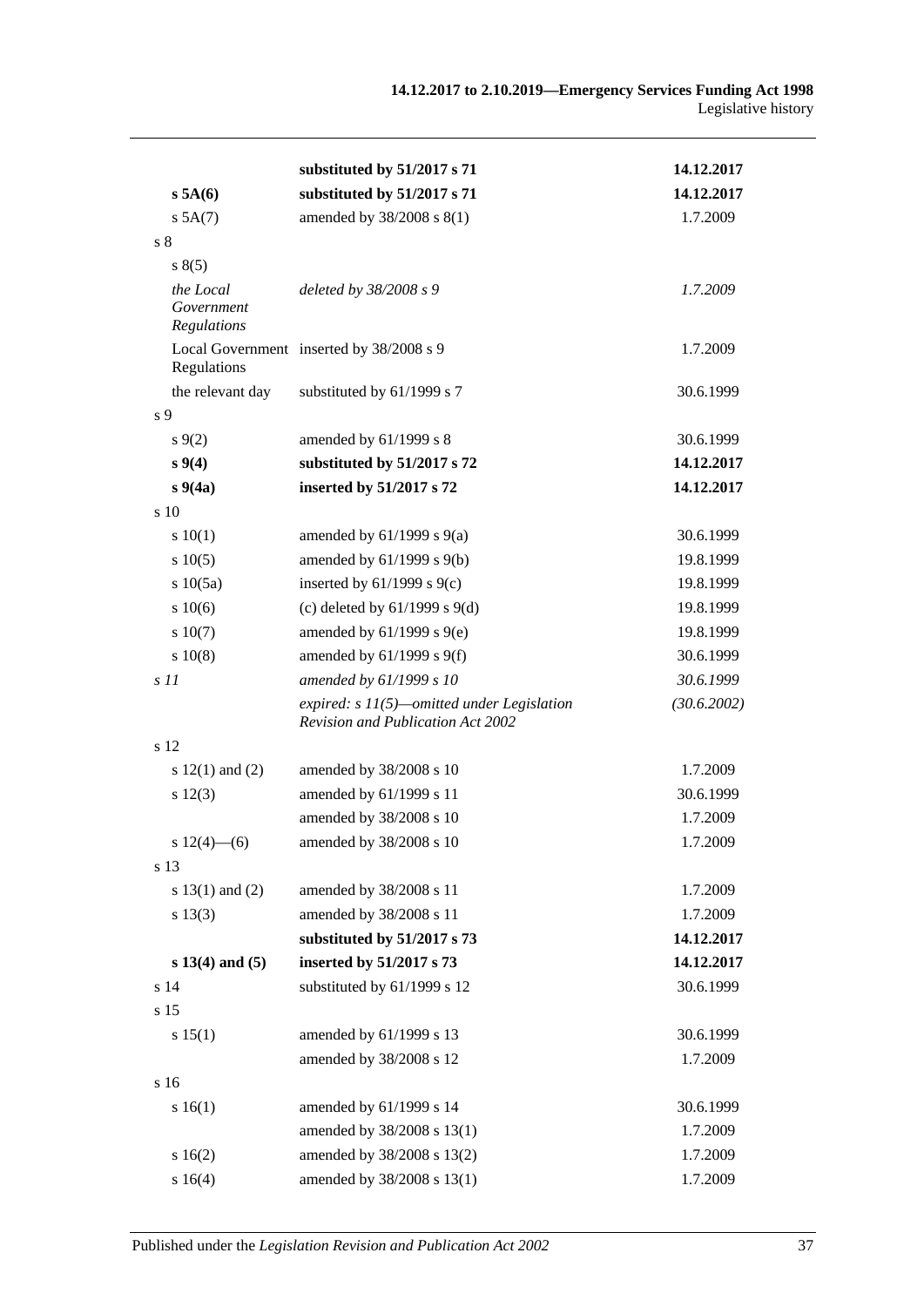|                                        | substituted by 51/2017 s 71                                                              | 14.12.2017  |
|----------------------------------------|------------------------------------------------------------------------------------------|-------------|
| s 5A(6)                                | substituted by 51/2017 s 71                                                              | 14.12.2017  |
| $s$ 5A $(7)$                           | amended by 38/2008 s 8(1)                                                                | 1.7.2009    |
| s <sub>8</sub>                         |                                                                                          |             |
| s(5)                                   |                                                                                          |             |
| the Local<br>Government<br>Regulations | deleted by 38/2008 s 9                                                                   | 1.7.2009    |
| Regulations                            | Local Government inserted by 38/2008 s 9                                                 | 1.7.2009    |
| the relevant day                       | substituted by 61/1999 s 7                                                               | 30.6.1999   |
| s 9                                    |                                                                                          |             |
| $s\,9(2)$                              | amended by 61/1999 s 8                                                                   | 30.6.1999   |
| $s \, 9(4)$                            | substituted by 51/2017 s 72                                                              | 14.12.2017  |
| $s\,9(4a)$                             | inserted by 51/2017 s 72                                                                 | 14.12.2017  |
| s <sub>10</sub>                        |                                                                                          |             |
| 10(1)                                  | amended by $61/1999$ s $9(a)$                                                            | 30.6.1999   |
| s 10(5)                                | amended by $61/1999$ s $9(b)$                                                            | 19.8.1999   |
| s 10(5a)                               | inserted by $61/1999$ s $9(c)$                                                           | 19.8.1999   |
| 10(6)                                  | (c) deleted by $61/1999$ s $9(d)$                                                        | 19.8.1999   |
| s 10(7)                                | amended by $61/1999$ s $9(e)$                                                            | 19.8.1999   |
| s 10(8)                                | amended by $61/1999$ s $9(f)$                                                            | 30.6.1999   |
| s11                                    | amended by 61/1999 s 10                                                                  | 30.6.1999   |
|                                        | expired: $s$ 11(5)—omitted under Legislation<br><b>Revision and Publication Act 2002</b> | (30.6.2002) |
| s 12                                   |                                                                                          |             |
| s $12(1)$ and $(2)$                    | amended by 38/2008 s 10                                                                  | 1.7.2009    |
| s 12(3)                                | amended by 61/1999 s 11                                                                  | 30.6.1999   |
|                                        | amended by 38/2008 s 10                                                                  | 1.7.2009    |
| s $12(4)$ - (6)                        | amended by 38/2008 s 10                                                                  | 1.7.2009    |
| s 13                                   |                                                                                          |             |
| s $13(1)$ and $(2)$                    | amended by 38/2008 s 11                                                                  | 1.7.2009    |
| s 13(3)                                | amended by 38/2008 s 11                                                                  | 1.7.2009    |
|                                        | substituted by 51/2017 s 73                                                              | 14.12.2017  |
| $s 13(4)$ and $(5)$                    | inserted by 51/2017 s 73                                                                 | 14.12.2017  |
| s 14                                   | substituted by 61/1999 s 12                                                              | 30.6.1999   |
| s 15                                   |                                                                                          |             |
| s 15(1)                                | amended by 61/1999 s 13                                                                  | 30.6.1999   |
|                                        | amended by 38/2008 s 12                                                                  | 1.7.2009    |
| s 16                                   |                                                                                          |             |
| s 16(1)                                | amended by 61/1999 s 14                                                                  | 30.6.1999   |
|                                        | amended by 38/2008 s 13(1)                                                               | 1.7.2009    |
| s16(2)                                 | amended by 38/2008 s 13(2)                                                               | 1.7.2009    |
| s 16(4)                                | amended by 38/2008 s 13(1)                                                               | 1.7.2009    |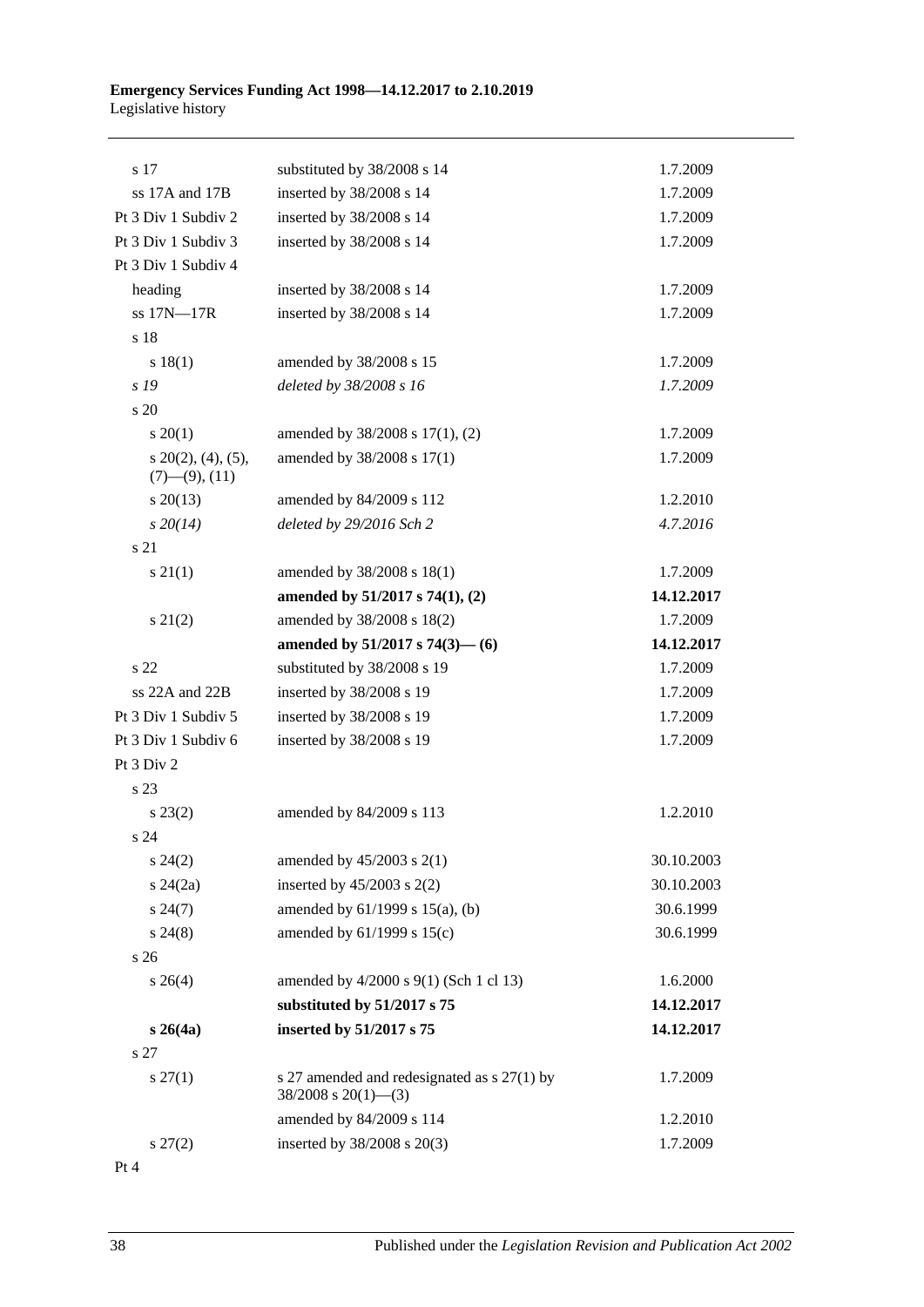#### **Emergency Services Funding Act 1998—14.12.2017 to 2.10.2019** Legislative history

| s 17                                           | substituted by 38/2008 s 14                                               | 1.7.2009   |
|------------------------------------------------|---------------------------------------------------------------------------|------------|
| ss 17A and 17B                                 | inserted by 38/2008 s 14                                                  | 1.7.2009   |
| Pt 3 Div 1 Subdiv 2                            | inserted by 38/2008 s 14                                                  | 1.7.2009   |
| Pt 3 Div 1 Subdiv 3                            | inserted by 38/2008 s 14                                                  | 1.7.2009   |
| Pt 3 Div 1 Subdiv 4                            |                                                                           |            |
| heading                                        | inserted by 38/2008 s 14                                                  | 1.7.2009   |
| ss 17N-17R                                     | inserted by 38/2008 s 14                                                  | 1.7.2009   |
| s 18                                           |                                                                           |            |
| s 18(1)                                        | amended by 38/2008 s 15                                                   | 1.7.2009   |
| s 19                                           | deleted by 38/2008 s 16                                                   | 1.7.2009   |
| $\frac{1}{20}$                                 |                                                                           |            |
| $s \ 20(1)$                                    | amended by 38/2008 s 17(1), (2)                                           | 1.7.2009   |
| $s$ 20(2), (4), (5),<br>$(7)$ — $(9)$ , $(11)$ | amended by 38/2008 s 17(1)                                                | 1.7.2009   |
| $s\,20(13)$                                    | amended by 84/2009 s 112                                                  | 1.2.2010   |
| $s\,20(14)$                                    | deleted by 29/2016 Sch 2                                                  | 4.7.2016   |
| s 21                                           |                                                                           |            |
| $s \, 21(1)$                                   | amended by 38/2008 s 18(1)                                                | 1.7.2009   |
|                                                | amended by $51/2017$ s $74(1)$ , (2)                                      | 14.12.2017 |
| $s\ 21(2)$                                     | amended by 38/2008 s 18(2)                                                | 1.7.2009   |
|                                                | amended by $51/2017$ s $74(3)$ — (6)                                      | 14.12.2017 |
| s <sub>22</sub>                                | substituted by 38/2008 s 19                                               | 1.7.2009   |
| ss 22A and 22B                                 | inserted by 38/2008 s 19                                                  | 1.7.2009   |
| Pt 3 Div 1 Subdiv 5                            | inserted by 38/2008 s 19                                                  | 1.7.2009   |
| Pt 3 Div 1 Subdiv 6                            | inserted by 38/2008 s 19                                                  | 1.7.2009   |
| Pt 3 Div 2                                     |                                                                           |            |
| s 23                                           |                                                                           |            |
| $s\,23(2)$                                     | amended by 84/2009 s 113                                                  | 1.2.2010   |
| s 24                                           |                                                                           |            |
| $s\,24(2)$                                     | amended by $45/2003$ s $2(1)$                                             | 30.10.2003 |
| $s\,24(2a)$                                    | inserted by $45/2003$ s $2(2)$                                            | 30.10.2003 |
| $s\,24(7)$                                     | amended by $61/1999$ s $15(a)$ , (b)                                      | 30.6.1999  |
| $s\,24(8)$                                     | amended by $61/1999$ s $15(c)$                                            | 30.6.1999  |
| s 26                                           |                                                                           |            |
| $s \; 26(4)$                                   | amended by 4/2000 s 9(1) (Sch 1 cl 13)                                    | 1.6.2000   |
|                                                | substituted by 51/2017 s 75                                               | 14.12.2017 |
| $s \; 26(4a)$                                  | inserted by 51/2017 s 75                                                  | 14.12.2017 |
| s 27                                           |                                                                           |            |
| $s \, 27(1)$                                   | s 27 amended and redesignated as $s$ 27(1) by<br>$38/2008$ s $20(1)$ —(3) | 1.7.2009   |
|                                                | amended by 84/2009 s 114                                                  | 1.2.2010   |
| $s\,27(2)$                                     | inserted by 38/2008 s 20(3)                                               | 1.7.2009   |
|                                                |                                                                           |            |

Pt 4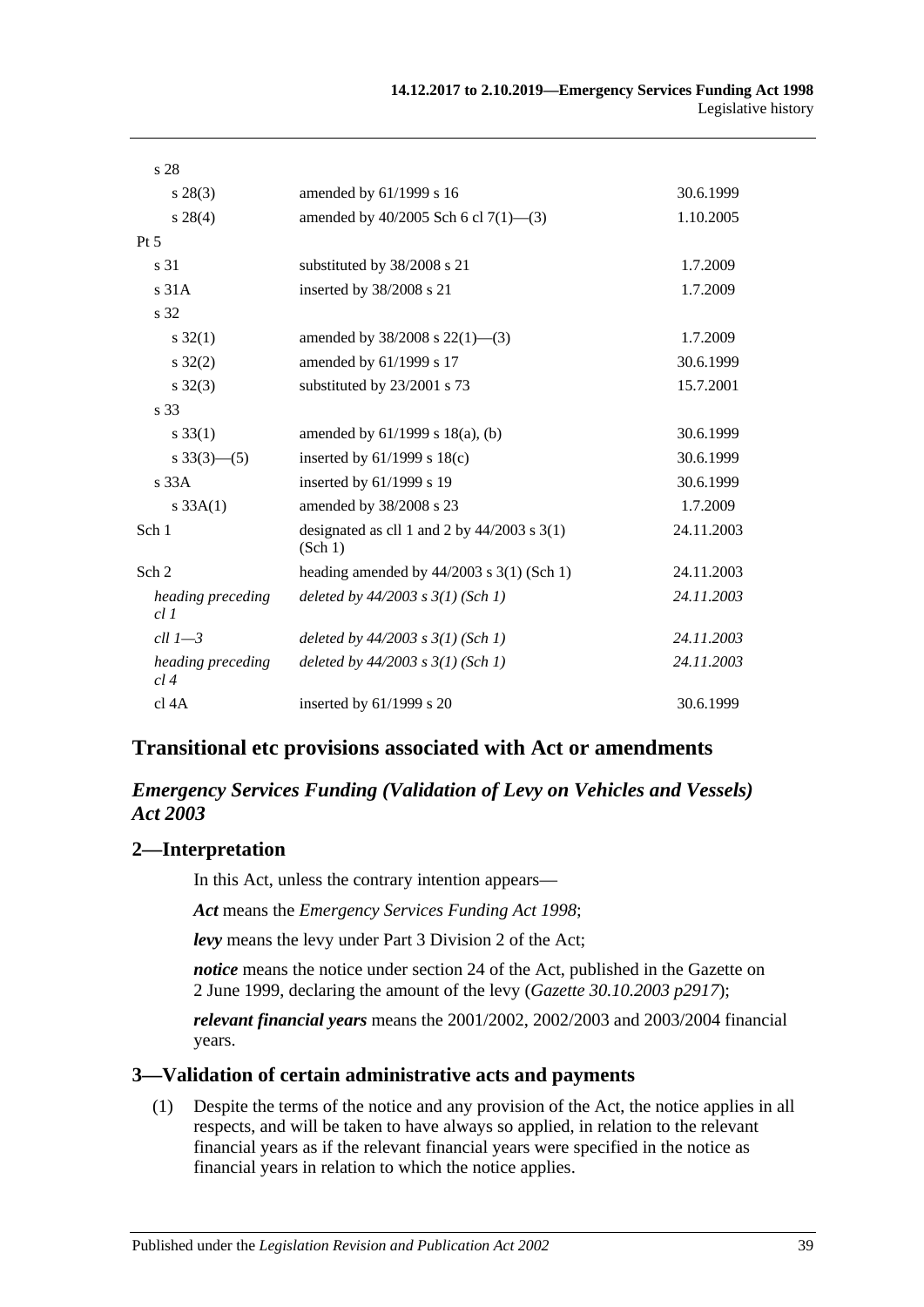| s 28                     |                                                          |            |
|--------------------------|----------------------------------------------------------|------------|
| $s\,28(3)$               | amended by 61/1999 s 16                                  | 30.6.1999  |
| $s\,28(4)$               | amended by $40/2005$ Sch 6 cl $7(1)$ —(3)                | 1.10.2005  |
| $Pt\,5$                  |                                                          |            |
| s 31                     | substituted by 38/2008 s 21                              | 1.7.2009   |
| s <sub>31A</sub>         | inserted by 38/2008 s 21                                 | 1.7.2009   |
| s 32                     |                                                          |            |
| $s \, 32(1)$             | amended by $38/2008$ s $22(1)$ —(3)                      | 1.7.2009   |
| $s \, 32(2)$             | amended by 61/1999 s 17                                  | 30.6.1999  |
| $s \, 32(3)$             | substituted by 23/2001 s 73                              | 15.7.2001  |
| s 33                     |                                                          |            |
| $s \, 33(1)$             | amended by $61/1999$ s $18(a)$ , (b)                     | 30.6.1999  |
| s $33(3)$ — $(5)$        | inserted by $61/1999$ s $18(c)$                          | 30.6.1999  |
| $s$ 33 $A$               | inserted by 61/1999 s 19                                 | 30.6.1999  |
| $s \, 33A(1)$            | amended by 38/2008 s 23                                  | 1.7.2009   |
| Sch 1                    | designated as cll 1 and 2 by $44/2003$ s 3(1)<br>(Sch 1) | 24.11.2003 |
| Sch 2                    | heading amended by $44/2003$ s 3(1) (Sch 1)              | 24.11.2003 |
| heading preceding<br>cl1 | deleted by $44/2003$ s $3(1)$ (Sch 1)                    | 24.11.2003 |
| $ell 1 - 3$              | deleted by $44/2003$ s $3(1)$ (Sch 1)                    | 24.11.2003 |
| heading preceding<br>cl4 | deleted by $44/2003$ s $3(1)$ (Sch 1)                    | 24.11.2003 |
| cl 4A                    | inserted by $61/1999$ s 20                               | 30.6.1999  |

## **Transitional etc provisions associated with Act or amendments**

## *Emergency Services Funding (Validation of Levy on Vehicles and Vessels) Act 2003*

## **2—Interpretation**

In this Act, unless the contrary intention appears—

*Act* means the *[Emergency Services Funding Act](http://www.legislation.sa.gov.au/index.aspx?action=legref&type=act&legtitle=Emergency%20Services%20Funding%20Act%201998) 1998*;

*levy* means the levy under Part 3 Division 2 of the Act;

*notice* means the notice under section 24 of the Act, published in the Gazette on 2 June 1999, declaring the amount of the levy (*Gazette 30.10.2003 p2917*);

*relevant financial years* means the 2001/2002, 2002/2003 and 2003/2004 financial years.

## **3—Validation of certain administrative acts and payments**

(1) Despite the terms of the notice and any provision of the Act, the notice applies in all respects, and will be taken to have always so applied, in relation to the relevant financial years as if the relevant financial years were specified in the notice as financial years in relation to which the notice applies.